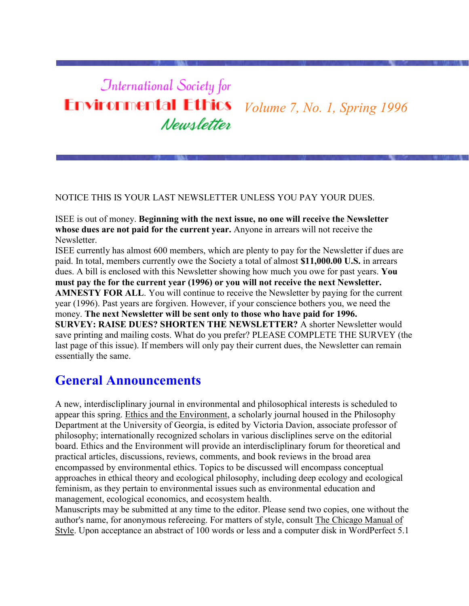# **International Society for Environmental Ethics** *Volume 7, No. 1, Spring 1996* Newsletter

#### NOTICE THIS IS YOUR LAST NEWSLETTER UNLESS YOU PAY YOUR DUES.

ISEE is out of money. **Beginning with the next issue, no one will receive the Newsletter whose dues are not paid for the current year.** Anyone in arrears will not receive the Newsletter.

ISEE currently has almost 600 members, which are plenty to pay for the Newsletter if dues are paid. In total, members currently owe the Society a total of almost **\$11,000.00 U.S.** in arrears dues. A bill is enclosed with this Newsletter showing how much you owe for past years. **You must pay the for the current year (1996) or you will not receive the next Newsletter. AMNESTY FOR ALL.** You will continue to receive the Newsletter by paying for the current year (1996). Past years are forgiven. However, if your conscience bothers you, we need the money. **The next Newsletter will be sent only to those who have paid for 1996. SURVEY: RAISE DUES? SHORTEN THE NEWSLETTER?** A shorter Newsletter would save printing and mailing costs. What do you prefer? PLEASE COMPLETE THE SURVEY (the last page of this issue). If members will only pay their current dues, the Newsletter can remain essentially the same.

# **General Announcements**

A new, interdiscliplinary journal in environmental and philosophical interests is scheduled to appear this spring. Ethics and the Environment, a scholarly journal housed in the Philosophy Department at the University of Georgia, is edited by Victoria Davion, associate professor of philosophy; internationally recognized scholars in various discliplines serve on the editorial board. Ethics and the Environment will provide an interdiscliplinary forum for theoretical and practical articles, discussions, reviews, comments, and book reviews in the broad area encompassed by environmental ethics. Topics to be discussed will encompass conceptual approaches in ethical theory and ecological philosophy, including deep ecology and ecological feminism, as they pertain to environmental issues such as environmental education and management, ecological economics, and ecosystem health.

Manuscripts may be submitted at any time to the editor. Please send two copies, one without the author's name, for anonymous refereeing. For matters of style, consult The Chicago Manual of Style. Upon acceptance an abstract of 100 words or less and a computer disk in WordPerfect 5.1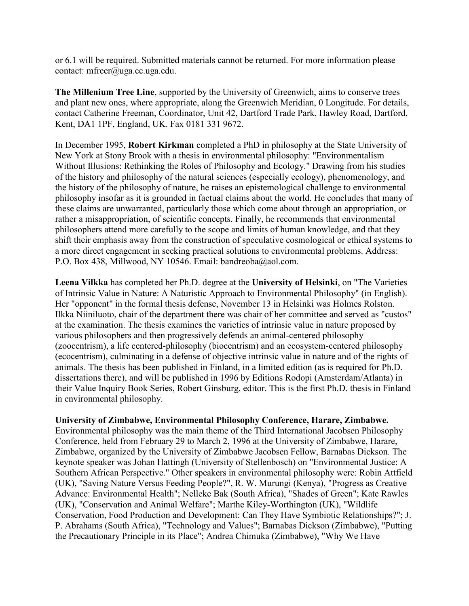or 6.1 will be required. Submitted materials cannot be returned. For more information please contact: mfreer@uga.cc.uga.edu.

**The Millenium Tree Line**, supported by the University of Greenwich, aims to conserve trees and plant new ones, where appropriate, along the Greenwich Meridian, 0 Longitude. For details, contact Catherine Freeman, Coordinator, Unit 42, Dartford Trade Park, Hawley Road, Dartford, Kent, DA1 1PF, England, UK. Fax 0181 331 9672.

In December 1995, **Robert Kirkman** completed a PhD in philosophy at the State University of New York at Stony Brook with a thesis in environmental philosophy: "Environmentalism Without Illusions: Rethinking the Roles of Philosophy and Ecology." Drawing from his studies of the history and philosophy of the natural sciences (especially ecology), phenomenology, and the history of the philosophy of nature, he raises an epistemological challenge to environmental philosophy insofar as it is grounded in factual claims about the world. He concludes that many of these claims are unwarranted, particularly those which come about through an appropriation, or rather a misappropriation, of scientific concepts. Finally, he recommends that environmental philosophers attend more carefully to the scope and limits of human knowledge, and that they shift their emphasis away from the construction of speculative cosmological or ethical systems to a more direct engagement in seeking practical solutions to environmental problems. Address: P.O. Box 438, Millwood, NY 10546. Email: bandreoba@aol.com.

**Leena Vilkka** has completed her Ph.D. degree at the **University of Helsinki**, on "The Varieties of Intrinsic Value in Nature: A Naturistic Approach to Environmental Philosophy" (in English). Her "opponent" in the formal thesis defense, November 13 in Helsinki was Holmes Rolston. Ilkka Niiniluoto, chair of the department there was chair of her committee and served as "custos" at the examination. The thesis examines the varieties of intrinsic value in nature proposed by various philosophers and then progressively defends an animal-centered philosophy (zoocentrism), a life centered-philosophy (biocentrism) and an ecosystem-centered philosophy (ecocentrism), culminating in a defense of objective intrinsic value in nature and of the rights of animals. The thesis has been published in Finland, in a limited edition (as is required for Ph.D. dissertations there), and will be published in 1996 by Editions Rodopi (Amsterdam/Atlanta) in their Value Inquiry Book Series, Robert Ginsburg, editor. This is the first Ph.D. thesis in Finland in environmental philosophy.

#### **University of Zimbabwe, Environmental Philosophy Conference, Harare, Zimbabwe.**

Environmental philosophy was the main theme of the Third International Jacobsen Philosophy Conference, held from February 29 to March 2, 1996 at the University of Zimbabwe, Harare, Zimbabwe, organized by the University of Zimbabwe Jacobsen Fellow, Barnabas Dickson. The keynote speaker was Johan Hattingh (University of Stellenbosch) on "Environmental Justice: A Southern African Perspective." Other speakers in environmental philosophy were: Robin Attfield (UK), "Saving Nature Versus Feeding People?", R. W. Murungi (Kenya), "Progress as Creative Advance: Environmental Health"; Nelleke Bak (South Africa), "Shades of Green"; Kate Rawles (UK), "Conservation and Animal Welfare"; Marthe Kiley-Worthington (UK), "Wildlife Conservation, Food Production and Development: Can They Have Symbiotic Relationships?"; J. P. Abrahams (South Africa), "Technology and Values"; Barnabas Dickson (Zimbabwe), "Putting the Precautionary Principle in its Place"; Andrea Chimuka (Zimbabwe), "Why We Have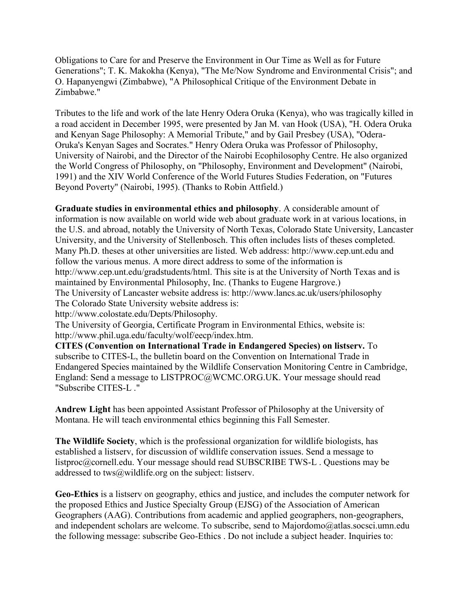Obligations to Care for and Preserve the Environment in Our Time as Well as for Future Generations"; T. K. Makokha (Kenya), "The Me/Now Syndrome and Environmental Crisis"; and O. Hapanyengwi (Zimbabwe), "A Philosophical Critique of the Environment Debate in Zimbabwe."

Tributes to the life and work of the late Henry Odera Oruka (Kenya), who was tragically killed in a road accident in December 1995, were presented by Jan M. van Hook (USA), "H. Odera Oruka and Kenyan Sage Philosophy: A Memorial Tribute," and by Gail Presbey (USA), "Odera-Oruka's Kenyan Sages and Socrates." Henry Odera Oruka was Professor of Philosophy, University of Nairobi, and the Director of the Nairobi Ecophilosophy Centre. He also organized the World Congress of Philosophy, on "Philosophy, Environment and Development" (Nairobi, 1991) and the XIV World Conference of the World Futures Studies Federation, on "Futures Beyond Poverty" (Nairobi, 1995). (Thanks to Robin Attfield.)

**Graduate studies in environmental ethics and philosophy**. A considerable amount of information is now available on world wide web about graduate work in at various locations, in the U.S. and abroad, notably the University of North Texas, Colorado State University, Lancaster University, and the University of Stellenbosch. This often includes lists of theses completed. Many Ph.D. theses at other universities are listed. Web address: http://www.cep.unt.edu and follow the various menus. A more direct address to some of the information is http://www.cep.unt.edu/gradstudents/html. This site is at the University of North Texas and is maintained by Environmental Philosophy, Inc. (Thanks to Eugene Hargrove.) The University of Lancaster website address is: http://www.lancs.ac.uk/users/philosophy The Colorado State University website address is:

http://www.colostate.edu/Depts/Philosophy.

The University of Georgia, Certificate Program in Environmental Ethics, website is: http://www.phil.uga.edu/faculty/wolf/eecp/index.htm.

**CITES (Convention on International Trade in Endangered Species) on listserv.** To subscribe to CITES-L, the bulletin board on the Convention on International Trade in Endangered Species maintained by the Wildlife Conservation Monitoring Centre in Cambridge, England: Send a message to LISTPROC@WCMC.ORG.UK. Your message should read "Subscribe CITES-L ."

**Andrew Light** has been appointed Assistant Professor of Philosophy at the University of Montana. He will teach environmental ethics beginning this Fall Semester.

**The Wildlife Society**, which is the professional organization for wildlife biologists, has established a listserv, for discussion of wildlife conservation issues. Send a message to listproc@cornell.edu. Your message should read SUBSCRIBE TWS-L . Questions may be addressed to tws@wildlife.org on the subject: listserv.

**Geo-Ethics** is a listserv on geography, ethics and justice, and includes the computer network for the proposed Ethics and Justice Specialty Group (EJSG) of the Association of American Geographers (AAG). Contributions from academic and applied geographers, non-geographers, and independent scholars are welcome. To subscribe, send to Majordomo@atlas.socsci.umn.edu the following message: subscribe Geo-Ethics . Do not include a subject header. Inquiries to: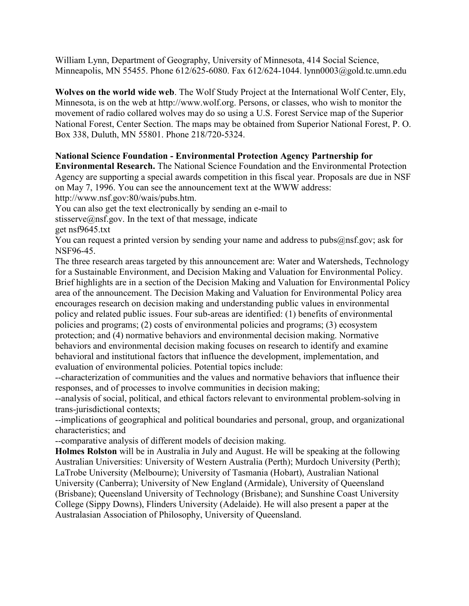William Lynn, Department of Geography, University of Minnesota, 414 Social Science, Minneapolis, MN 55455. Phone 612/625-6080. Fax 612/624-1044. lynn0003@gold.tc.umn.edu

**Wolves on the world wide web**. The Wolf Study Project at the International Wolf Center, Ely, Minnesota, is on the web at http://www.wolf.org. Persons, or classes, who wish to monitor the movement of radio collared wolves may do so using a U.S. Forest Service map of the Superior National Forest, Center Section. The maps may be obtained from Superior National Forest, P. O. Box 338, Duluth, MN 55801. Phone 218/720-5324.

#### **National Science Foundation - Environmental Protection Agency Partnership for**

**Environmental Research.** The National Science Foundation and the Environmental Protection Agency are supporting a special awards competition in this fiscal year. Proposals are due in NSF on May 7, 1996. You can see the announcement text at the WWW address:

http://www.nsf.gov:80/wais/pubs.htm.

You can also get the text electronically by sending an e-mail to

stisserve@nsf.gov. In the text of that message, indicate

get nsf9645.txt

You can request a printed version by sending your name and address to pubs@nsf.gov; ask for NSF96-45.

The three research areas targeted by this announcement are: Water and Watersheds, Technology for a Sustainable Environment, and Decision Making and Valuation for Environmental Policy. Brief highlights are in a section of the Decision Making and Valuation for Environmental Policy area of the announcement. The Decision Making and Valuation for Environmental Policy area encourages research on decision making and understanding public values in environmental policy and related public issues. Four sub-areas are identified: (1) benefits of environmental policies and programs; (2) costs of environmental policies and programs; (3) ecosystem protection; and (4) normative behaviors and environmental decision making. Normative behaviors and environmental decision making focuses on research to identify and examine behavioral and institutional factors that influence the development, implementation, and evaluation of environmental policies. Potential topics include:

--characterization of communities and the values and normative behaviors that influence their responses, and of processes to involve communities in decision making;

--analysis of social, political, and ethical factors relevant to environmental problem-solving in trans-jurisdictional contexts;

--implications of geographical and political boundaries and personal, group, and organizational characteristics; and

--comparative analysis of different models of decision making.

**Holmes Rolston** will be in Australia in July and August. He will be speaking at the following Australian Universities: University of Western Australia (Perth); Murdoch University (Perth); LaTrobe University (Melbourne); University of Tasmania (Hobart), Australian National University (Canberra); University of New England (Armidale), University of Queensland (Brisbane); Queensland University of Technology (Brisbane); and Sunshine Coast University College (Sippy Downs), Flinders University (Adelaide). He will also present a paper at the Australasian Association of Philosophy, University of Queensland.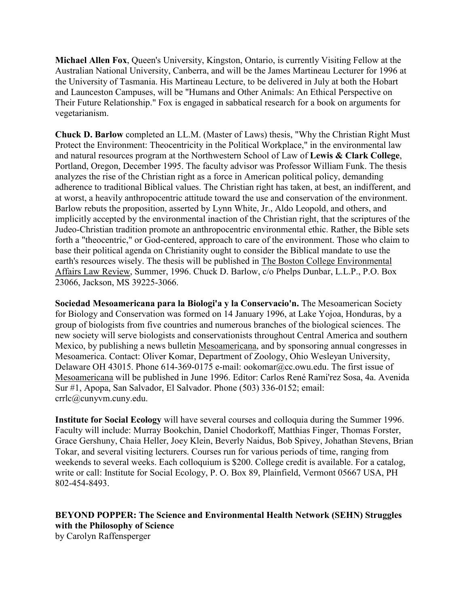**Michael Allen Fox**, Queen's University, Kingston, Ontario, is currently Visiting Fellow at the Australian National University, Canberra, and will be the James Martineau Lecturer for 1996 at the University of Tasmania. His Martineau Lecture, to be delivered in July at both the Hobart and Launceston Campuses, will be "Humans and Other Animals: An Ethical Perspective on Their Future Relationship." Fox is engaged in sabbatical research for a book on arguments for vegetarianism.

**Chuck D. Barlow** completed an LL.M. (Master of Laws) thesis, "Why the Christian Right Must Protect the Environment: Theocentricity in the Political Workplace," in the environmental law and natural resources program at the Northwestern School of Law of **Lewis & Clark College**, Portland, Oregon, December 1995. The faculty advisor was Professor William Funk. The thesis analyzes the rise of the Christian right as a force in American political policy, demanding adherence to traditional Biblical values. The Christian right has taken, at best, an indifferent, and at worst, a heavily anthropocentric attitude toward the use and conservation of the environment. Barlow rebuts the proposition, asserted by Lynn White, Jr., Aldo Leopold, and others, and implicitly accepted by the environmental inaction of the Christian right, that the scriptures of the Judeo-Christian tradition promote an anthropocentric environmental ethic. Rather, the Bible sets forth a "theocentric," or God-centered, approach to care of the environment. Those who claim to base their political agenda on Christianity ought to consider the Biblical mandate to use the earth's resources wisely. The thesis will be published in The Boston College Environmental Affairs Law Review, Summer, 1996. Chuck D. Barlow, c/o Phelps Dunbar, L.L.P., P.O. Box 23066, Jackson, MS 39225-3066.

**Sociedad Mesoamericana para la Biologi'a y la Conservacio'n.** The Mesoamerican Society for Biology and Conservation was formed on 14 January 1996, at Lake Yojoa, Honduras, by a group of biologists from five countries and numerous branches of the biological sciences. The new society will serve biologists and conservationists throughout Central America and southern Mexico, by publishing a news bulletin Mesoamericana, and by sponsoring annual congresses in Mesoamerica. Contact: Oliver Komar, Department of Zoology, Ohio Wesleyan University, Delaware OH 43015. Phone 614-369-0175 e-mail: ookomar@cc.owu.edu. The first issue of Mesoamericana will be published in June 1996. Editor: Carlos René Rami'rez Sosa, 4a. Avenida Sur #1, Apopa, San Salvador, El Salvador. Phone (503) 336-0152; email: crrlc@cunyvm.cuny.edu.

**Institute for Social Ecology** will have several courses and colloquia during the Summer 1996. Faculty will include: Murray Bookchin, Daniel Chodorkoff, Matthias Finger, Thomas Forster, Grace Gershuny, Chaia Heller, Joey Klein, Beverly Naidus, Bob Spivey, Johathan Stevens, Brian Tokar, and several visiting lecturers. Courses run for various periods of time, ranging from weekends to several weeks. Each colloquium is \$200. College credit is available. For a catalog, write or call: Institute for Social Ecology, P. O. Box 89, Plainfield, Vermont 05667 USA, PH 802-454-8493.

**BEYOND POPPER: The Science and Environmental Health Network (SEHN) Struggles with the Philosophy of Science** by Carolyn Raffensperger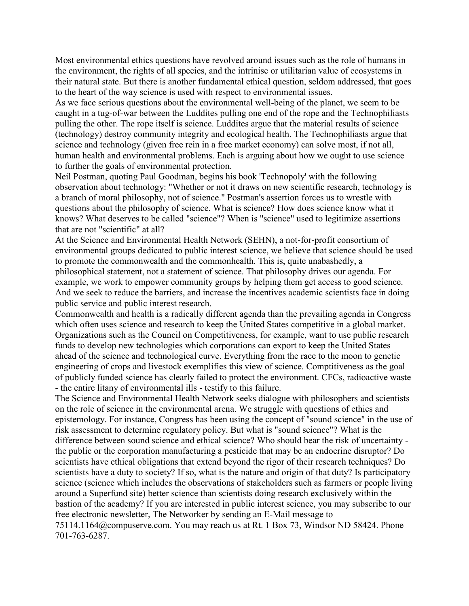Most environmental ethics questions have revolved around issues such as the role of humans in the environment, the rights of all species, and the intrinisc or utilitarian value of ecosystems in their natural state. But there is another fundamental ethical question, seldom addressed, that goes to the heart of the way science is used with respect to environmental issues.

As we face serious questions about the environmental well-being of the planet, we seem to be caught in a tug-of-war between the Luddites pulling one end of the rope and the Technophiliasts pulling the other. The rope itself is science. Luddites argue that the material results of science (technology) destroy community integrity and ecological health. The Technophiliasts argue that science and technology (given free rein in a free market economy) can solve most, if not all, human health and environmental problems. Each is arguing about how we ought to use science to further the goals of environmental protection.

Neil Postman, quoting Paul Goodman, begins his book 'Technopoly' with the following observation about technology: "Whether or not it draws on new scientific research, technology is a branch of moral philosophy, not of science." Postman's assertion forces us to wrestle with questions about the philosophy of science. What is science? How does science know what it knows? What deserves to be called "science"? When is "science" used to legitimize assertions that are not "scientific" at all?

At the Science and Environmental Health Network (SEHN), a not-for-profit consortium of environmental groups dedicated to public interest science, we believe that science should be used to promote the commonwealth and the commonhealth. This is, quite unabashedly, a philosophical statement, not a statement of science. That philosophy drives our agenda. For example, we work to empower community groups by helping them get access to good science. And we seek to reduce the barriers, and increase the incentives academic scientists face in doing public service and public interest research.

Commonwealth and health is a radically different agenda than the prevailing agenda in Congress which often uses science and research to keep the United States competitive in a global market. Organizations such as the Council on Competitiveness, for example, want to use public research funds to develop new technologies which corporations can export to keep the United States ahead of the science and technological curve. Everything from the race to the moon to genetic engineering of crops and livestock exemplifies this view of science. Comptitiveness as the goal of publicly funded science has clearly failed to protect the environment. CFCs, radioactive waste - the entire litany of environmental ills - testify to this failure.

The Science and Environmental Health Network seeks dialogue with philosophers and scientists on the role of science in the environmental arena. We struggle with questions of ethics and epistemology. For instance, Congress has been using the concept of "sound science" in the use of risk assessment to determine regulatory policy. But what is "sound science"? What is the difference between sound science and ethical science? Who should bear the risk of uncertainty the public or the corporation manufacturing a pesticide that may be an endocrine disruptor? Do scientists have ethical obligations that extend beyond the rigor of their research techniques? Do scientists have a duty to society? If so, what is the nature and origin of that duty? Is participatory science (science which includes the observations of stakeholders such as farmers or people living around a Superfund site) better science than scientists doing research exclusively within the bastion of the academy? If you are interested in public interest science, you may subscribe to our free electronic newsletter, The Networker by sending an E-Mail message to 75114.1164@compuserve.com. You may reach us at Rt. 1 Box 73, Windsor ND 58424. Phone 701-763-6287.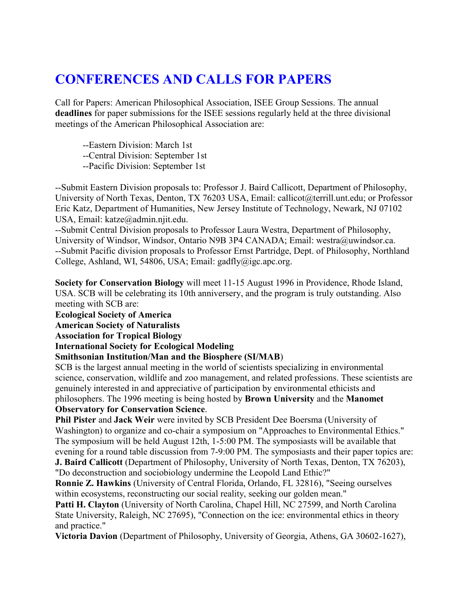# **CONFERENCES AND CALLS FOR PAPERS**

Call for Papers: American Philosophical Association, ISEE Group Sessions. The annual **deadlines** for paper submissions for the ISEE sessions regularly held at the three divisional meetings of the American Philosophical Association are:

--Eastern Division: March 1st

--Central Division: September 1st

--Pacific Division: September 1st

--Submit Eastern Division proposals to: Professor J. Baird Callicott, Department of Philosophy, University of North Texas, Denton, TX 76203 USA, Email: callicot@terrill.unt.edu; or Professor Eric Katz, Department of Humanities, New Jersey Institute of Technology, Newark, NJ 07102 USA, Email: katze@admin.njit.edu.

--Submit Central Division proposals to Professor Laura Westra, Department of Philosophy, University of Windsor, Windsor, Ontario N9B 3P4 CANADA; Email: westra@uwindsor.ca. --Submit Pacific division proposals to Professor Ernst Partridge, Dept. of Philosophy, Northland College, Ashland, WI, 54806, USA; Email: gadfly@igc.apc.org.

**Society for Conservation Biology** will meet 11-15 August 1996 in Providence, Rhode Island, USA. SCB will be celebrating its 10th anniversery, and the program is truly outstanding. Also meeting with SCB are:

**Ecological Society of America**

**American Society of Naturalists**

**Association for Tropical Biology**

**International Society for Ecological Modeling**

#### **Smithsonian Institution/Man and the Biosphere (SI/MAB**)

SCB is the largest annual meeting in the world of scientists specializing in environmental science, conservation, wildlife and zoo management, and related professions. These scientists are genuinely interested in and appreciative of participation by environmental ethicists and philosophers. The 1996 meeting is being hosted by **Brown University** and the **Manomet Observatory for Conservation Science**.

**Phil Pister** and **Jack Weir** were invited by SCB President Dee Boersma (University of Washington) to organize and co-chair a symposium on "Approaches to Environmental Ethics." The symposium will be held August 12th, 1-5:00 PM. The symposiasts will be available that evening for a round table discussion from 7-9:00 PM. The symposiasts and their paper topics are:

**J. Baird Callicott** (Department of Philosophy, University of North Texas, Denton, TX 76203), "Do deconstruction and sociobiology undermine the Leopold Land Ethic?"

**Ronnie Z. Hawkins** (University of Central Florida, Orlando, FL 32816), "Seeing ourselves within ecosystems, reconstructing our social reality, seeking our golden mean."

Patti H. Clayton (University of North Carolina, Chapel Hill, NC 27599, and North Carolina State University, Raleigh, NC 27695), "Connection on the ice: environmental ethics in theory and practice."

**Victoria Davion** (Department of Philosophy, University of Georgia, Athens, GA 30602-1627),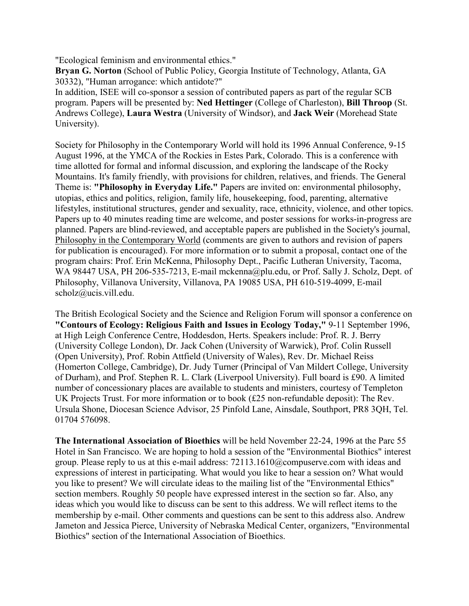"Ecological feminism and environmental ethics."

**Bryan G. Norton** (School of Public Policy, Georgia Institute of Technology, Atlanta, GA 30332), "Human arrogance: which antidote?"

In addition, ISEE will co-sponsor a session of contributed papers as part of the regular SCB program. Papers will be presented by: **Ned Hettinger** (College of Charleston), **Bill Throop** (St. Andrews College), **Laura Westra** (University of Windsor), and **Jack Weir** (Morehead State University).

Society for Philosophy in the Contemporary World will hold its 1996 Annual Conference, 9-15 August 1996, at the YMCA of the Rockies in Estes Park, Colorado. This is a conference with time allotted for formal and informal discussion, and exploring the landscape of the Rocky Mountains. It's family friendly, with provisions for children, relatives, and friends. The General Theme is: **"Philosophy in Everyday Life."** Papers are invited on: environmental philosophy, utopias, ethics and politics, religion, family life, housekeeping, food, parenting, alternative lifestyles, institutional structures, gender and sexuality, race, ethnicity, violence, and other topics. Papers up to 40 minutes reading time are welcome, and poster sessions for works-in-progress are planned. Papers are blind-reviewed, and acceptable papers are published in the Society's journal, Philosophy in the Contemporary World (comments are given to authors and revision of papers for publication is encouraged). For more information or to submit a proposal, contact one of the program chairs: Prof. Erin McKenna, Philosophy Dept., Pacific Lutheran University, Tacoma, WA 98447 USA, PH 206-535-7213, E-mail mckenna@plu.edu, or Prof. Sally J. Scholz, Dept. of Philosophy, Villanova University, Villanova, PA 19085 USA, PH 610-519-4099, E-mail scholz@ucis.vill.edu.

The British Ecological Society and the Science and Religion Forum will sponsor a conference on **"Contours of Ecology: Religious Faith and Issues in Ecology Today,"** 9-11 September 1996, at High Leigh Conference Centre, Hoddesdon, Herts. Speakers include: Prof. R. J. Berry (University College London), Dr. Jack Cohen (University of Warwick), Prof. Colin Russell (Open University), Prof. Robin Attfield (University of Wales), Rev. Dr. Michael Reiss (Homerton College, Cambridge), Dr. Judy Turner (Principal of Van Mildert College, University of Durham), and Prof. Stephen R. L. Clark (Liverpool University). Full board is £90. A limited number of concessionary places are available to students and ministers, courtesy of Templeton UK Projects Trust. For more information or to book (£25 non-refundable deposit): The Rev. Ursula Shone, Diocesan Science Advisor, 25 Pinfold Lane, Ainsdale, Southport, PR8 3QH, Tel. 01704 576098.

**The International Association of Bioethics** will be held November 22-24, 1996 at the Parc 55 Hotel in San Francisco. We are hoping to hold a session of the "Environmental Biothics" interest group. Please reply to us at this e-mail address: 72113.1610@compuserve.com with ideas and expressions of interest in participating. What would you like to hear a session on? What would you like to present? We will circulate ideas to the mailing list of the "Environmental Ethics" section members. Roughly 50 people have expressed interest in the section so far. Also, any ideas which you would like to discuss can be sent to this address. We will reflect items to the membership by e-mail. Other comments and questions can be sent to this address also. Andrew Jameton and Jessica Pierce, University of Nebraska Medical Center, organizers, "Environmental Biothics" section of the International Association of Bioethics.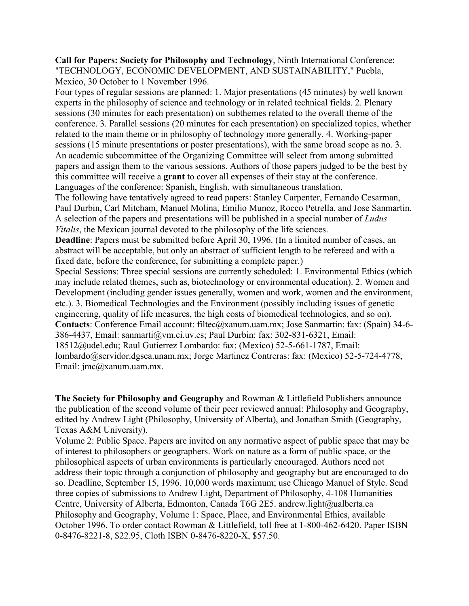**Call for Papers: Society for Philosophy and Technology**, Ninth International Conference: "TECHNOLOGY, ECONOMIC DEVELOPMENT, AND SUSTAINABILITY," Puebla, Mexico, 30 October to 1 November 1996.

Four types of regular sessions are planned: 1. Major presentations (45 minutes) by well known experts in the philosophy of science and technology or in related technical fields. 2. Plenary sessions (30 minutes for each presentation) on subthemes related to the overall theme of the conference. 3. Parallel sessions (20 minutes for each presentation) on specialized topics, whether related to the main theme or in philosophy of technology more generally. 4. Working-paper sessions (15 minute presentations or poster presentations), with the same broad scope as no. 3. An academic subcommittee of the Organizing Committee will select from among submitted papers and assign them to the various sessions. Authors of those papers judged to be the best by this committee will receive a **grant** to cover all expenses of their stay at the conference. Languages of the conference: Spanish, English, with simultaneous translation. The following have tentatively agreed to read papers: Stanley Carpenter, Fernando Cesarman, Paul Durbin, Carl Mitcham, Manuel Molina, Emilio Munoz, Rocco Petrella, and Jose Sanmartin. A selection of the papers and presentations will be published in a special number of *Ludus Vitalis*, the Mexican journal devoted to the philosophy of the life sciences. **Deadline**: Papers must be submitted before April 30, 1996. (In a limited number of cases, an abstract will be acceptable, but only an abstract of sufficient length to be refereed and with a fixed date, before the conference, for submitting a complete paper.) Special Sessions: Three special sessions are currently scheduled: 1. Environmental Ethics (which may include related themes, such as, biotechnology or environmental education). 2. Women and

Development (including gender issues generally, women and work, women and the environment, etc.). 3. Biomedical Technologies and the Environment (possibly including issues of genetic engineering, quality of life measures, the high costs of biomedical technologies, and so on). **Contacts**: Conference Email account: filtec@xanum.uam.mx; Jose Sanmartin: fax: (Spain) 34-6- 386-4437, Email: sanmarti@vm.ci.uv.es; Paul Durbin: fax: 302-831-6321, Email: 18512@udel.edu; Raul Gutierrez Lombardo: fax: (Mexico) 52-5-661-1787, Email: lombardo@servidor.dgsca.unam.mx; Jorge Martinez Contreras: fax: (Mexico) 52-5-724-4778, Email: jmc@xanum.uam.mx.

**The Society for Philosophy and Geography** and Rowman & Littlefield Publishers announce the publication of the second volume of their peer reviewed annual: Philosophy and Geography, edited by Andrew Light (Philosophy, University of Alberta), and Jonathan Smith (Geography, Texas A&M University).

Volume 2: Public Space. Papers are invited on any normative aspect of public space that may be of interest to philosophers or geographers. Work on nature as a form of public space, or the philosophical aspects of urban environments is particularly encouraged. Authors need not address their topic through a conjunction of philosophy and geography but are encouraged to do so. Deadline, September 15, 1996. 10,000 words maximum; use Chicago Manuel of Style. Send three copies of submissions to Andrew Light, Department of Philosophy, 4-108 Humanities Centre, University of Alberta, Edmonton, Canada T6G 2E5. andrew.light@ualberta.ca Philosophy and Geography, Volume 1: Space, Place, and Environmental Ethics, available October 1996. To order contact Rowman & Littlefield, toll free at 1-800-462-6420. Paper ISBN 0-8476-8221-8, \$22.95, Cloth ISBN 0-8476-8220-X, \$57.50.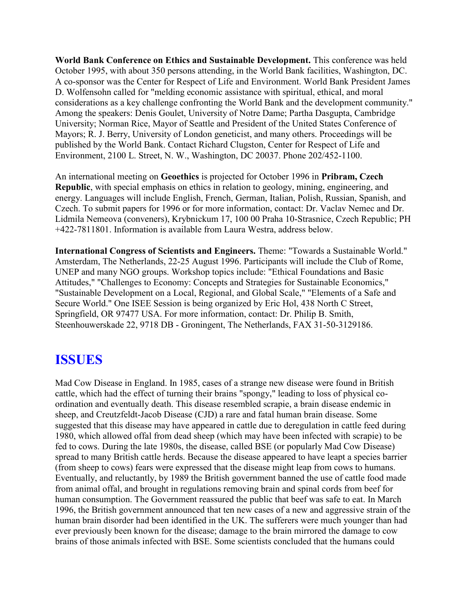**World Bank Conference on Ethics and Sustainable Development.** This conference was held October 1995, with about 350 persons attending, in the World Bank facilities, Washington, DC. A co-sponsor was the Center for Respect of Life and Environment. World Bank President James D. Wolfensohn called for "melding economic assistance with spiritual, ethical, and moral considerations as a key challenge confronting the World Bank and the development community." Among the speakers: Denis Goulet, University of Notre Dame; Partha Dasgupta, Cambridge University; Norman Rice, Mayor of Seattle and President of the United States Conference of Mayors; R. J. Berry, University of London geneticist, and many others. Proceedings will be published by the World Bank. Contact Richard Clugston, Center for Respect of Life and Environment, 2100 L. Street, N. W., Washington, DC 20037. Phone 202/452-1100.

An international meeting on **Geoethics** is projected for October 1996 in **Pribram, Czech Republic**, with special emphasis on ethics in relation to geology, mining, engineering, and energy. Languages will include English, French, German, Italian, Polish, Russian, Spanish, and Czech. To submit papers for 1996 or for more information, contact: Dr. Vaclav Nemec and Dr. Lidmila Nemeova (conveners), Krybnickum 17, 100 00 Praha 10-Strasnice, Czech Republic; PH +422-7811801. Information is available from Laura Westra, address below.

**International Congress of Scientists and Engineers.** Theme: "Towards a Sustainable World." Amsterdam, The Netherlands, 22-25 August 1996. Participants will include the Club of Rome, UNEP and many NGO groups. Workshop topics include: "Ethical Foundations and Basic Attitudes," "Challenges to Economy: Concepts and Strategies for Sustainable Economics," "Sustainable Development on a Local, Regional, and Global Scale," "Elements of a Safe and Secure World." One ISEE Session is being organized by Eric Hol, 438 North C Street, Springfield, OR 97477 USA. For more information, contact: Dr. Philip B. Smith, Steenhouwerskade 22, 9718 DB - Groningent, The Netherlands, FAX 31-50-3129186.

# **ISSUES**

Mad Cow Disease in England. In 1985, cases of a strange new disease were found in British cattle, which had the effect of turning their brains "spongy," leading to loss of physical coordination and eventually death. This disease resembled scrapie, a brain disease endemic in sheep, and Creutzfeldt-Jacob Disease (CJD) a rare and fatal human brain disease. Some suggested that this disease may have appeared in cattle due to deregulation in cattle feed during 1980, which allowed offal from dead sheep (which may have been infected with scrapie) to be fed to cows. During the late 1980s, the disease, called BSE (or popularly Mad Cow Disease) spread to many British cattle herds. Because the disease appeared to have leapt a species barrier (from sheep to cows) fears were expressed that the disease might leap from cows to humans. Eventually, and reluctantly, by 1989 the British government banned the use of cattle food made from animal offal, and brought in regulations removing brain and spinal cords from beef for human consumption. The Government reassured the public that beef was safe to eat. In March 1996, the British government announced that ten new cases of a new and aggressive strain of the human brain disorder had been identified in the UK. The sufferers were much younger than had ever previously been known for the disease; damage to the brain mirrored the damage to cow brains of those animals infected with BSE. Some scientists concluded that the humans could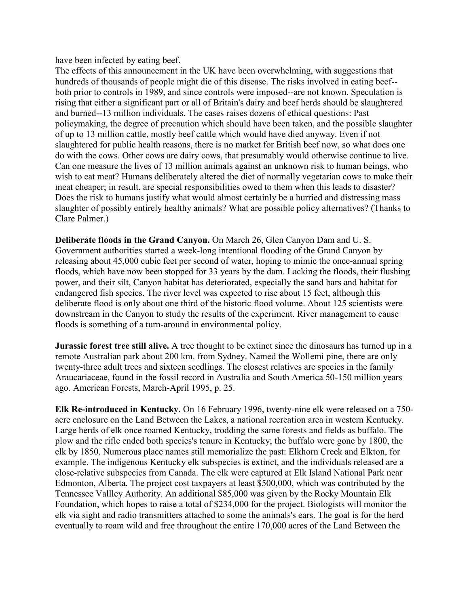have been infected by eating beef.

The effects of this announcement in the UK have been overwhelming, with suggestions that hundreds of thousands of people might die of this disease. The risks involved in eating beef- both prior to controls in 1989, and since controls were imposed--are not known. Speculation is rising that either a significant part or all of Britain's dairy and beef herds should be slaughtered and burned--13 million individuals. The cases raises dozens of ethical questions: Past policymaking, the degree of precaution which should have been taken, and the possible slaughter of up to 13 million cattle, mostly beef cattle which would have died anyway. Even if not slaughtered for public health reasons, there is no market for British beef now, so what does one do with the cows. Other cows are dairy cows, that presumably would otherwise continue to live. Can one measure the lives of 13 million animals against an unknown risk to human beings, who wish to eat meat? Humans deliberately altered the diet of normally vegetarian cows to make their meat cheaper; in result, are special responsibilities owed to them when this leads to disaster? Does the risk to humans justify what would almost certainly be a hurried and distressing mass slaughter of possibly entirely healthy animals? What are possible policy alternatives? (Thanks to Clare Palmer.)

**Deliberate floods in the Grand Canyon.** On March 26, Glen Canyon Dam and U. S. Government authorities started a week-long intentional flooding of the Grand Canyon by releasing about 45,000 cubic feet per second of water, hoping to mimic the once-annual spring floods, which have now been stopped for 33 years by the dam. Lacking the floods, their flushing power, and their silt, Canyon habitat has deteriorated, especially the sand bars and habitat for endangered fish species. The river level was expected to rise about 15 feet, although this deliberate flood is only about one third of the historic flood volume. About 125 scientists were downstream in the Canyon to study the results of the experiment. River management to cause floods is something of a turn-around in environmental policy.

**Jurassic forest tree still alive.** A tree thought to be extinct since the dinosaurs has turned up in a remote Australian park about 200 km. from Sydney. Named the Wollemi pine, there are only twenty-three adult trees and sixteen seedlings. The closest relatives are species in the family Araucariaceae, found in the fossil record in Australia and South America 50-150 million years ago. American Forests, March-April 1995, p. 25.

**Elk Re-introduced in Kentucky.** On 16 February 1996, twenty-nine elk were released on a 750 acre enclosure on the Land Between the Lakes, a national recreation area in western Kentucky. Large herds of elk once roamed Kentucky, trodding the same forests and fields as buffalo. The plow and the rifle ended both species's tenure in Kentucky; the buffalo were gone by 1800, the elk by 1850. Numerous place names still memorialize the past: Elkhorn Creek and Elkton, for example. The indigenous Kentucky elk subspecies is extinct, and the individuals released are a close-relative subspecies from Canada. The elk were captured at Elk Island National Park near Edmonton, Alberta. The project cost taxpayers at least \$500,000, which was contributed by the Tennessee Vallley Authority. An additional \$85,000 was given by the Rocky Mountain Elk Foundation, which hopes to raise a total of \$234,000 for the project. Biologists will monitor the elk via sight and radio transmitters attached to some the animals's ears. The goal is for the herd eventually to roam wild and free throughout the entire 170,000 acres of the Land Between the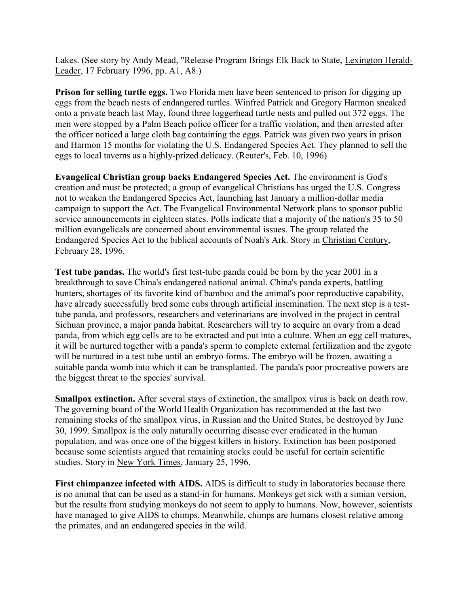Lakes. (See story by Andy Mead, "Release Program Brings Elk Back to State, Lexington Herald-Leader, 17 February 1996, pp. A1, A8.)

**Prison for selling turtle eggs.** Two Florida men have been sentenced to prison for digging up eggs from the beach nests of endangered turtles. Winfred Patrick and Gregory Harmon sneaked onto a private beach last May, found three loggerhead turtle nests and pulled out 372 eggs. The men were stopped by a Palm Beach police officer for a traffic violation, and then arrested after the officer noticed a large cloth bag containing the eggs. Patrick was given two years in prison and Harmon 15 months for violating the U.S. Endangered Species Act. They planned to sell the eggs to local taverns as a highly-prized delicacy. (Reuter's, Feb. 10, 1996)

**Evangelical Christian group backs Endangered Species Act.** The environment is God's creation and must be protected; a group of evangelical Christians has urged the U.S. Congress not to weaken the Endangered Species Act, launching last January a million-dollar media campaign to support the Act. The Evangelical Environmental Network plans to sponsor public service announcements in eighteen states. Polls indicate that a majority of the nation's 35 to 50 million evangelicals are concerned about environmental issues. The group related the Endangered Species Act to the biblical accounts of Noah's Ark. Story in Christian Century, February 28, 1996.

**Test tube pandas.** The world's first test-tube panda could be born by the year 2001 in a breakthrough to save China's endangered national animal. China's panda experts, battling hunters, shortages of its favorite kind of bamboo and the animal's poor reproductive capability, have already successfully bred some cubs through artificial insemination. The next step is a testtube panda, and professors, researchers and veterinarians are involved in the project in central Sichuan province, a major panda habitat. Researchers will try to acquire an ovary from a dead panda, from which egg cells are to be extracted and put into a culture. When an egg cell matures, it will be nurtured together with a panda's sperm to complete external fertilization and the zygote will be nurtured in a test tube until an embryo forms. The embryo will be frozen, awaiting a suitable panda womb into which it can be transplanted. The panda's poor procreative powers are the biggest threat to the species' survival.

**Smallpox extinction.** After several stays of extinction, the smallpox virus is back on death row. The governing board of the World Health Organization has recommended at the last two remaining stocks of the smallpox virus, in Russian and the United States, be destroyed by June 30, 1999. Smallpox is the only naturally occurring disease ever eradicated in the human population, and was once one of the biggest killers in history. Extinction has been postponed because some scientists argued that remaining stocks could be useful for certain scientific studies. Story in New York Times, January 25, 1996.

**First chimpanzee infected with AIDS.** AIDS is difficult to study in laboratories because there is no animal that can be used as a stand-in for humans. Monkeys get sick with a simian version, but the results from studying monkeys do not seem to apply to humans. Now, however, scientists have managed to give AIDS to chimps. Meanwhile, chimps are humans closest relative among the primates, and an endangered species in the wild.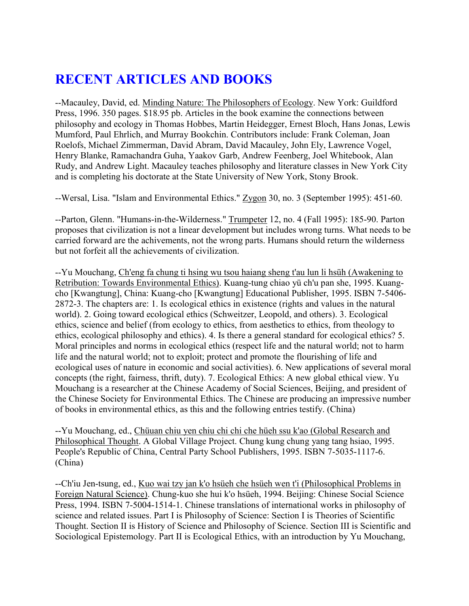# **RECENT ARTICLES AND BOOKS**

--Macauley, David, ed. Minding Nature: The Philosophers of Ecology. New York: Guildford Press, 1996. 350 pages. \$18.95 pb. Articles in the book examine the connections between philosophy and ecology in Thomas Hobbes, Martin Heidegger, Ernest Bloch, Hans Jonas, Lewis Mumford, Paul Ehrlich, and Murray Bookchin. Contributors include: Frank Coleman, Joan Roelofs, Michael Zimmerman, David Abram, David Macauley, John Ely, Lawrence Vogel, Henry Blanke, Ramachandra Guha, Yaakov Garb, Andrew Feenberg, Joel Whitebook, Alan Rudy, and Andrew Light. Macauley teaches philosophy and literature classes in New York City and is completing his doctorate at the State University of New York, Stony Brook.

--Wersal, Lisa. "Islam and Environmental Ethics." Zygon 30, no. 3 (September 1995): 451-60.

--Parton, Glenn. "Humans-in-the-Wilderness." Trumpeter 12, no. 4 (Fall 1995): 185-90. Parton proposes that civilization is not a linear development but includes wrong turns. What needs to be carried forward are the achivements, not the wrong parts. Humans should return the wilderness but not forfeit all the achievements of civilization.

--Yu Mouchang, Ch'eng fa chung ti hsing wu tsou haiang sheng t'au lun li hsüh (Awakening to Retribution: Towards Environmental Ethics). Kuang-tung chiao yü ch'u pan she, 1995. Kuangcho [Kwangtung], China: Kuang-cho [Kwangtung] Educational Publisher, 1995. ISBN 7-5406- 2872-3. The chapters are: 1. Is ecological ethics in existence (rights and values in the natural world). 2. Going toward ecological ethics (Schweitzer, Leopold, and others). 3. Ecological ethics, science and belief (from ecology to ethics, from aesthetics to ethics, from theology to ethics, ecological philosophy and ethics). 4. Is there a general standard for ecological ethics? 5. Moral principles and norms in ecological ethics (respect life and the natural world; not to harm life and the natural world; not to exploit; protect and promote the flourishing of life and ecological uses of nature in economic and social activities). 6. New applications of several moral concepts (the right, fairness, thrift, duty). 7. Ecological Ethics: A new global ethical view. Yu Mouchang is a researcher at the Chinese Academy of Social Sciences, Beijing, and president of the Chinese Society for Environmental Ethics. The Chinese are producing an impressive number of books in environmental ethics, as this and the following entries testify. (China)

--Yu Mouchang, ed., Chüuan chiu yen chiu chi chi che hüeh ssu k'ao (Global Research and Philosophical Thought. A Global Village Project. Chung kung chung yang tang hsiao, 1995. People's Republic of China, Central Party School Publishers, 1995. ISBN 7-5035-1117-6. (China)

--Ch'iu Jen-tsung, ed., Kuo wai tzy jan k'o hsüeh che hsüeh wen t'i (Philosophical Problems in Foreign Natural Science). Chung-kuo she hui k'o hsüeh, 1994. Beijing: Chinese Social Science Press, 1994. ISBN 7-5004-1514-1. Chinese translations of international works in philosophy of science and related issues. Part I is Philosophy of Science: Section I is Theories of Scientific Thought. Section II is History of Science and Philosophy of Science. Section III is Scientific and Sociological Epistemology. Part II is Ecological Ethics, with an introduction by Yu Mouchang,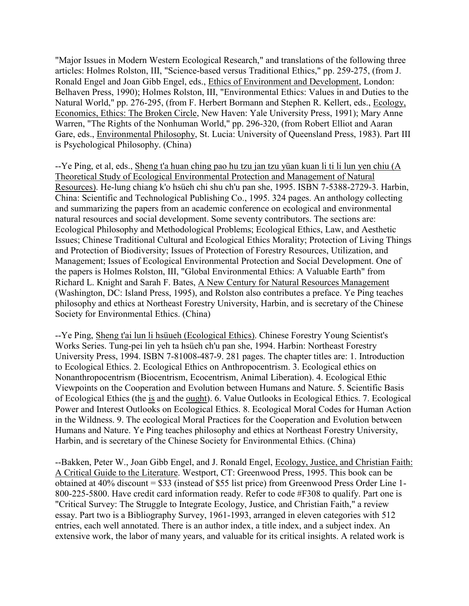"Major Issues in Modern Western Ecological Research," and translations of the following three articles: Holmes Rolston, III, "Science-based versus Traditional Ethics," pp. 259-275, (from J. Ronald Engel and Joan Gibb Engel, eds., Ethics of Environment and Development, London: Belhaven Press, 1990); Holmes Rolston, III, "Environmental Ethics: Values in and Duties to the Natural World," pp. 276-295, (from F. Herbert Bormann and Stephen R. Kellert, eds., Ecology, Economics, Ethics: The Broken Circle, New Haven: Yale University Press, 1991); Mary Anne Warren, "The Rights of the Nonhuman World," pp. 296-320, (from Robert Elliot and Aaran Gare, eds., Environmental Philosophy, St. Lucia: University of Queensland Press, 1983). Part III is Psychological Philosophy. (China)

--Ye Ping, et al, eds., Sheng t'a huan ching pao hu tzu jan tzu yüan kuan li ti li lun yen chiu (A Theoretical Study of Ecological Environmental Protection and Management of Natural Resources). He-lung chiang k'o hsüeh chi shu ch'u pan she, 1995. ISBN 7-5388-2729-3. Harbin, China: Scientific and Technological Publishing Co., 1995. 324 pages. An anthology collecting and summarizing the papers from an academic conference on ecological and environmental natural resources and social development. Some seventy contributors. The sections are: Ecological Philosophy and Methodological Problems; Ecological Ethics, Law, and Aesthetic Issues; Chinese Traditional Cultural and Ecological Ethics Morality; Protection of Living Things and Protection of Biodiversity; Issues of Protection of Forestry Resources, Utilization, and Management; Issues of Ecological Environmental Protection and Social Development. One of the papers is Holmes Rolston, III, "Global Environmental Ethics: A Valuable Earth" from Richard L. Knight and Sarah F. Bates, A New Century for Natural Resources Management (Washington, DC: Island Press, 1995), and Rolston also contributes a preface. Ye Ping teaches philosophy and ethics at Northeast Forestry University, Harbin, and is secretary of the Chinese Society for Environmental Ethics. (China)

--Ye Ping, Sheng t'ai lun li hsüueh (Ecological Ethics). Chinese Forestry Young Scientist's Works Series. Tung-pei lin yeh ta hsüeh ch'u pan she, 1994. Harbin: Northeast Forestry University Press, 1994. ISBN 7-81008-487-9. 281 pages. The chapter titles are: 1. Introduction to Ecological Ethics. 2. Ecological Ethics on Anthropocentrism. 3. Ecological ethics on Nonanthropocentrism (Biocentrism, Ecocentrism, Animal Liberation). 4. Ecological Ethic Viewpoints on the Cooperation and Evolution between Humans and Nature. 5. Scientific Basis of Ecological Ethics (the is and the ought). 6. Value Outlooks in Ecological Ethics. 7. Ecological Power and Interest Outlooks on Ecological Ethics. 8. Ecological Moral Codes for Human Action in the Wildness. 9. The ecological Moral Practices for the Cooperation and Evolution between Humans and Nature. Ye Ping teaches philosophy and ethics at Northeast Forestry University, Harbin, and is secretary of the Chinese Society for Environmental Ethics. (China)

--Bakken, Peter W., Joan Gibb Engel, and J. Ronald Engel, Ecology, Justice, and Christian Faith: A Critical Guide to the Literature. Westport, CT: Greenwood Press, 1995. This book can be obtained at 40% discount = \$33 (instead of \$55 list price) from Greenwood Press Order Line 1- 800-225-5800. Have credit card information ready. Refer to code #F308 to qualify. Part one is "Critical Survey: The Struggle to Integrate Ecology, Justice, and Christian Faith," a review essay. Part two is a Bibliography Survey, 1961-1993, arranged in eleven categories with 512 entries, each well annotated. There is an author index, a title index, and a subject index. An extensive work, the labor of many years, and valuable for its critical insights. A related work is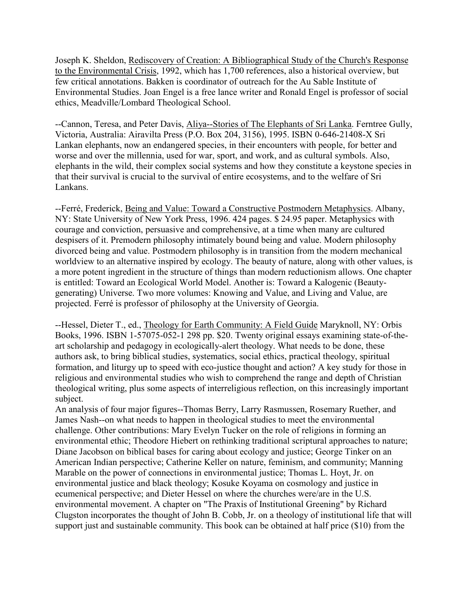Joseph K. Sheldon, Rediscovery of Creation: A Bibliographical Study of the Church's Response to the Environmental Crisis, 1992, which has 1,700 references, also a historical overview, but few critical annotations. Bakken is coordinator of outreach for the Au Sable Institute of Environmental Studies. Joan Engel is a free lance writer and Ronald Engel is professor of social ethics, Meadville/Lombard Theological School.

--Cannon, Teresa, and Peter Davis, Aliya--Stories of The Elephants of Sri Lanka. Ferntree Gully, Victoria, Australia: Airavilta Press (P.O. Box 204, 3156), 1995. ISBN 0-646-21408-X Sri Lankan elephants, now an endangered species, in their encounters with people, for better and worse and over the millennia, used for war, sport, and work, and as cultural symbols. Also, elephants in the wild, their complex social systems and how they constitute a keystone species in that their survival is crucial to the survival of entire ecosystems, and to the welfare of Sri Lankans.

--Ferré, Frederick, Being and Value: Toward a Constructive Postmodern Metaphysics. Albany, NY: State University of New York Press, 1996. 424 pages. \$ 24.95 paper. Metaphysics with courage and conviction, persuasive and comprehensive, at a time when many are cultured despisers of it. Premodern philosophy intimately bound being and value. Modern philosophy divorced being and value. Postmodern philosophy is in transition from the modern mechanical worldview to an alternative inspired by ecology. The beauty of nature, along with other values, is a more potent ingredient in the structure of things than modern reductionism allows. One chapter is entitled: Toward an Ecological World Model. Another is: Toward a Kalogenic (Beautygenerating) Universe. Two more volumes: Knowing and Value, and Living and Value, are projected. Ferré is professor of philosophy at the University of Georgia.

--Hessel, Dieter T., ed., Theology for Earth Community: A Field Guide Maryknoll, NY: Orbis Books, 1996. ISBN 1-57075-052-1 298 pp. \$20. Twenty original essays examining state-of-theart scholarship and pedagogy in ecologically-alert theology. What needs to be done, these authors ask, to bring biblical studies, systematics, social ethics, practical theology, spiritual formation, and liturgy up to speed with eco-justice thought and action? A key study for those in religious and environmental studies who wish to comprehend the range and depth of Christian theological writing, plus some aspects of interreligious reflection, on this increasingly important subject.

An analysis of four major figures--Thomas Berry, Larry Rasmussen, Rosemary Ruether, and James Nash--on what needs to happen in theological studies to meet the environmental challenge. Other contributions: Mary Evelyn Tucker on the role of religions in forming an environmental ethic; Theodore Hiebert on rethinking traditional scriptural approaches to nature; Diane Jacobson on biblical bases for caring about ecology and justice; George Tinker on an American Indian perspective; Catherine Keller on nature, feminism, and community; Manning Marable on the power of connections in environmental justice; Thomas L. Hoyt, Jr. on environmental justice and black theology; Kosuke Koyama on cosmology and justice in ecumenical perspective; and Dieter Hessel on where the churches were/are in the U.S. environmental movement. A chapter on "The Praxis of Institutional Greening" by Richard Clugston incorporates the thought of John B. Cobb, Jr. on a theology of institutional life that will support just and sustainable community. This book can be obtained at half price (\$10) from the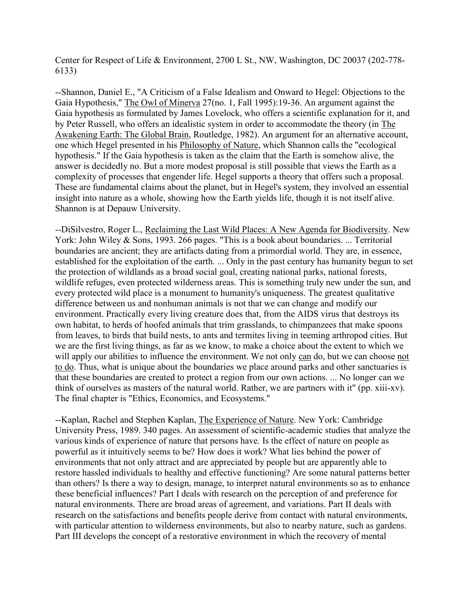Center for Respect of Life & Environment, 2700 L St., NW, Washington, DC 20037 (202-778- 6133)

--Shannon, Daniel E., "A Criticism of a False Idealism and Onward to Hegel: Objections to the Gaia Hypothesis," The Owl of Minerva 27(no. 1, Fall 1995):19-36. An argument against the Gaia hypothesis as formulated by James Lovelock, who offers a scientific explanation for it, and by Peter Russell, who offers an idealistic system in order to accommodate the theory (in The Awakening Earth: The Global Brain, Routledge, 1982). An argument for an alternative account, one which Hegel presented in his Philosophy of Nature, which Shannon calls the "ecological hypothesis." If the Gaia hypothesis is taken as the claim that the Earth is somehow alive, the answer is decidedly no. But a more modest proposal is still possible that views the Earth as a complexity of processes that engender life. Hegel supports a theory that offers such a proposal. These are fundamental claims about the planet, but in Hegel's system, they involved an essential insight into nature as a whole, showing how the Earth yields life, though it is not itself alive. Shannon is at Depauw University.

--DiSilvestro, Roger L., Reclaiming the Last Wild Places: A New Agenda for Biodiversity. New York: John Wiley & Sons, 1993. 266 pages. "This is a book about boundaries. ... Territorial boundaries are ancient; they are artifacts dating from a primordial world. They are, in essence, established for the exploitation of the earth. ... Only in the past century has humanity begun to set the protection of wildlands as a broad social goal, creating national parks, national forests, wildlife refuges, even protected wilderness areas. This is something truly new under the sun, and every protected wild place is a monument to humanity's uniqueness. The greatest qualitative difference between us and nonhuman animals is not that we can change and modify our environment. Practically every living creature does that, from the AIDS virus that destroys its own habitat, to herds of hoofed animals that trim grasslands, to chimpanzees that make spoons from leaves, to birds that build nests, to ants and termites living in teeming arthropod cities. But we are the first living things, as far as we know, to make a choice about the extent to which we will apply our abilities to influence the environment. We not only can do, but we can choose not to do. Thus, what is unique about the boundaries we place around parks and other sanctuaries is that these boundaries are created to protect a region from our own actions. ... No longer can we think of ourselves as masters of the natural world. Rather, we are partners with it" (pp. xiii-xv). The final chapter is "Ethics, Economics, and Ecosystems."

--Kaplan, Rachel and Stephen Kaplan, The Experience of Nature. New York: Cambridge University Press, 1989. 340 pages. An assessment of scientific-academic studies that analyze the various kinds of experience of nature that persons have. Is the effect of nature on people as powerful as it intuitively seems to be? How does it work? What lies behind the power of environments that not only attract and are appreciated by people but are apparently able to restore hassled individuals to healthy and effective functioning? Are some natural patterns better than others? Is there a way to design, manage, to interpret natural environments so as to enhance these beneficial influences? Part I deals with research on the perception of and preference for natural environments. There are broad areas of agreement, and variations. Part II deals with research on the satisfactions and benefits people derive from contact with natural environments, with particular attention to wilderness environments, but also to nearby nature, such as gardens. Part III develops the concept of a restorative environment in which the recovery of mental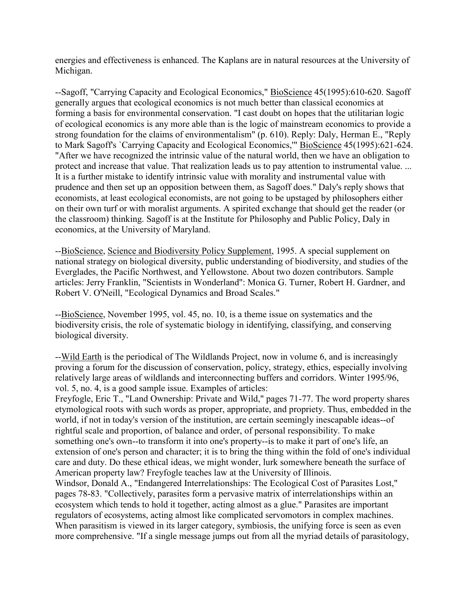energies and effectiveness is enhanced. The Kaplans are in natural resources at the University of Michigan.

--Sagoff, "Carrying Capacity and Ecological Economics," BioScience 45(1995):610-620. Sagoff generally argues that ecological economics is not much better than classical economics at forming a basis for environmental conservation. "I cast doubt on hopes that the utilitarian logic of ecological economics is any more able than is the logic of mainstream economics to provide a strong foundation for the claims of environmentalism" (p. 610). Reply: Daly, Herman E., "Reply to Mark Sagoff's `Carrying Capacity and Ecological Economics," BioScience 45(1995):621-624. "After we have recognized the intrinsic value of the natural world, then we have an obligation to protect and increase that value. That realization leads us to pay attention to instrumental value. ... It is a further mistake to identify intrinsic value with morality and instrumental value with prudence and then set up an opposition between them, as Sagoff does." Daly's reply shows that economists, at least ecological economists, are not going to be upstaged by philosophers either on their own turf or with moralist arguments. A spirited exchange that should get the reader (or the classroom) thinking. Sagoff is at the Institute for Philosophy and Public Policy, Daly in economics, at the University of Maryland.

--BioScience, Science and Biodiversity Policy Supplement, 1995. A special supplement on national strategy on biological diversity, public understanding of biodiversity, and studies of the Everglades, the Pacific Northwest, and Yellowstone. About two dozen contributors. Sample articles: Jerry Franklin, "Scientists in Wonderland": Monica G. Turner, Robert H. Gardner, and Robert V. O'Neill, "Ecological Dynamics and Broad Scales."

--BioScience, November 1995, vol. 45, no. 10, is a theme issue on systematics and the biodiversity crisis, the role of systematic biology in identifying, classifying, and conserving biological diversity.

--Wild Earth is the periodical of The Wildlands Project, now in volume 6, and is increasingly proving a forum for the discussion of conservation, policy, strategy, ethics, especially involving relatively large areas of wildlands and interconnecting buffers and corridors. Winter 1995/96, vol. 5, no. 4, is a good sample issue. Examples of articles:

Freyfogle, Eric T., "Land Ownership: Private and Wild," pages 71-77. The word property shares etymological roots with such words as proper, appropriate, and propriety. Thus, embedded in the world, if not in today's version of the institution, are certain seemingly inescapable ideas--of rightful scale and proportion, of balance and order, of personal responsibility. To make something one's own--to transform it into one's property--is to make it part of one's life, an extension of one's person and character; it is to bring the thing within the fold of one's individual care and duty. Do these ethical ideas, we might wonder, lurk somewhere beneath the surface of American property law? Freyfogle teaches law at the University of Illinois.

Windsor, Donald A., "Endangered Interrelationships: The Ecological Cost of Parasites Lost," pages 78-83. "Collectively, parasites form a pervasive matrix of interrelationships within an ecosystem which tends to hold it together, acting almost as a glue." Parasites are important regulators of ecosystems, acting almost like complicated servomotors in complex machines. When parasitism is viewed in its larger category, symbiosis, the unifying force is seen as even more comprehensive. "If a single message jumps out from all the myriad details of parasitology,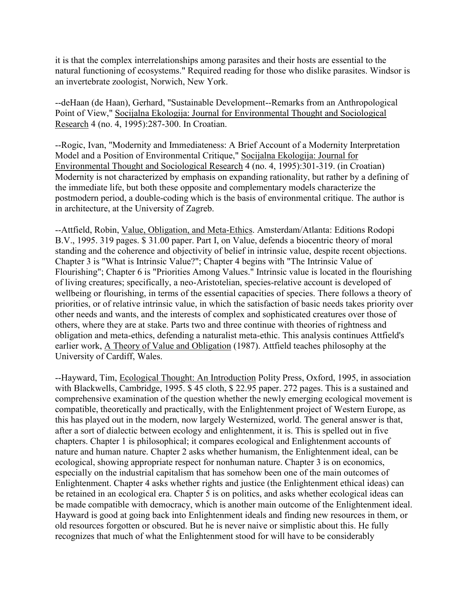it is that the complex interrelationships among parasites and their hosts are essential to the natural functioning of ecosystems." Required reading for those who dislike parasites. Windsor is an invertebrate zoologist, Norwich, New York.

--deHaan (de Haan), Gerhard, "Sustainable Development--Remarks from an Anthropological Point of View," Socijalna Ekologija: Journal for Environmental Thought and Sociological Research 4 (no. 4, 1995):287-300. In Croatian.

--Rogic, Ivan, "Modernity and Immediateness: A Brief Account of a Modernity Interpretation Model and a Position of Environmental Critique," Socijalna Ekologija: Journal for Environmental Thought and Sociological Research 4 (no. 4, 1995):301-319. (in Croatian) Modernity is not characterized by emphasis on expanding rationality, but rather by a defining of the immediate life, but both these opposite and complementary models characterize the postmodern period, a double-coding which is the basis of environmental critique. The author is in architecture, at the University of Zagreb.

--Attfield, Robin, Value, Obligation, and Meta-Ethics. Amsterdam/Atlanta: Editions Rodopi B.V., 1995. 319 pages. \$ 31.00 paper. Part I, on Value, defends a biocentric theory of moral standing and the coherence and objectivity of belief in intrinsic value, despite recent objections. Chapter 3 is "What is Intrinsic Value?"; Chapter 4 begins with "The Intrinsic Value of Flourishing"; Chapter 6 is "Priorities Among Values." Intrinsic value is located in the flourishing of living creatures; specifically, a neo-Aristotelian, species-relative account is developed of wellbeing or flourishing, in terms of the essential capacities of species. There follows a theory of priorities, or of relative intrinsic value, in which the satisfaction of basic needs takes priority over other needs and wants, and the interests of complex and sophisticated creatures over those of others, where they are at stake. Parts two and three continue with theories of rightness and obligation and meta-ethics, defending a naturalist meta-ethic. This analysis continues Attfield's earlier work, A Theory of Value and Obligation (1987). Attfield teaches philosophy at the University of Cardiff, Wales.

--Hayward, Tim, Ecological Thought: An Introduction Polity Press, Oxford, 1995, in association with Blackwells, Cambridge, 1995. \$45 cloth, \$22.95 paper. 272 pages. This is a sustained and comprehensive examination of the question whether the newly emerging ecological movement is compatible, theoretically and practically, with the Enlightenment project of Western Europe, as this has played out in the modern, now largely Westernized, world. The general answer is that, after a sort of dialectic between ecology and enlightenment, it is. This is spelled out in five chapters. Chapter 1 is philosophical; it compares ecological and Enlightenment accounts of nature and human nature. Chapter 2 asks whether humanism, the Enlightenment ideal, can be ecological, showing appropriate respect for nonhuman nature. Chapter 3 is on economics, especially on the industrial capitalism that has somehow been one of the main outcomes of Enlightenment. Chapter 4 asks whether rights and justice (the Enlightenment ethical ideas) can be retained in an ecological era. Chapter 5 is on politics, and asks whether ecological ideas can be made compatible with democracy, which is another main outcome of the Enlightenment ideal. Hayward is good at going back into Enlightenment ideals and finding new resources in them, or old resources forgotten or obscured. But he is never naive or simplistic about this. He fully recognizes that much of what the Enlightenment stood for will have to be considerably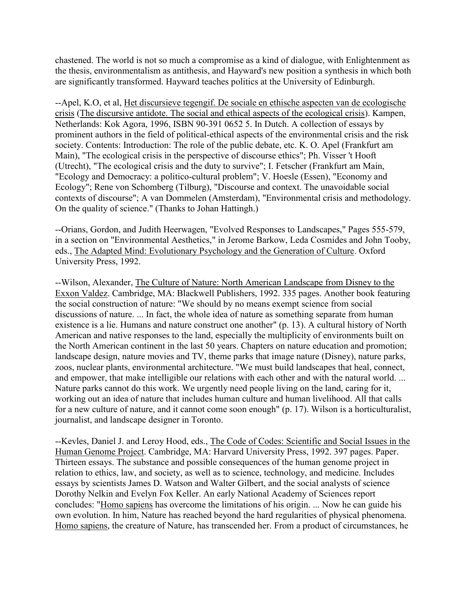chastened. The world is not so much a compromise as a kind of dialogue, with Enlightenment as the thesis, environmentalism as antithesis, and Hayward's new position a synthesis in which both are significantly transformed. Hayward teaches politics at the University of Edinburgh.

--Apel, K.O, et al, Het discursieve tegengif. De sociale en ethische aspecten van de ecologische crisis (The discursive antidote. The social and ethical aspects of the ecological crisis). Kampen, Netherlands: Kok Agora, 1996, ISBN 90-391 0652 5. In Dutch. A collection of essays by prominent authors in the field of political-ethical aspects of the environmental crisis and the risk society. Contents: Introduction: The role of the public debate, etc. K. O. Apel (Frankfurt am Main), "The ecological crisis in the perspective of discourse ethics"; Ph. Visser 't Hooft (Utrecht), "The ecological crisis and the duty to survive"; I. Fetscher (Frankfurt am Main, "Ecology and Democracy: a politico-cultural problem"; V. Hoesle (Essen), "Economy and Ecology"; Rene von Schomberg (Tilburg), "Discourse and context. The unavoidable social contexts of discourse"; A van Dommelen (Amsterdam), "Environmental crisis and methodology. On the quality of science." (Thanks to Johan Hattingh.)

--Orians, Gordon, and Judith Heerwagen, "Evolved Responses to Landscapes," Pages 555-579, in a section on "Environmental Aesthetics," in Jerome Barkow, Leda Cosmides and John Tooby, eds., The Adapted Mind: Evolutionary Psychology and the Generation of Culture. Oxford University Press, 1992.

--Wilson, Alexander, The Culture of Nature: North American Landscape from Disney to the Exxon Valdez. Cambridge, MA: Blackwell Publishers, 1992. 335 pages. Another book featuring the social construction of nature: "We should by no means exempt science from social discussions of nature. ... In fact, the whole idea of nature as something separate from human existence is a lie. Humans and nature construct one another" (p. 13). A cultural history of North American and native responses to the land, especially the multiplicity of environments built on the North American continent in the last 50 years. Chapters on nature education and promotion; landscape design, nature movies and TV, theme parks that image nature (Disney), nature parks, zoos, nuclear plants, environmental architecture. "We must build landscapes that heal, connect, and empower, that make intelligible our relations with each other and with the natural world. ... Nature parks cannot do this work. We urgently need people living on the land, caring for it, working out an idea of nature that includes human culture and human livelihood. All that calls for a new culture of nature, and it cannot come soon enough" (p. 17). Wilson is a horticulturalist, journalist, and landscape designer in Toronto.

--Kevles, Daniel J. and Leroy Hood, eds., The Code of Codes: Scientific and Social Issues in the Human Genome Project. Cambridge, MA: Harvard University Press, 1992. 397 pages. Paper. Thirteen essays. The substance and possible consequences of the human genome project in relation to ethics, law, and society, as well as to science, technology, and medicine. Includes essays by scientists James D. Watson and Walter Gilbert, and the social analysts of science Dorothy Nelkin and Evelyn Fox Keller. An early National Academy of Sciences report concludes: "Homo sapiens has overcome the limitations of his origin. ... Now he can guide his own evolution. In him, Nature has reached beyond the hard regularities of physical phenomena. Homo sapiens, the creature of Nature, has transcended her. From a product of circumstances, he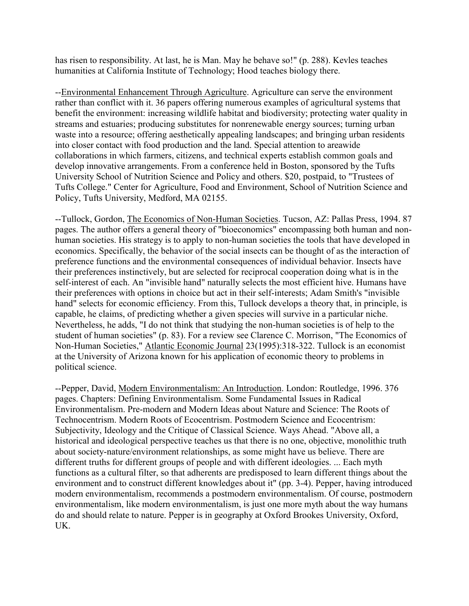has risen to responsibility. At last, he is Man. May he behave so!" (p. 288). Kevles teaches humanities at California Institute of Technology; Hood teaches biology there.

--Environmental Enhancement Through Agriculture. Agriculture can serve the environment rather than conflict with it. 36 papers offering numerous examples of agricultural systems that benefit the environment: increasing wildlife habitat and biodiversity; protecting water quality in streams and estuaries; producing substitutes for nonrenewable energy sources; turning urban waste into a resource; offering aesthetically appealing landscapes; and bringing urban residents into closer contact with food production and the land. Special attention to areawide collaborations in which farmers, citizens, and technical experts establish common goals and develop innovative arrangements. From a conference held in Boston, sponsored by the Tufts University School of Nutrition Science and Policy and others. \$20, postpaid, to "Trustees of Tufts College." Center for Agriculture, Food and Environment, School of Nutrition Science and Policy, Tufts University, Medford, MA 02155.

--Tullock, Gordon, The Economics of Non-Human Societies. Tucson, AZ: Pallas Press, 1994. 87 pages. The author offers a general theory of "bioeconomics" encompassing both human and nonhuman societies. His strategy is to apply to non-human societies the tools that have developed in economics. Specifically, the behavior of the social insects can be thought of as the interaction of preference functions and the environmental consequences of individual behavior. Insects have their preferences instinctively, but are selected for reciprocal cooperation doing what is in the self-interest of each. An "invisible hand" naturally selects the most efficient hive. Humans have their preferences with options in choice but act in their self-interests; Adam Smith's "invisible hand" selects for economic efficiency. From this, Tullock develops a theory that, in principle, is capable, he claims, of predicting whether a given species will survive in a particular niche. Nevertheless, he adds, "I do not think that studying the non-human societies is of help to the student of human societies" (p. 83). For a review see Clarence C. Morrison, "The Economics of Non-Human Societies," Atlantic Economic Journal 23(1995):318-322. Tullock is an economist at the University of Arizona known for his application of economic theory to problems in political science.

--Pepper, David, Modern Environmentalism: An Introduction. London: Routledge, 1996. 376 pages. Chapters: Defining Environmentalism. Some Fundamental Issues in Radical Environmentalism. Pre-modern and Modern Ideas about Nature and Science: The Roots of Technocentrism. Modern Roots of Ecocentrism. Postmodern Science and Ecocentrism: Subjectivity, Ideology and the Critique of Classical Science. Ways Ahead. "Above all, a historical and ideological perspective teaches us that there is no one, objective, monolithic truth about society-nature/environment relationships, as some might have us believe. There are different truths for different groups of people and with different ideologies. ... Each myth functions as a cultural filter, so that adherents are predisposed to learn different things about the environment and to construct different knowledges about it" (pp. 3-4). Pepper, having introduced modern environmentalism, recommends a postmodern environmentalism. Of course, postmodern environmentalism, like modern environmentalism, is just one more myth about the way humans do and should relate to nature. Pepper is in geography at Oxford Brookes University, Oxford, UK.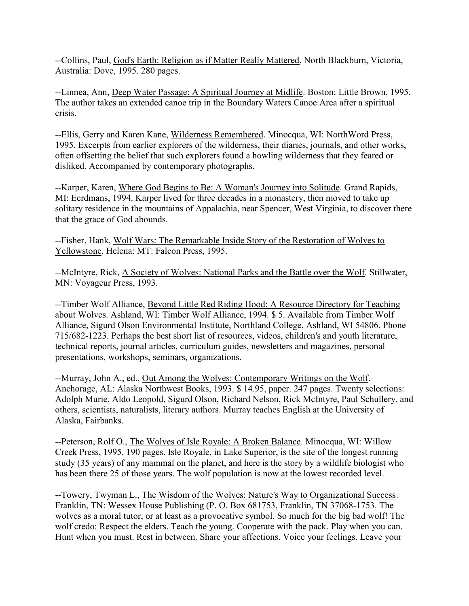--Collins, Paul, God's Earth: Religion as if Matter Really Mattered. North Blackburn, Victoria, Australia: Dove, 1995. 280 pages.

--Linnea, Ann, Deep Water Passage: A Spiritual Journey at Midlife. Boston: Little Brown, 1995. The author takes an extended canoe trip in the Boundary Waters Canoe Area after a spiritual crisis.

--Ellis, Gerry and Karen Kane, Wilderness Remembered. Minocqua, WI: NorthWord Press, 1995. Excerpts from earlier explorers of the wilderness, their diaries, journals, and other works, often offsetting the belief that such explorers found a howling wilderness that they feared or disliked. Accompanied by contemporary photographs.

--Karper, Karen, Where God Begins to Be: A Woman's Journey into Solitude. Grand Rapids, MI: Eerdmans, 1994. Karper lived for three decades in a monastery, then moved to take up solitary residence in the mountains of Appalachia, near Spencer, West Virginia, to discover there that the grace of God abounds.

--Fisher, Hank, Wolf Wars: The Remarkable Inside Story of the Restoration of Wolves to Yellowstone. Helena: MT: Falcon Press, 1995.

--McIntyre, Rick, A Society of Wolves: National Parks and the Battle over the Wolf. Stillwater, MN: Voyageur Press, 1993.

--Timber Wolf Alliance, Beyond Little Red Riding Hood: A Resource Directory for Teaching about Wolves. Ashland, WI: Timber Wolf Alliance, 1994. \$ 5. Available from Timber Wolf Alliance, Sigurd Olson Environmental Institute, Northland College, Ashland, WI 54806. Phone 715/682-1223. Perhaps the best short list of resources, videos, children's and youth literature, technical reports, journal articles, curriculum guides, newsletters and magazines, personal presentations, workshops, seminars, organizations.

--Murray, John A., ed., Out Among the Wolves: Contemporary Writings on the Wolf. Anchorage, AL: Alaska Northwest Books, 1993. \$ 14.95, paper. 247 pages. Twenty selections: Adolph Murie, Aldo Leopold, Sigurd Olson, Richard Nelson, Rick McIntyre, Paul Schullery, and others, scientists, naturalists, literary authors. Murray teaches English at the University of Alaska, Fairbanks.

--Peterson, Rolf O., The Wolves of Isle Royale: A Broken Balance. Minocqua, WI: Willow Creek Press, 1995. 190 pages. Isle Royale, in Lake Superior, is the site of the longest running study (35 years) of any mammal on the planet, and here is the story by a wildlife biologist who has been there 25 of those years. The wolf population is now at the lowest recorded level.

--Towery, Twyman L., The Wisdom of the Wolves: Nature's Way to Organizational Success. Franklin, TN: Wessex House Publishing (P. O. Box 681753, Franklin, TN 37068-1753. The wolves as a moral tutor, or at least as a provocative symbol. So much for the big bad wolf! The wolf credo: Respect the elders. Teach the young. Cooperate with the pack. Play when you can. Hunt when you must. Rest in between. Share your affections. Voice your feelings. Leave your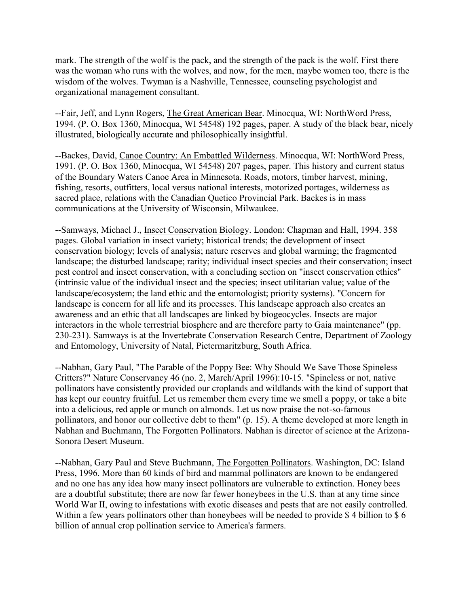mark. The strength of the wolf is the pack, and the strength of the pack is the wolf. First there was the woman who runs with the wolves, and now, for the men, maybe women too, there is the wisdom of the wolves. Twyman is a Nashville, Tennessee, counseling psychologist and organizational management consultant.

--Fair, Jeff, and Lynn Rogers, The Great American Bear. Minocqua, WI: NorthWord Press, 1994. (P. O. Box 1360, Minocqua, WI 54548) 192 pages, paper. A study of the black bear, nicely illustrated, biologically accurate and philosophically insightful.

--Backes, David, Canoe Country: An Embattled Wilderness. Minocqua, WI: NorthWord Press, 1991. (P. O. Box 1360, Minocqua, WI 54548) 207 pages, paper. This history and current status of the Boundary Waters Canoe Area in Minnesota. Roads, motors, timber harvest, mining, fishing, resorts, outfitters, local versus national interests, motorized portages, wilderness as sacred place, relations with the Canadian Quetico Provincial Park. Backes is in mass communications at the University of Wisconsin, Milwaukee.

--Samways, Michael J., Insect Conservation Biology. London: Chapman and Hall, 1994. 358 pages. Global variation in insect variety; historical trends; the development of insect conservation biology; levels of analysis; nature reserves and global warming; the fragmented landscape; the disturbed landscape; rarity; individual insect species and their conservation; insect pest control and insect conservation, with a concluding section on "insect conservation ethics" (intrinsic value of the individual insect and the species; insect utilitarian value; value of the landscape/ecosystem; the land ethic and the entomologist; priority systems). "Concern for landscape is concern for all life and its processes. This landscape approach also creates an awareness and an ethic that all landscapes are linked by biogeocycles. Insects are major interactors in the whole terrestrial biosphere and are therefore party to Gaia maintenance" (pp. 230-231). Samways is at the Invertebrate Conservation Research Centre, Department of Zoology and Entomology, University of Natal, Pietermaritzburg, South Africa.

--Nabhan, Gary Paul, "The Parable of the Poppy Bee: Why Should We Save Those Spineless Critters?" Nature Conservancy 46 (no. 2, March/April 1996):10-15. "Spineless or not, native pollinators have consistently provided our croplands and wildlands with the kind of support that has kept our country fruitful. Let us remember them every time we smell a poppy, or take a bite into a delicious, red apple or munch on almonds. Let us now praise the not-so-famous pollinators, and honor our collective debt to them" (p. 15). A theme developed at more length in Nabhan and Buchmann, The Forgotten Pollinators. Nabhan is director of science at the Arizona-Sonora Desert Museum.

--Nabhan, Gary Paul and Steve Buchmann, The Forgotten Pollinators. Washington, DC: Island Press, 1996. More than 60 kinds of bird and mammal pollinators are known to be endangered and no one has any idea how many insect pollinators are vulnerable to extinction. Honey bees are a doubtful substitute; there are now far fewer honeybees in the U.S. than at any time since World War II, owing to infestations with exotic diseases and pests that are not easily controlled. Within a few years pollinators other than honeybees will be needed to provide \$4 billion to \$6 billion of annual crop pollination service to America's farmers.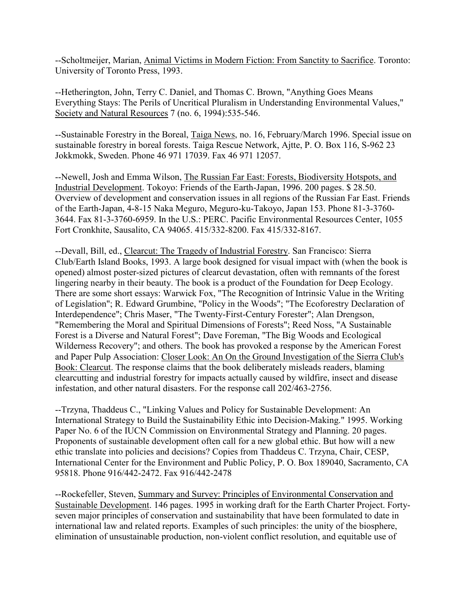--Scholtmeijer, Marian, Animal Victims in Modern Fiction: From Sanctity to Sacrifice. Toronto: University of Toronto Press, 1993.

--Hetherington, John, Terry C. Daniel, and Thomas C. Brown, "Anything Goes Means Everything Stays: The Perils of Uncritical Pluralism in Understanding Environmental Values," Society and Natural Resources 7 (no. 6, 1994):535-546.

--Sustainable Forestry in the Boreal, Taiga News, no. 16, February/March 1996. Special issue on sustainable forestry in boreal forests. Taiga Rescue Network, Ajtte, P. O. Box 116, S-962 23 Jokkmokk, Sweden. Phone 46 971 17039. Fax 46 971 12057.

--Newell, Josh and Emma Wilson, The Russian Far East: Forests, Biodiversity Hotspots, and Industrial Development. Tokoyo: Friends of the Earth-Japan, 1996. 200 pages. \$ 28.50. Overview of development and conservation issues in all regions of the Russian Far East. Friends of the Earth-Japan, 4-8-15 Naka Meguro, Meguro-ku-Takoyo, Japan 153. Phone 81-3-3760- 3644. Fax 81-3-3760-6959. In the U.S.: PERC. Pacific Environmental Resources Center, 1055 Fort Cronkhite, Sausalito, CA 94065. 415/332-8200. Fax 415/332-8167.

--Devall, Bill, ed., Clearcut: The Tragedy of Industrial Forestry. San Francisco: Sierra Club/Earth Island Books, 1993. A large book designed for visual impact with (when the book is opened) almost poster-sized pictures of clearcut devastation, often with remnants of the forest lingering nearby in their beauty. The book is a product of the Foundation for Deep Ecology. There are some short essays: Warwick Fox, "The Recognition of Intrinsic Value in the Writing of Legislation"; R. Edward Grumbine, "Policy in the Woods"; "The Ecoforestry Declaration of Interdependence"; Chris Maser, "The Twenty-First-Century Forester"; Alan Drengson, "Remembering the Moral and Spiritual Dimensions of Forests"; Reed Noss, "A Sustainable Forest is a Diverse and Natural Forest"; Dave Foreman, "The Big Woods and Ecological Wilderness Recovery"; and others. The book has provoked a response by the American Forest and Paper Pulp Association: Closer Look: An On the Ground Investigation of the Sierra Club's Book: Clearcut. The response claims that the book deliberately misleads readers, blaming clearcutting and industrial forestry for impacts actually caused by wildfire, insect and disease infestation, and other natural disasters. For the response call 202/463-2756.

--Trzyna, Thaddeus C., "Linking Values and Policy for Sustainable Development: An International Strategy to Build the Sustainability Ethic into Decision-Making." 1995. Working Paper No. 6 of the IUCN Commission on Environmental Strategy and Planning. 20 pages. Proponents of sustainable development often call for a new global ethic. But how will a new ethic translate into policies and decisions? Copies from Thaddeus C. Trzyna, Chair, CESP, International Center for the Environment and Public Policy, P. O. Box 189040, Sacramento, CA 95818. Phone 916/442-2472. Fax 916/442-2478

--Rockefeller, Steven, Summary and Survey: Principles of Environmental Conservation and Sustainable Development. 146 pages. 1995 in working draft for the Earth Charter Project. Fortyseven major principles of conservation and sustainability that have been formulated to date in international law and related reports. Examples of such principles: the unity of the biosphere, elimination of unsustainable production, non-violent conflict resolution, and equitable use of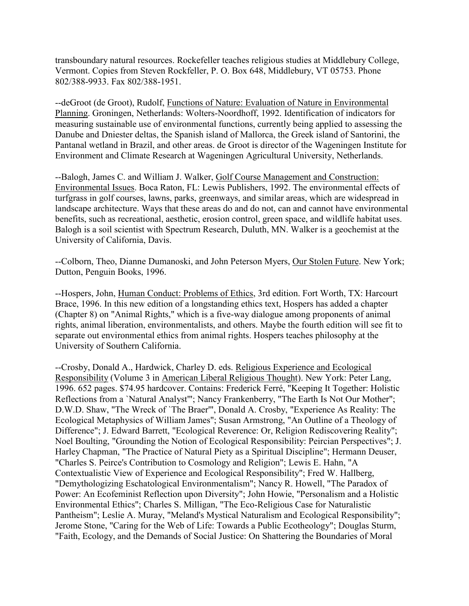transboundary natural resources. Rockefeller teaches religious studies at Middlebury College, Vermont. Copies from Steven Rockfeller, P. O. Box 648, Middlebury, VT 05753. Phone 802/388-9933. Fax 802/388-1951.

--deGroot (de Groot), Rudolf, Functions of Nature: Evaluation of Nature in Environmental Planning. Groningen, Netherlands: Wolters-Noordhoff, 1992. Identification of indicators for measuring sustainable use of environmental functions, currently being applied to assessing the Danube and Dniester deltas, the Spanish island of Mallorca, the Greek island of Santorini, the Pantanal wetland in Brazil, and other areas. de Groot is director of the Wageningen Institute for Environment and Climate Research at Wageningen Agricultural University, Netherlands.

--Balogh, James C. and William J. Walker, Golf Course Management and Construction: Environmental Issues. Boca Raton, FL: Lewis Publishers, 1992. The environmental effects of turfgrass in golf courses, lawns, parks, greenways, and similar areas, which are widespread in landscape architecture. Ways that these areas do and do not, can and cannot have environmental benefits, such as recreational, aesthetic, erosion control, green space, and wildlife habitat uses. Balogh is a soil scientist with Spectrum Research, Duluth, MN. Walker is a geochemist at the University of California, Davis.

--Colborn, Theo, Dianne Dumanoski, and John Peterson Myers, Our Stolen Future. New York; Dutton, Penguin Books, 1996.

--Hospers, John, Human Conduct: Problems of Ethics, 3rd edition. Fort Worth, TX: Harcourt Brace, 1996. In this new edition of a longstanding ethics text, Hospers has added a chapter (Chapter 8) on "Animal Rights," which is a five-way dialogue among proponents of animal rights, animal liberation, environmentalists, and others. Maybe the fourth edition will see fit to separate out environmental ethics from animal rights. Hospers teaches philosophy at the University of Southern California.

--Crosby, Donald A., Hardwick, Charley D. eds. Religious Experience and Ecological Responsibility (Volume 3 in American Liberal Religious Thought). New York: Peter Lang, 1996. 652 pages. \$74.95 hardcover. Contains: Frederick Ferré, "Keeping It Together: Holistic Reflections from a `Natural Analyst'"; Nancy Frankenberry, "The Earth Is Not Our Mother"; D.W.D. Shaw, "The Wreck of `The Braer'", Donald A. Crosby, "Experience As Reality: The Ecological Metaphysics of William James"; Susan Armstrong, "An Outline of a Theology of Difference"; J. Edward Barrett, "Ecological Reverence: Or, Religion Rediscovering Reality"; Noel Boulting, "Grounding the Notion of Ecological Responsibility: Peircian Perspectives"; J. Harley Chapman, "The Practice of Natural Piety as a Spiritual Discipline"; Hermann Deuser, "Charles S. Peirce's Contribution to Cosmology and Religion"; Lewis E. Hahn, "A Contextualistic View of Experience and Ecological Responsibility"; Fred W. Hallberg, "Demythologizing Eschatological Environmentalism"; Nancy R. Howell, "The Paradox of Power: An Ecofeminist Reflection upon Diversity"; John Howie, "Personalism and a Holistic Environmental Ethics"; Charles S. Milligan, "The Eco-Religious Case for Naturalistic Pantheism"; Leslie A. Muray, "Meland's Mystical Naturalism and Ecological Responsibility"; Jerome Stone, "Caring for the Web of Life: Towards a Public Ecotheology"; Douglas Sturm, "Faith, Ecology, and the Demands of Social Justice: On Shattering the Boundaries of Moral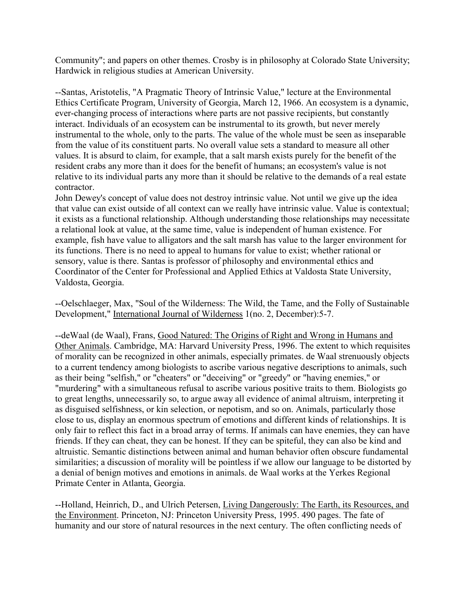Community"; and papers on other themes. Crosby is in philosophy at Colorado State University; Hardwick in religious studies at American University.

--Santas, Aristotelis, "A Pragmatic Theory of Intrinsic Value," lecture at the Environmental Ethics Certificate Program, University of Georgia, March 12, 1966. An ecosystem is a dynamic, ever-changing process of interactions where parts are not passive recipients, but constantly interact. Individuals of an ecosystem can be instrumental to its growth, but never merely instrumental to the whole, only to the parts. The value of the whole must be seen as inseparable from the value of its constituent parts. No overall value sets a standard to measure all other values. It is absurd to claim, for example, that a salt marsh exists purely for the benefit of the resident crabs any more than it does for the benefit of humans; an ecosystem's value is not relative to its individual parts any more than it should be relative to the demands of a real estate contractor.

John Dewey's concept of value does not destroy intrinsic value. Not until we give up the idea that value can exist outside of all context can we really have intrinsic value. Value is contextual; it exists as a functional relationship. Although understanding those relationships may necessitate a relational look at value, at the same time, value is independent of human existence. For example, fish have value to alligators and the salt marsh has value to the larger environment for its functions. There is no need to appeal to humans for value to exist; whether rational or sensory, value is there. Santas is professor of philosophy and environmental ethics and Coordinator of the Center for Professional and Applied Ethics at Valdosta State University, Valdosta, Georgia.

--Oelschlaeger, Max, "Soul of the Wilderness: The Wild, the Tame, and the Folly of Sustainable Development," International Journal of Wilderness 1(no. 2, December):5-7.

--deWaal (de Waal), Frans, Good Natured: The Origins of Right and Wrong in Humans and Other Animals. Cambridge, MA: Harvard University Press, 1996. The extent to which requisites of morality can be recognized in other animals, especially primates. de Waal strenuously objects to a current tendency among biologists to ascribe various negative descriptions to animals, such as their being "selfish," or "cheaters" or "deceiving" or "greedy" or "having enemies," or "murdering" with a simultaneous refusal to ascribe various positive traits to them. Biologists go to great lengths, unnecessarily so, to argue away all evidence of animal altruism, interpreting it as disguised selfishness, or kin selection, or nepotism, and so on. Animals, particularly those close to us, display an enormous spectrum of emotions and different kinds of relationships. It is only fair to reflect this fact in a broad array of terms. If animals can have enemies, they can have friends. If they can cheat, they can be honest. If they can be spiteful, they can also be kind and altruistic. Semantic distinctions between animal and human behavior often obscure fundamental similarities; a discussion of morality will be pointless if we allow our language to be distorted by a denial of benign motives and emotions in animals. de Waal works at the Yerkes Regional Primate Center in Atlanta, Georgia.

--Holland, Heinrich, D., and Ulrich Petersen, Living Dangerously: The Earth, its Resources, and the Environment. Princeton, NJ: Princeton University Press, 1995. 490 pages. The fate of humanity and our store of natural resources in the next century. The often conflicting needs of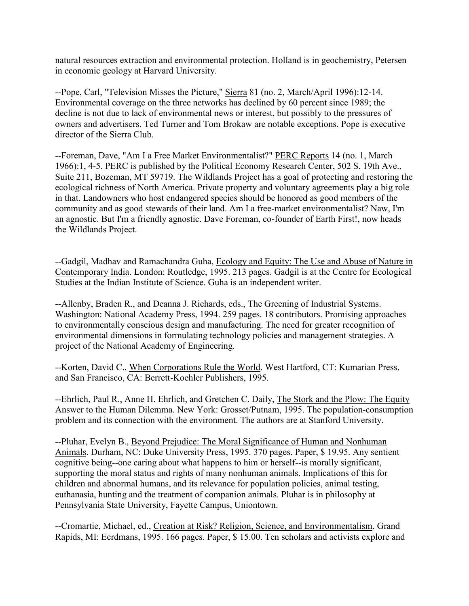natural resources extraction and environmental protection. Holland is in geochemistry, Petersen in economic geology at Harvard University.

--Pope, Carl, "Television Misses the Picture," Sierra 81 (no. 2, March/April 1996):12-14. Environmental coverage on the three networks has declined by 60 percent since 1989; the decline is not due to lack of environmental news or interest, but possibly to the pressures of owners and advertisers. Ted Turner and Tom Brokaw are notable exceptions. Pope is executive director of the Sierra Club.

--Foreman, Dave, "Am I a Free Market Environmentalist?" PERC Reports 14 (no. 1, March 1966):1, 4-5. PERC is published by the Political Economy Research Center, 502 S. 19th Ave., Suite 211, Bozeman, MT 59719. The Wildlands Project has a goal of protecting and restoring the ecological richness of North America. Private property and voluntary agreements play a big role in that. Landowners who host endangered species should be honored as good members of the community and as good stewards of their land. Am I a free-market environmentalist? Naw, I'm an agnostic. But I'm a friendly agnostic. Dave Foreman, co-founder of Earth First!, now heads the Wildlands Project.

--Gadgil, Madhav and Ramachandra Guha, Ecology and Equity: The Use and Abuse of Nature in Contemporary India. London: Routledge, 1995. 213 pages. Gadgil is at the Centre for Ecological Studies at the Indian Institute of Science. Guha is an independent writer.

--Allenby, Braden R., and Deanna J. Richards, eds., The Greening of Industrial Systems. Washington: National Academy Press, 1994. 259 pages. 18 contributors. Promising approaches to environmentally conscious design and manufacturing. The need for greater recognition of environmental dimensions in formulating technology policies and management strategies. A project of the National Academy of Engineering.

--Korten, David C., When Corporations Rule the World. West Hartford, CT: Kumarian Press, and San Francisco, CA: Berrett-Koehler Publishers, 1995.

--Ehrlich, Paul R., Anne H. Ehrlich, and Gretchen C. Daily, The Stork and the Plow: The Equity Answer to the Human Dilemma. New York: Grosset/Putnam, 1995. The population-consumption problem and its connection with the environment. The authors are at Stanford University.

--Pluhar, Evelyn B., Beyond Prejudice: The Moral Significance of Human and Nonhuman Animals. Durham, NC: Duke University Press, 1995. 370 pages. Paper, \$ 19.95. Any sentient cognitive being--one caring about what happens to him or herself--is morally significant, supporting the moral status and rights of many nonhuman animals. Implications of this for children and abnormal humans, and its relevance for population policies, animal testing, euthanasia, hunting and the treatment of companion animals. Pluhar is in philosophy at Pennsylvania State University, Fayette Campus, Uniontown.

--Cromartie, Michael, ed., Creation at Risk? Religion, Science, and Environmentalism. Grand Rapids, MI: Eerdmans, 1995. 166 pages. Paper, \$ 15.00. Ten scholars and activists explore and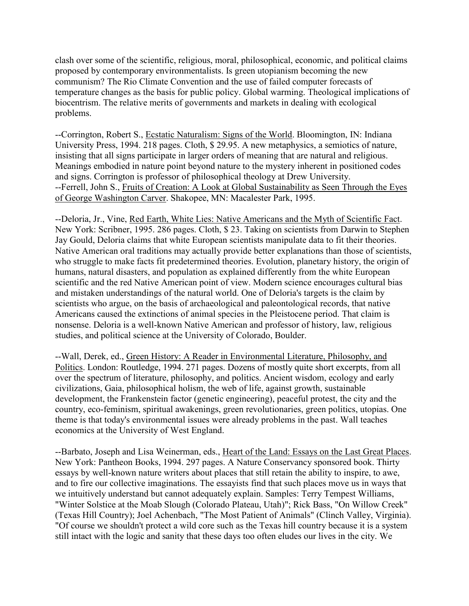clash over some of the scientific, religious, moral, philosophical, economic, and political claims proposed by contemporary environmentalists. Is green utopianism becoming the new communism? The Rio Climate Convention and the use of failed computer forecasts of temperature changes as the basis for public policy. Global warming. Theological implications of biocentrism. The relative merits of governments and markets in dealing with ecological problems.

--Corrington, Robert S., Ecstatic Naturalism: Signs of the World. Bloomington, IN: Indiana University Press, 1994. 218 pages. Cloth, \$ 29.95. A new metaphysics, a semiotics of nature, insisting that all signs participate in larger orders of meaning that are natural and religious. Meanings embodied in nature point beyond nature to the mystery inherent in positioned codes and signs. Corrington is professor of philosophical theology at Drew University. --Ferrell, John S., Fruits of Creation: A Look at Global Sustainability as Seen Through the Eyes of George Washington Carver. Shakopee, MN: Macalester Park, 1995.

--Deloria, Jr., Vine, Red Earth, White Lies: Native Americans and the Myth of Scientific Fact. New York: Scribner, 1995. 286 pages. Cloth, \$ 23. Taking on scientists from Darwin to Stephen Jay Gould, Deloria claims that white European scientists manipulate data to fit their theories. Native American oral traditions may actually provide better explanations than those of scientists, who struggle to make facts fit predetermined theories. Evolution, planetary history, the origin of humans, natural disasters, and population as explained differently from the white European scientific and the red Native American point of view. Modern science encourages cultural bias and mistaken understandings of the natural world. One of Deloria's targets is the claim by scientists who argue, on the basis of archaeological and paleontological records, that native Americans caused the extinctions of animal species in the Pleistocene period. That claim is nonsense. Deloria is a well-known Native American and professor of history, law, religious studies, and political science at the University of Colorado, Boulder.

--Wall, Derek, ed., Green History: A Reader in Environmental Literature, Philosophy, and Politics. London: Routledge, 1994. 271 pages. Dozens of mostly quite short excerpts, from all over the spectrum of literature, philosophy, and politics. Ancient wisdom, ecology and early civilizations, Gaia, philosophical holism, the web of life, against growth, sustainable development, the Frankenstein factor (genetic engineering), peaceful protest, the city and the country, eco-feminism, spiritual awakenings, green revolutionaries, green politics, utopias. One theme is that today's environmental issues were already problems in the past. Wall teaches economics at the University of West England.

--Barbato, Joseph and Lisa Weinerman, eds., Heart of the Land: Essays on the Last Great Places. New York: Pantheon Books, 1994. 297 pages. A Nature Conservancy sponsored book. Thirty essays by well-known nature writers about places that still retain the ability to inspire, to awe, and to fire our collective imaginations. The essayists find that such places move us in ways that we intuitively understand but cannot adequately explain. Samples: Terry Tempest Williams, "Winter Solstice at the Moab Slough (Colorado Plateau, Utah)"; Rick Bass, "On Willow Creek" (Texas Hill Country); Joel Achenbach, "The Most Patient of Animals" (Clinch Valley, Virginia). "Of course we shouldn't protect a wild core such as the Texas hill country because it is a system still intact with the logic and sanity that these days too often eludes our lives in the city. We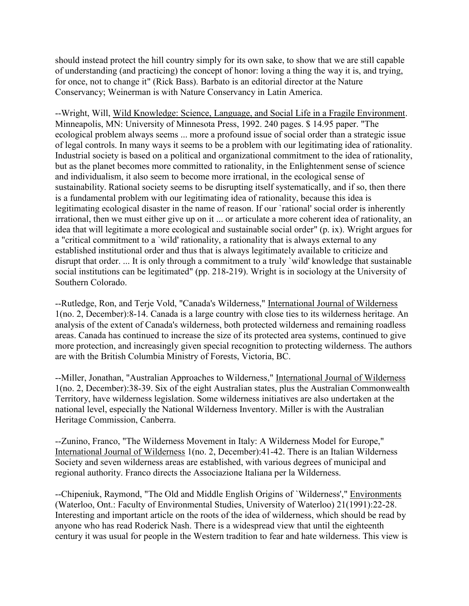should instead protect the hill country simply for its own sake, to show that we are still capable of understanding (and practicing) the concept of honor: loving a thing the way it is, and trying, for once, not to change it" (Rick Bass). Barbato is an editorial director at the Nature Conservancy; Weinerman is with Nature Conservancy in Latin America.

--Wright, Will, Wild Knowledge: Science, Language, and Social Life in a Fragile Environment. Minneapolis, MN: University of Minnesota Press, 1992. 240 pages. \$ 14.95 paper. "The ecological problem always seems ... more a profound issue of social order than a strategic issue of legal controls. In many ways it seems to be a problem with our legitimating idea of rationality. Industrial society is based on a political and organizational commitment to the idea of rationality, but as the planet becomes more committed to rationality, in the Enlightenment sense of science and individualism, it also seem to become more irrational, in the ecological sense of sustainability. Rational society seems to be disrupting itself systematically, and if so, then there is a fundamental problem with our legitimating idea of rationality, because this idea is legitimating ecological disaster in the name of reason. If our `rational' social order is inherently irrational, then we must either give up on it ... or articulate a more coherent idea of rationality, an idea that will legitimate a more ecological and sustainable social order" (p. ix). Wright argues for a "critical commitment to a `wild' rationality, a rationality that is always external to any established institutional order and thus that is always legitimately available to criticize and disrupt that order. ... It is only through a commitment to a truly `wild' knowledge that sustainable social institutions can be legitimated" (pp. 218-219). Wright is in sociology at the University of Southern Colorado.

--Rutledge, Ron, and Terje Vold, "Canada's Wilderness," International Journal of Wilderness 1(no. 2, December):8-14. Canada is a large country with close ties to its wilderness heritage. An analysis of the extent of Canada's wilderness, both protected wilderness and remaining roadless areas. Canada has continued to increase the size of its protected area systems, continued to give more protection, and increasingly given special recognition to protecting wilderness. The authors are with the British Columbia Ministry of Forests, Victoria, BC.

--Miller, Jonathan, "Australian Approaches to Wilderness," International Journal of Wilderness 1(no. 2, December):38-39. Six of the eight Australian states, plus the Australian Commonwealth Territory, have wilderness legislation. Some wilderness initiatives are also undertaken at the national level, especially the National Wilderness Inventory. Miller is with the Australian Heritage Commission, Canberra.

--Zunino, Franco, "The Wilderness Movement in Italy: A Wilderness Model for Europe," International Journal of Wilderness 1(no. 2, December):41-42. There is an Italian Wilderness Society and seven wilderness areas are established, with various degrees of municipal and regional authority. Franco directs the Associazione Italiana per la Wilderness.

--Chipeniuk, Raymond, "The Old and Middle English Origins of `Wilderness'," Environments (Waterloo, Ont.: Faculty of Environmental Studies, University of Waterloo) 21(1991):22-28. Interesting and important article on the roots of the idea of wilderness, which should be read by anyone who has read Roderick Nash. There is a widespread view that until the eighteenth century it was usual for people in the Western tradition to fear and hate wilderness. This view is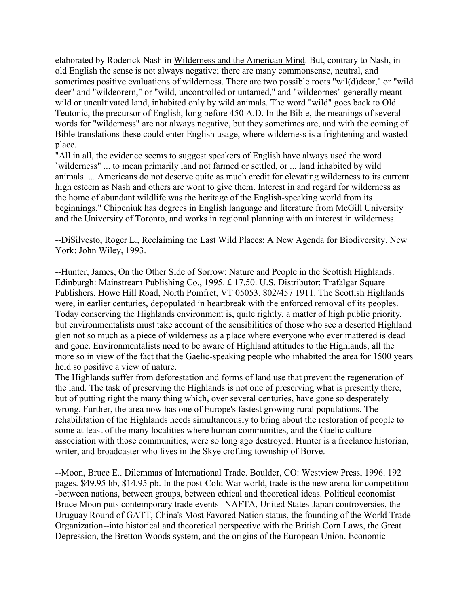elaborated by Roderick Nash in Wilderness and the American Mind. But, contrary to Nash, in old English the sense is not always negative; there are many commonsense, neutral, and sometimes positive evaluations of wilderness. There are two possible roots "wil(d)deor," or "wild deer" and "wildeorern," or "wild, uncontrolled or untamed," and "wildeornes" generally meant wild or uncultivated land, inhabited only by wild animals. The word "wild" goes back to Old Teutonic, the precursor of English, long before 450 A.D. In the Bible, the meanings of several words for "wilderness" are not always negative, but they sometimes are, and with the coming of Bible translations these could enter English usage, where wilderness is a frightening and wasted place.

"All in all, the evidence seems to suggest speakers of English have always used the word `wilderness" ... to mean primarily land not farmed or settled, or ... land inhabited by wild animals. ... Americans do not deserve quite as much credit for elevating wilderness to its current high esteem as Nash and others are wont to give them. Interest in and regard for wilderness as the home of abundant wildlife was the heritage of the English-speaking world from its beginnings." Chipeniuk has degrees in English language and literature from McGill University and the University of Toronto, and works in regional planning with an interest in wilderness.

--DiSilvesto, Roger L., Reclaiming the Last Wild Places: A New Agenda for Biodiversity. New York: John Wiley, 1993.

--Hunter, James, On the Other Side of Sorrow: Nature and People in the Scottish Highlands. Edinburgh: Mainstream Publishing Co., 1995. £ 17.50. U.S. Distributor: Trafalgar Square Publishers, Howe Hill Road, North Pomfret, VT 05053. 802/457 1911. The Scottish Highlands were, in earlier centuries, depopulated in heartbreak with the enforced removal of its peoples. Today conserving the Highlands environment is, quite rightly, a matter of high public priority, but environmentalists must take account of the sensibilities of those who see a deserted Highland glen not so much as a piece of wilderness as a place where everyone who ever mattered is dead and gone. Environmentalists need to be aware of Highland attitudes to the Highlands, all the more so in view of the fact that the Gaelic-speaking people who inhabited the area for 1500 years held so positive a view of nature.

The Highlands suffer from deforestation and forms of land use that prevent the regeneration of the land. The task of preserving the Highlands is not one of preserving what is presently there, but of putting right the many thing which, over several centuries, have gone so desperately wrong. Further, the area now has one of Europe's fastest growing rural populations. The rehabilitation of the Highlands needs simultaneously to bring about the restoration of people to some at least of the many localities where human communities, and the Gaelic culture association with those communities, were so long ago destroyed. Hunter is a freelance historian, writer, and broadcaster who lives in the Skye crofting township of Borve.

--Moon, Bruce E.. Dilemmas of International Trade. Boulder, CO: Westview Press, 1996. 192 pages. \$49.95 hb, \$14.95 pb. In the post-Cold War world, trade is the new arena for competition- -between nations, between groups, between ethical and theoretical ideas. Political economist Bruce Moon puts contemporary trade events--NAFTA, United States-Japan controversies, the Uruguay Round of GATT, China's Most Favored Nation status, the founding of the World Trade Organization--into historical and theoretical perspective with the British Corn Laws, the Great Depression, the Bretton Woods system, and the origins of the European Union. Economic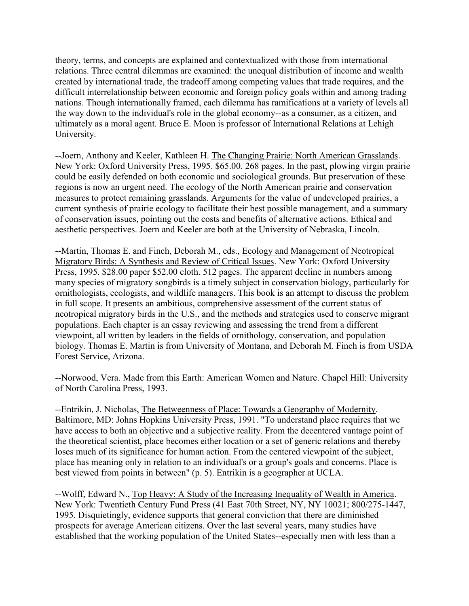theory, terms, and concepts are explained and contextualized with those from international relations. Three central dilemmas are examined: the unequal distribution of income and wealth created by international trade, the tradeoff among competing values that trade requires, and the difficult interrelationship between economic and foreign policy goals within and among trading nations. Though internationally framed, each dilemma has ramifications at a variety of levels all the way down to the individual's role in the global economy--as a consumer, as a citizen, and ultimately as a moral agent. Bruce E. Moon is professor of International Relations at Lehigh University.

--Joern, Anthony and Keeler, Kathleen H. The Changing Prairie: North American Grasslands. New York: Oxford University Press, 1995. \$65.00. 268 pages. In the past, plowing virgin prairie could be easily defended on both economic and sociological grounds. But preservation of these regions is now an urgent need. The ecology of the North American prairie and conservation measures to protect remaining grasslands. Arguments for the value of undeveloped prairies, a current synthesis of prairie ecology to facilitate their best possible management, and a summary of conservation issues, pointing out the costs and benefits of alternative actions. Ethical and aesthetic perspectives. Joern and Keeler are both at the University of Nebraska, Lincoln.

--Martin, Thomas E. and Finch, Deborah M., eds., Ecology and Management of Neotropical Migratory Birds: A Synthesis and Review of Critical Issues. New York: Oxford University Press, 1995. \$28.00 paper \$52.00 cloth. 512 pages. The apparent decline in numbers among many species of migratory songbirds is a timely subject in conservation biology, particularly for ornithologists, ecologists, and wildlife managers. This book is an attempt to discuss the problem in full scope. It presents an ambitious, comprehensive assessment of the current status of neotropical migratory birds in the U.S., and the methods and strategies used to conserve migrant populations. Each chapter is an essay reviewing and assessing the trend from a different viewpoint, all written by leaders in the fields of ornithology, conservation, and population biology. Thomas E. Martin is from University of Montana, and Deborah M. Finch is from USDA Forest Service, Arizona.

--Norwood, Vera. Made from this Earth: American Women and Nature. Chapel Hill: University of North Carolina Press, 1993.

--Entrikin, J. Nicholas, The Betweenness of Place: Towards a Geography of Modernity. Baltimore, MD: Johns Hopkins University Press, 1991. "To understand place requires that we have access to both an objective and a subjective reality. From the decentered vantage point of the theoretical scientist, place becomes either location or a set of generic relations and thereby loses much of its significance for human action. From the centered viewpoint of the subject, place has meaning only in relation to an individual's or a group's goals and concerns. Place is best viewed from points in between" (p. 5). Entrikin is a geographer at UCLA.

--Wolff, Edward N., Top Heavy: A Study of the Increasing Inequality of Wealth in America. New York: Twentieth Century Fund Press (41 East 70th Street, NY, NY 10021; 800/275-1447, 1995. Disquietingly, evidence supports that general conviction that there are diminished prospects for average American citizens. Over the last several years, many studies have established that the working population of the United States--especially men with less than a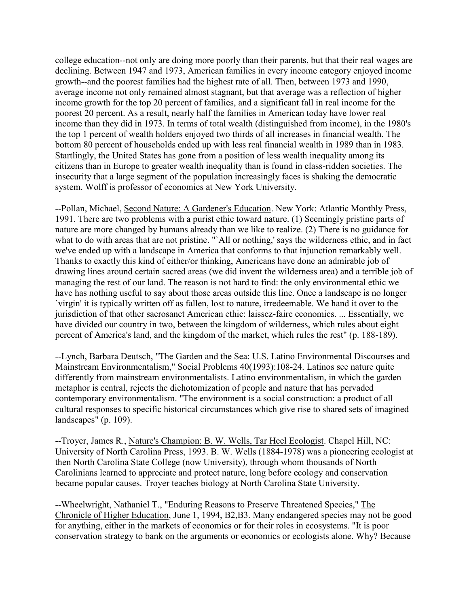college education--not only are doing more poorly than their parents, but that their real wages are declining. Between 1947 and 1973, American families in every income category enjoyed income growth--and the poorest families had the highest rate of all. Then, between 1973 and 1990, average income not only remained almost stagnant, but that average was a reflection of higher income growth for the top 20 percent of families, and a significant fall in real income for the poorest 20 percent. As a result, nearly half the families in American today have lower real income than they did in 1973. In terms of total wealth (distinguished from income), in the 1980's the top 1 percent of wealth holders enjoyed two thirds of all increases in financial wealth. The bottom 80 percent of households ended up with less real financial wealth in 1989 than in 1983. Startlingly, the United States has gone from a position of less wealth inequality among its citizens than in Europe to greater wealth inequality than is found in class-ridden societies. The insecurity that a large segment of the population increasingly faces is shaking the democratic system. Wolff is professor of economics at New York University.

--Pollan, Michael, Second Nature: A Gardener's Education. New York: Atlantic Monthly Press, 1991. There are two problems with a purist ethic toward nature. (1) Seemingly pristine parts of nature are more changed by humans already than we like to realize. (2) There is no guidance for what to do with areas that are not pristine. "`All or nothing,' says the wilderness ethic, and in fact we've ended up with a landscape in America that conforms to that injunction remarkably well. Thanks to exactly this kind of either/or thinking, Americans have done an admirable job of drawing lines around certain sacred areas (we did invent the wilderness area) and a terrible job of managing the rest of our land. The reason is not hard to find: the only environmental ethic we have has nothing useful to say about those areas outside this line. Once a landscape is no longer `virgin' it is typically written off as fallen, lost to nature, irredeemable. We hand it over to the jurisdiction of that other sacrosanct American ethic: laissez-faire economics. ... Essentially, we have divided our country in two, between the kingdom of wilderness, which rules about eight percent of America's land, and the kingdom of the market, which rules the rest" (p. 188-189).

--Lynch, Barbara Deutsch, "The Garden and the Sea: U.S. Latino Environmental Discourses and Mainstream Environmentalism," Social Problems 40(1993):108-24. Latinos see nature quite differently from mainstream environmentalists. Latino environmentalism, in which the garden metaphor is central, rejects the dichotomization of people and nature that has pervaded contemporary environmentalism. "The environment is a social construction: a product of all cultural responses to specific historical circumstances which give rise to shared sets of imagined landscapes" (p. 109).

--Troyer, James R., Nature's Champion: B. W. Wells, Tar Heel Ecologist. Chapel Hill, NC: University of North Carolina Press, 1993. B. W. Wells (1884-1978) was a pioneering ecologist at then North Carolina State College (now University), through whom thousands of North Carolinians learned to appreciate and protect nature, long before ecology and conservation became popular causes. Troyer teaches biology at North Carolina State University.

--Wheelwright, Nathaniel T., "Enduring Reasons to Preserve Threatened Species," The Chronicle of Higher Education, June 1, 1994, B2,B3. Many endangered species may not be good for anything, either in the markets of economics or for their roles in ecosystems. "It is poor conservation strategy to bank on the arguments or economics or ecologists alone. Why? Because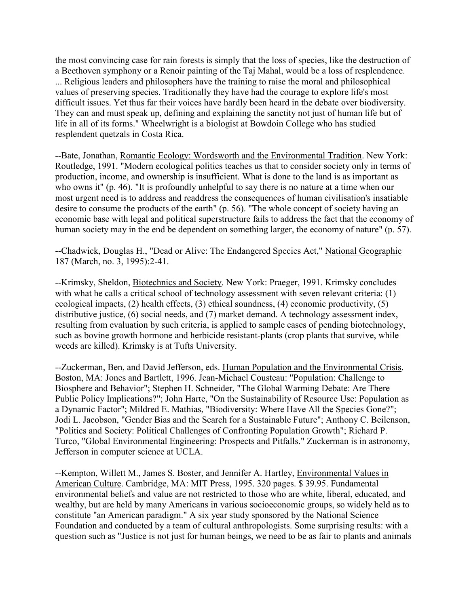the most convincing case for rain forests is simply that the loss of species, like the destruction of a Beethoven symphony or a Renoir painting of the Taj Mahal, would be a loss of resplendence. ... Religious leaders and philosophers have the training to raise the moral and philosophical values of preserving species. Traditionally they have had the courage to explore life's most difficult issues. Yet thus far their voices have hardly been heard in the debate over biodiversity. They can and must speak up, defining and explaining the sanctity not just of human life but of life in all of its forms." Wheelwright is a biologist at Bowdoin College who has studied resplendent quetzals in Costa Rica.

--Bate, Jonathan, Romantic Ecology: Wordsworth and the Environmental Tradition. New York: Routledge, 1991. "Modern ecological politics teaches us that to consider society only in terms of production, income, and ownership is insufficient. What is done to the land is as important as who owns it" (p. 46). "It is profoundly unhelpful to say there is no nature at a time when our most urgent need is to address and readdress the consequences of human civilisation's insatiable desire to consume the products of the earth" (p. 56). "The whole concept of society having an economic base with legal and political superstructure fails to address the fact that the economy of human society may in the end be dependent on something larger, the economy of nature" (p. 57).

--Chadwick, Douglas H., "Dead or Alive: The Endangered Species Act," National Geographic 187 (March, no. 3, 1995):2-41.

--Krimsky, Sheldon, Biotechnics and Society. New York: Praeger, 1991. Krimsky concludes with what he calls a critical school of technology assessment with seven relevant criteria: (1) ecological impacts, (2) health effects, (3) ethical soundness, (4) economic productivity, (5) distributive justice, (6) social needs, and (7) market demand. A technology assessment index, resulting from evaluation by such criteria, is applied to sample cases of pending biotechnology, such as bovine growth hormone and herbicide resistant-plants (crop plants that survive, while weeds are killed). Krimsky is at Tufts University.

--Zuckerman, Ben, and David Jefferson, eds. Human Population and the Environmental Crisis. Boston, MA: Jones and Bartlett, 1996. Jean-Michael Cousteau: "Population: Challenge to Biosphere and Behavior"; Stephen H. Schneider, "The Global Warming Debate: Are There Public Policy Implications?"; John Harte, "On the Sustainability of Resource Use: Population as a Dynamic Factor"; Mildred E. Mathias, "Biodiversity: Where Have All the Species Gone?"; Jodi L. Jacobson, "Gender Bias and the Search for a Sustainable Future"; Anthony C. Beilenson, "Politics and Society: Political Challenges of Confronting Population Growth"; Richard P. Turco, "Global Environmental Engineering: Prospects and Pitfalls." Zuckerman is in astronomy, Jefferson in computer science at UCLA.

--Kempton, Willett M., James S. Boster, and Jennifer A. Hartley, Environmental Values in American Culture. Cambridge, MA: MIT Press, 1995. 320 pages. \$ 39.95. Fundamental environmental beliefs and value are not restricted to those who are white, liberal, educated, and wealthy, but are held by many Americans in various socioeconomic groups, so widely held as to constitute "an American paradigm." A six year study sponsored by the National Science Foundation and conducted by a team of cultural anthropologists. Some surprising results: with a question such as "Justice is not just for human beings, we need to be as fair to plants and animals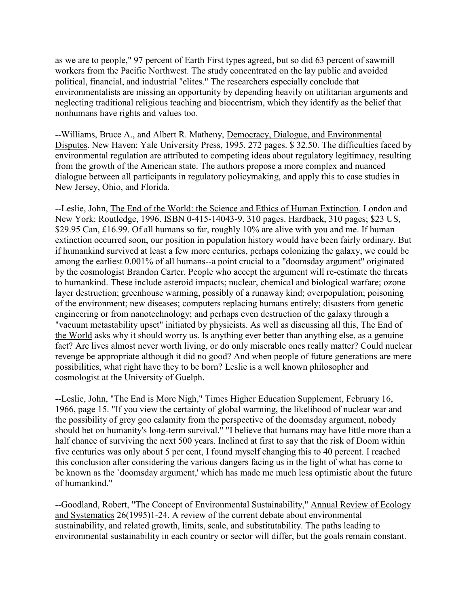as we are to people," 97 percent of Earth First types agreed, but so did 63 percent of sawmill workers from the Pacific Northwest. The study concentrated on the lay public and avoided political, financial, and industrial "elites." The researchers especially conclude that environmentalists are missing an opportunity by depending heavily on utilitarian arguments and neglecting traditional religious teaching and biocentrism, which they identify as the belief that nonhumans have rights and values too.

--Williams, Bruce A., and Albert R. Matheny, Democracy, Dialogue, and Environmental Disputes. New Haven: Yale University Press, 1995. 272 pages. \$ 32.50. The difficulties faced by environmental regulation are attributed to competing ideas about regulatory legitimacy, resulting from the growth of the American state. The authors propose a more complex and nuanced dialogue between all participants in regulatory policymaking, and apply this to case studies in New Jersey, Ohio, and Florida.

--Leslie, John, The End of the World: the Science and Ethics of Human Extinction. London and New York: Routledge, 1996. ISBN 0-415-14043-9. 310 pages. Hardback, 310 pages; \$23 US, \$29.95 Can, £16.99. Of all humans so far, roughly 10% are alive with you and me. If human extinction occurred soon, our position in population history would have been fairly ordinary. But if humankind survived at least a few more centuries, perhaps colonizing the galaxy, we could be among the earliest 0.001% of all humans--a point crucial to a "doomsday argument" originated by the cosmologist Brandon Carter. People who accept the argument will re-estimate the threats to humankind. These include asteroid impacts; nuclear, chemical and biological warfare; ozone layer destruction; greenhouse warming, possibly of a runaway kind; overpopulation; poisoning of the environment; new diseases; computers replacing humans entirely; disasters from genetic engineering or from nanotechnology; and perhaps even destruction of the galaxy through a "vacuum metastability upset" initiated by physicists. As well as discussing all this, The End of the World asks why it should worry us. Is anything ever better than anything else, as a genuine fact? Are lives almost never worth living, or do only miserable ones really matter? Could nuclear revenge be appropriate although it did no good? And when people of future generations are mere possibilities, what right have they to be born? Leslie is a well known philosopher and cosmologist at the University of Guelph.

--Leslie, John, "The End is More Nigh," Times Higher Education Supplement, February 16, 1966, page 15. "If you view the certainty of global warming, the likelihood of nuclear war and the possibility of grey goo calamity from the perspective of the doomsday argument, nobody should bet on humanity's long-term survival." "I believe that humans may have little more than a half chance of surviving the next 500 years. Inclined at first to say that the risk of Doom within five centuries was only about 5 per cent, I found myself changing this to 40 percent. I reached this conclusion after considering the various dangers facing us in the light of what has come to be known as the `doomsday argument,' which has made me much less optimistic about the future of humankind."

--Goodland, Robert, "The Concept of Environmental Sustainability," Annual Review of Ecology and Systematics 26(1995)1-24. A review of the current debate about environmental sustainability, and related growth, limits, scale, and substitutability. The paths leading to environmental sustainability in each country or sector will differ, but the goals remain constant.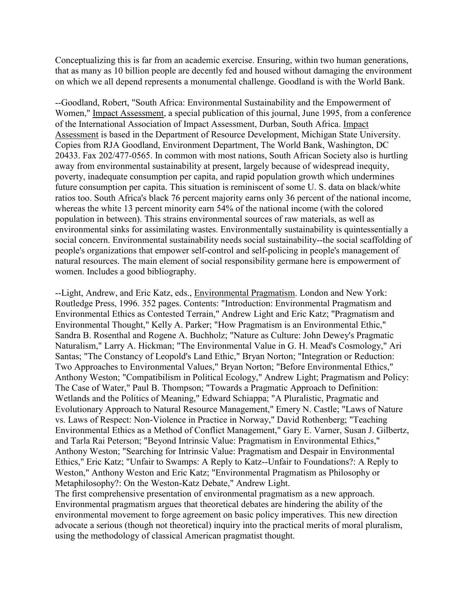Conceptualizing this is far from an academic exercise. Ensuring, within two human generations, that as many as 10 billion people are decently fed and housed without damaging the environment on which we all depend represents a monumental challenge. Goodland is with the World Bank.

--Goodland, Robert, "South Africa: Environmental Sustainability and the Empowerment of Women," Impact Assessment, a special publication of this journal, June 1995, from a conference of the International Association of Impact Assessment, Durban, South Africa. Impact Assessment is based in the Department of Resource Development, Michigan State University. Copies from RJA Goodland, Environment Department, The World Bank, Washington, DC 20433. Fax 202/477-0565. In common with most nations, South African Society also is hurtling away from environmental sustainability at present, largely because of widespread inequity, poverty, inadequate consumption per capita, and rapid population growth which undermines future consumption per capita. This situation is reminiscent of some U. S. data on black/white ratios too. South Africa's black 76 percent majority earns only 36 percent of the national income, whereas the white 13 percent minority earn 54% of the national income (with the colored population in between). This strains environmental sources of raw materials, as well as environmental sinks for assimilating wastes. Environmentally sustainability is quintessentially a social concern. Environmental sustainability needs social sustainability--the social scaffolding of people's organizations that empower self-control and self-policing in people's management of natural resources. The main element of social responsibility germane here is empowerment of women. Includes a good bibliography.

--Light, Andrew, and Eric Katz, eds., Environmental Pragmatism. London and New York: Routledge Press, 1996. 352 pages. Contents: "Introduction: Environmental Pragmatism and Environmental Ethics as Contested Terrain," Andrew Light and Eric Katz; "Pragmatism and Environmental Thought," Kelly A. Parker; "How Pragmatism is an Environmental Ethic," Sandra B. Rosenthal and Rogene A. Buchholz; "Nature as Culture: John Dewey's Pragmatic Naturalism," Larry A. Hickman; "The Environmental Value in G. H. Mead's Cosmology," Ari Santas; "The Constancy of Leopold's Land Ethic," Bryan Norton; "Integration or Reduction: Two Approaches to Environmental Values," Bryan Norton; "Before Environmental Ethics," Anthony Weston; "Compatibilism in Political Ecology," Andrew Light; Pragmatism and Policy: The Case of Water," Paul B. Thompson; "Towards a Pragmatic Approach to Definition: Wetlands and the Politics of Meaning," Edward Schiappa; "A Pluralistic, Pragmatic and Evolutionary Approach to Natural Resource Management," Emery N. Castle; "Laws of Nature vs. Laws of Respect: Non-Violence in Practice in Norway," David Rothenberg; "Teaching Environmental Ethics as a Method of Conflict Management," Gary E. Varner, Susan J. Gilbertz, and Tarla Rai Peterson; "Beyond Intrinsic Value: Pragmatism in Environmental Ethics," Anthony Weston; "Searching for Intrinsic Value: Pragmatism and Despair in Environmental Ethics," Eric Katz; "Unfair to Swamps: A Reply to Katz--Unfair to Foundations?: A Reply to Weston," Anthony Weston and Eric Katz; "Environmental Pragmatism as Philosophy or Metaphilosophy?: On the Weston-Katz Debate," Andrew Light.

The first comprehensive presentation of environmental pragmatism as a new approach. Environmental pragmatism argues that theoretical debates are hindering the ability of the environmental movement to forge agreement on basic policy imperatives. This new direction advocate a serious (though not theoretical) inquiry into the practical merits of moral pluralism, using the methodology of classical American pragmatist thought.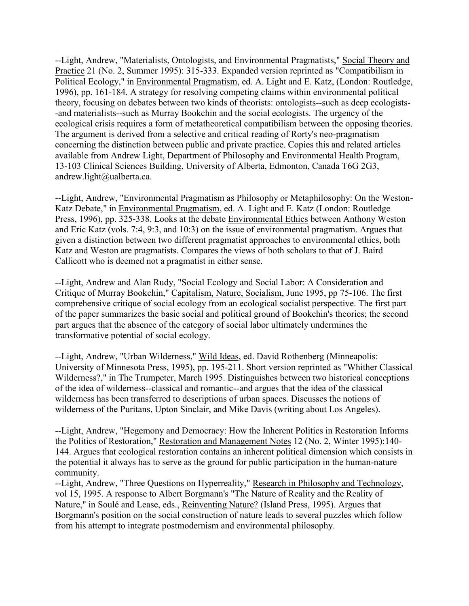--Light, Andrew, "Materialists, Ontologists, and Environmental Pragmatists," Social Theory and Practice 21 (No. 2, Summer 1995): 315-333. Expanded version reprinted as "Compatibilism in Political Ecology," in Environmental Pragmatism, ed. A. Light and E. Katz, (London: Routledge, 1996), pp. 161-184. A strategy for resolving competing claims within environmental political theory, focusing on debates between two kinds of theorists: ontologists--such as deep ecologists- -and materialists--such as Murray Bookchin and the social ecologists. The urgency of the ecological crisis requires a form of metatheoretical compatibilism between the opposing theories. The argument is derived from a selective and critical reading of Rorty's neo-pragmatism concerning the distinction between public and private practice. Copies this and related articles available from Andrew Light, Department of Philosophy and Environmental Health Program, 13-103 Clinical Sciences Building, University of Alberta, Edmonton, Canada T6G 2G3, andrew.light@ualberta.ca.

--Light, Andrew, "Environmental Pragmatism as Philosophy or Metaphilosophy: On the Weston-Katz Debate," in Environmental Pragmatism, ed. A. Light and E. Katz (London: Routledge Press, 1996), pp. 325-338. Looks at the debate Environmental Ethics between Anthony Weston and Eric Katz (vols. 7:4, 9:3, and 10:3) on the issue of environmental pragmatism. Argues that given a distinction between two different pragmatist approaches to environmental ethics, both Katz and Weston are pragmatists. Compares the views of both scholars to that of J. Baird Callicott who is deemed not a pragmatist in either sense.

--Light, Andrew and Alan Rudy, "Social Ecology and Social Labor: A Consideration and Critique of Murray Bookchin," Capitalism, Nature, Socialism, June 1995, pp 75-106. The first comprehensive critique of social ecology from an ecological socialist perspective. The first part of the paper summarizes the basic social and political ground of Bookchin's theories; the second part argues that the absence of the category of social labor ultimately undermines the transformative potential of social ecology.

--Light, Andrew, "Urban Wilderness," Wild Ideas, ed. David Rothenberg (Minneapolis: University of Minnesota Press, 1995), pp. 195-211. Short version reprinted as "Whither Classical Wilderness?," in The Trumpeter, March 1995. Distinguishes between two historical conceptions of the idea of wilderness--classical and romantic--and argues that the idea of the classical wilderness has been transferred to descriptions of urban spaces. Discusses the notions of wilderness of the Puritans, Upton Sinclair, and Mike Davis (writing about Los Angeles).

--Light, Andrew, "Hegemony and Democracy: How the Inherent Politics in Restoration Informs the Politics of Restoration," Restoration and Management Notes 12 (No. 2, Winter 1995):140- 144. Argues that ecological restoration contains an inherent political dimension which consists in the potential it always has to serve as the ground for public participation in the human-nature community.

--Light, Andrew, "Three Questions on Hyperreality," Research in Philosophy and Technology, vol 15, 1995. A response to Albert Borgmann's "The Nature of Reality and the Reality of Nature," in Soulé and Lease, eds., Reinventing Nature? (Island Press, 1995). Argues that Borgmann's position on the social construction of nature leads to several puzzles which follow from his attempt to integrate postmodernism and environmental philosophy.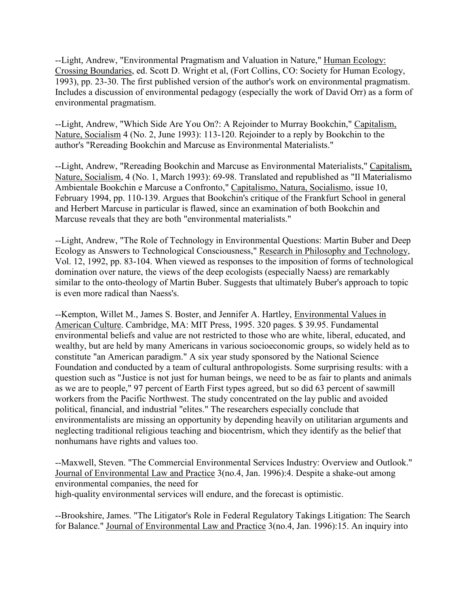--Light, Andrew, "Environmental Pragmatism and Valuation in Nature," Human Ecology: Crossing Boundaries, ed. Scott D. Wright et al, (Fort Collins, CO: Society for Human Ecology, 1993), pp. 23-30. The first published version of the author's work on environmental pragmatism. Includes a discussion of environmental pedagogy (especially the work of David Orr) as a form of environmental pragmatism.

--Light, Andrew, "Which Side Are You On?: A Rejoinder to Murray Bookchin," Capitalism, Nature, Socialism 4 (No. 2, June 1993): 113-120. Rejoinder to a reply by Bookchin to the author's "Rereading Bookchin and Marcuse as Environmental Materialists."

--Light, Andrew, "Rereading Bookchin and Marcuse as Environmental Materialists," Capitalism, Nature, Socialism, 4 (No. 1, March 1993): 69-98. Translated and republished as "Il Materialismo Ambientale Bookchin e Marcuse a Confronto," Capitalismo, Natura, Socialismo, issue 10, February 1994, pp. 110-139. Argues that Bookchin's critique of the Frankfurt School in general and Herbert Marcuse in particular is flawed, since an examination of both Bookchin and Marcuse reveals that they are both "environmental materialists."

--Light, Andrew, "The Role of Technology in Environmental Questions: Martin Buber and Deep Ecology as Answers to Technological Consciousness," Research in Philosophy and Technology, Vol. 12, 1992, pp. 83-104. When viewed as responses to the imposition of forms of technological domination over nature, the views of the deep ecologists (especially Naess) are remarkably similar to the onto-theology of Martin Buber. Suggests that ultimately Buber's approach to topic is even more radical than Naess's.

--Kempton, Willet M., James S. Boster, and Jennifer A. Hartley, Environmental Values in American Culture. Cambridge, MA: MIT Press, 1995. 320 pages. \$ 39.95. Fundamental environmental beliefs and value are not restricted to those who are white, liberal, educated, and wealthy, but are held by many Americans in various socioeconomic groups, so widely held as to constitute "an American paradigm." A six year study sponsored by the National Science Foundation and conducted by a team of cultural anthropologists. Some surprising results: with a question such as "Justice is not just for human beings, we need to be as fair to plants and animals as we are to people," 97 percent of Earth First types agreed, but so did 63 percent of sawmill workers from the Pacific Northwest. The study concentrated on the lay public and avoided political, financial, and industrial "elites." The researchers especially conclude that environmentalists are missing an opportunity by depending heavily on utilitarian arguments and neglecting traditional religious teaching and biocentrism, which they identify as the belief that nonhumans have rights and values too.

--Maxwell, Steven. "The Commercial Environmental Services Industry: Overview and Outlook." Journal of Environmental Law and Practice 3(no.4, Jan. 1996):4. Despite a shake-out among environmental companies, the need for high-quality environmental services will endure, and the forecast is optimistic.

--Brookshire, James. "The Litigator's Role in Federal Regulatory Takings Litigation: The Search for Balance." Journal of Environmental Law and Practice 3(no.4, Jan. 1996):15. An inquiry into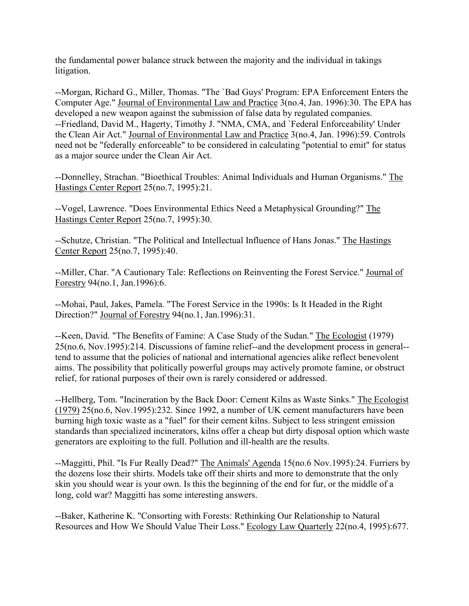the fundamental power balance struck between the majority and the individual in takings litigation.

--Morgan, Richard G., Miller, Thomas. "The `Bad Guys' Program: EPA Enforcement Enters the Computer Age." Journal of Environmental Law and Practice 3(no.4, Jan. 1996):30. The EPA has developed a new weapon against the submission of false data by regulated companies. --Friedland, David M., Hagerty, Timothy J. "NMA, CMA, and `Federal Enforceability' Under the Clean Air Act." Journal of Environmental Law and Practice 3(no.4, Jan. 1996):59. Controls need not be "federally enforceable" to be considered in calculating "potential to emit" for status as a major source under the Clean Air Act.

--Donnelley, Strachan. "Bioethical Troubles: Animal Individuals and Human Organisms." The Hastings Center Report 25(no.7, 1995):21.

--Vogel, Lawrence. "Does Environmental Ethics Need a Metaphysical Grounding?" The Hastings Center Report 25(no.7, 1995):30.

--Schutze, Christian. "The Political and Intellectual Influence of Hans Jonas." The Hastings Center Report 25(no.7, 1995):40.

--Miller, Char. "A Cautionary Tale: Reflections on Reinventing the Forest Service." Journal of Forestry 94(no.1, Jan.1996):6.

--Mohai, Paul, Jakes, Pamela. "The Forest Service in the 1990s: Is It Headed in the Right Direction?" Journal of Forestry 94(no.1, Jan.1996):31.

--Keen, David. "The Benefits of Famine: A Case Study of the Sudan." The Ecologist (1979) 25(no.6, Nov.1995):214. Discussions of famine relief--and the development process in general- tend to assume that the policies of national and international agencies alike reflect benevolent aims. The possibility that politically powerful groups may actively promote famine, or obstruct relief, for rational purposes of their own is rarely considered or addressed.

--Hellberg, Tom. "Incineration by the Back Door: Cement Kilns as Waste Sinks." The Ecologist (1979) 25(no.6, Nov.1995):232. Since 1992, a number of UK cement manufacturers have been burning high toxic waste as a "fuel" for their cement kilns. Subject to less stringent emission standards than specialized incinerators, kilns offer a cheap but dirty disposal option which waste generators are exploiting to the full. Pollution and ill-health are the results.

--Maggitti, Phil. "Is Fur Really Dead?" The Animals' Agenda 15(no.6 Nov.1995):24. Furriers by the dozens lose their shirts. Models take off their shirts and more to demonstrate that the only skin you should wear is your own. Is this the beginning of the end for fur, or the middle of a long, cold war? Maggitti has some interesting answers.

--Baker, Katherine K. "Consorting with Forests: Rethinking Our Relationship to Natural Resources and How We Should Value Their Loss." Ecology Law Quarterly 22(no.4, 1995):677.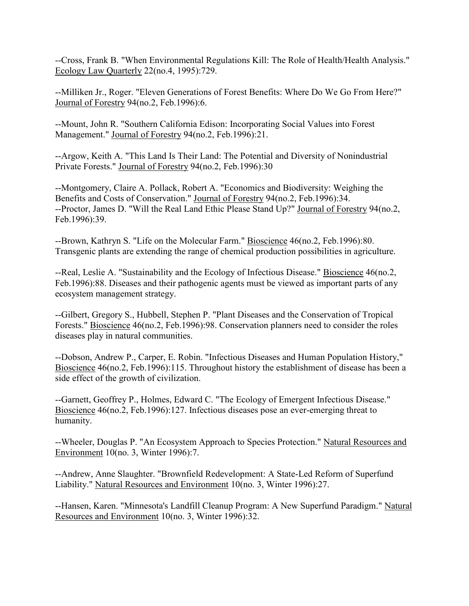--Cross, Frank B. "When Environmental Regulations Kill: The Role of Health/Health Analysis." Ecology Law Quarterly 22(no.4, 1995):729.

--Milliken Jr., Roger. "Eleven Generations of Forest Benefits: Where Do We Go From Here?" Journal of Forestry 94(no.2, Feb.1996):6.

--Mount, John R. "Southern California Edison: Incorporating Social Values into Forest Management." Journal of Forestry 94(no.2, Feb.1996):21.

--Argow, Keith A. "This Land Is Their Land: The Potential and Diversity of Nonindustrial Private Forests." Journal of Forestry 94(no.2, Feb.1996):30

--Montgomery, Claire A. Pollack, Robert A. "Economics and Biodiversity: Weighing the Benefits and Costs of Conservation." Journal of Forestry 94(no.2, Feb.1996):34. --Proctor, James D. "Will the Real Land Ethic Please Stand Up?" Journal of Forestry 94(no.2, Feb.1996):39.

--Brown, Kathryn S. "Life on the Molecular Farm." Bioscience 46(no.2, Feb.1996):80. Transgenic plants are extending the range of chemical production possibilities in agriculture.

--Real, Leslie A. "Sustainability and the Ecology of Infectious Disease." Bioscience 46(no.2, Feb.1996):88. Diseases and their pathogenic agents must be viewed as important parts of any ecosystem management strategy.

--Gilbert, Gregory S., Hubbell, Stephen P. "Plant Diseases and the Conservation of Tropical Forests." Bioscience 46(no.2, Feb.1996):98. Conservation planners need to consider the roles diseases play in natural communities.

--Dobson, Andrew P., Carper, E. Robin. "Infectious Diseases and Human Population History," Bioscience 46(no.2, Feb.1996):115. Throughout history the establishment of disease has been a side effect of the growth of civilization.

--Garnett, Geoffrey P., Holmes, Edward C. "The Ecology of Emergent Infectious Disease." Bioscience 46(no.2, Feb.1996):127. Infectious diseases pose an ever-emerging threat to humanity.

--Wheeler, Douglas P. "An Ecosystem Approach to Species Protection." Natural Resources and Environment 10(no. 3, Winter 1996):7.

--Andrew, Anne Slaughter. "Brownfield Redevelopment: A State-Led Reform of Superfund Liability." Natural Resources and Environment 10(no. 3, Winter 1996):27.

--Hansen, Karen. "Minnesota's Landfill Cleanup Program: A New Superfund Paradigm." Natural Resources and Environment 10(no. 3, Winter 1996):32.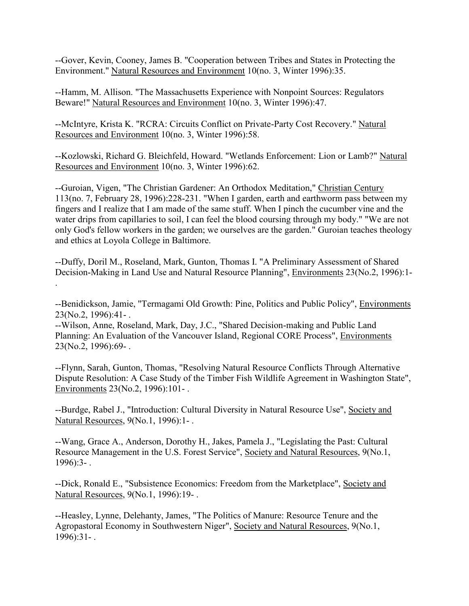--Gover, Kevin, Cooney, James B. "Cooperation between Tribes and States in Protecting the Environment." Natural Resources and Environment 10(no. 3, Winter 1996):35.

--Hamm, M. Allison. "The Massachusetts Experience with Nonpoint Sources: Regulators Beware!" Natural Resources and Environment 10(no. 3, Winter 1996):47.

--McIntyre, Krista K. "RCRA: Circuits Conflict on Private-Party Cost Recovery." Natural Resources and Environment 10(no. 3, Winter 1996):58.

--Kozlowski, Richard G. Bleichfeld, Howard. "Wetlands Enforcement: Lion or Lamb?" Natural Resources and Environment 10(no. 3, Winter 1996):62.

--Guroian, Vigen, "The Christian Gardener: An Orthodox Meditation," Christian Century 113(no. 7, February 28, 1996):228-231. "When I garden, earth and earthworm pass between my fingers and I realize that I am made of the same stuff. When I pinch the cucumber vine and the water drips from capillaries to soil, I can feel the blood coursing through my body." "We are not only God's fellow workers in the garden; we ourselves are the garden." Guroian teaches theology and ethics at Loyola College in Baltimore.

--Duffy, Doril M., Roseland, Mark, Gunton, Thomas I. "A Preliminary Assessment of Shared Decision-Making in Land Use and Natural Resource Planning", Environments 23(No.2, 1996):1- .

--Benidickson, Jamie, "Termagami Old Growth: Pine, Politics and Public Policy", Environments 23(No.2, 1996):41- .

--Wilson, Anne, Roseland, Mark, Day, J.C., "Shared Decision-making and Public Land Planning: An Evaluation of the Vancouver Island, Regional CORE Process", Environments 23(No.2, 1996):69- .

--Flynn, Sarah, Gunton, Thomas, "Resolving Natural Resource Conflicts Through Alternative Dispute Resolution: A Case Study of the Timber Fish Wildlife Agreement in Washington State", Environments 23(No.2, 1996):101- .

--Burdge, Rabel J., "Introduction: Cultural Diversity in Natural Resource Use", Society and Natural Resources, 9(No.1, 1996):1- .

--Wang, Grace A., Anderson, Dorothy H., Jakes, Pamela J., "Legislating the Past: Cultural Resource Management in the U.S. Forest Service", Society and Natural Resources, 9(No.1, 1996):3- .

--Dick, Ronald E., "Subsistence Economics: Freedom from the Marketplace", Society and Natural Resources, 9(No.1, 1996):19- .

--Heasley, Lynne, Delehanty, James, "The Politics of Manure: Resource Tenure and the Agropastoral Economy in Southwestern Niger", Society and Natural Resources, 9(No.1, 1996):31- .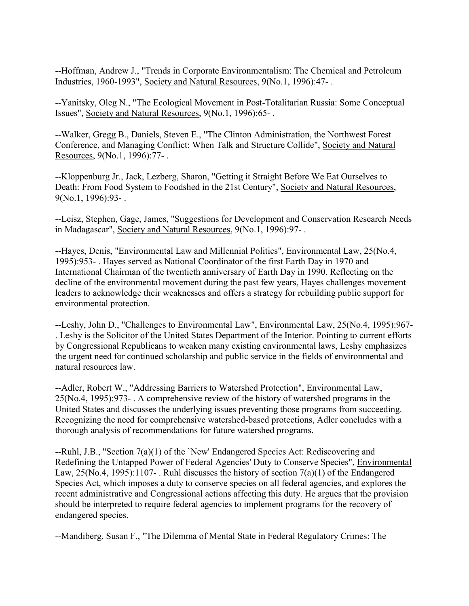--Hoffman, Andrew J., "Trends in Corporate Environmentalism: The Chemical and Petroleum Industries, 1960-1993", Society and Natural Resources, 9(No.1, 1996):47- .

--Yanitsky, Oleg N., "The Ecological Movement in Post-Totalitarian Russia: Some Conceptual Issues", Society and Natural Resources, 9(No.1, 1996):65- .

--Walker, Gregg B., Daniels, Steven E., "The Clinton Administration, the Northwest Forest Conference, and Managing Conflict: When Talk and Structure Collide", Society and Natural Resources, 9(No.1, 1996):77- .

--Kloppenburg Jr., Jack, Lezberg, Sharon, "Getting it Straight Before We Eat Ourselves to Death: From Food System to Foodshed in the 21st Century", Society and Natural Resources, 9(No.1, 1996):93- .

--Leisz, Stephen, Gage, James, "Suggestions for Development and Conservation Research Needs in Madagascar", Society and Natural Resources, 9(No.1, 1996):97- .

--Hayes, Denis, "Environmental Law and Millennial Politics", Environmental Law, 25(No.4, 1995):953- . Hayes served as National Coordinator of the first Earth Day in 1970 and International Chairman of the twentieth anniversary of Earth Day in 1990. Reflecting on the decline of the environmental movement during the past few years, Hayes challenges movement leaders to acknowledge their weaknesses and offers a strategy for rebuilding public support for environmental protection.

--Leshy, John D., "Challenges to Environmental Law", Environmental Law, 25(No.4, 1995):967- . Leshy is the Solicitor of the United States Department of the Interior. Pointing to current efforts by Congressional Republicans to weaken many existing environmental laws, Leshy emphasizes the urgent need for continued scholarship and public service in the fields of environmental and natural resources law.

--Adler, Robert W., "Addressing Barriers to Watershed Protection", Environmental Law, 25(No.4, 1995):973- . A comprehensive review of the history of watershed programs in the United States and discusses the underlying issues preventing those programs from succeeding. Recognizing the need for comprehensive watershed-based protections, Adler concludes with a thorough analysis of recommendations for future watershed programs.

--Ruhl, J.B., "Section 7(a)(1) of the `New' Endangered Species Act: Rediscovering and Redefining the Untapped Power of Federal Agencies' Duty to Conserve Species", Environmental Law,  $25(N_0.4, 1995)$ :1107-. Ruhl discusses the history of section  $7(a)(1)$  of the Endangered Species Act, which imposes a duty to conserve species on all federal agencies, and explores the recent administrative and Congressional actions affecting this duty. He argues that the provision should be interpreted to require federal agencies to implement programs for the recovery of endangered species.

--Mandiberg, Susan F., "The Dilemma of Mental State in Federal Regulatory Crimes: The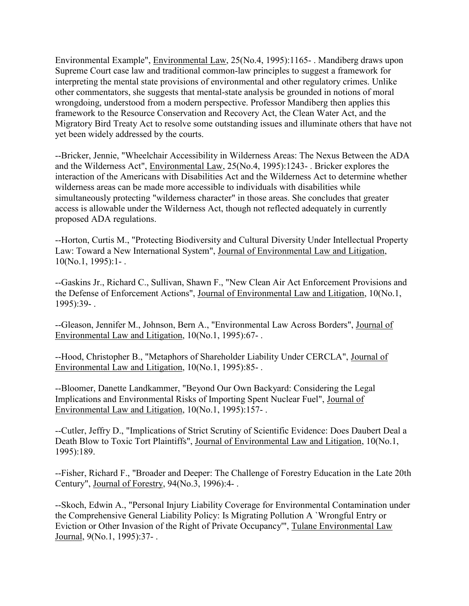Environmental Example", Environmental Law, 25(No.4, 1995):1165- . Mandiberg draws upon Supreme Court case law and traditional common-law principles to suggest a framework for interpreting the mental state provisions of environmental and other regulatory crimes. Unlike other commentators, she suggests that mental-state analysis be grounded in notions of moral wrongdoing, understood from a modern perspective. Professor Mandiberg then applies this framework to the Resource Conservation and Recovery Act, the Clean Water Act, and the Migratory Bird Treaty Act to resolve some outstanding issues and illuminate others that have not yet been widely addressed by the courts.

--Bricker, Jennie, "Wheelchair Accessibility in Wilderness Areas: The Nexus Between the ADA and the Wilderness Act", Environmental Law, 25(No.4, 1995):1243- . Bricker explores the interaction of the Americans with Disabilities Act and the Wilderness Act to determine whether wilderness areas can be made more accessible to individuals with disabilities while simultaneously protecting "wilderness character" in those areas. She concludes that greater access is allowable under the Wilderness Act, though not reflected adequately in currently proposed ADA regulations.

--Horton, Curtis M., "Protecting Biodiversity and Cultural Diversity Under Intellectual Property Law: Toward a New International System", Journal of Environmental Law and Litigation,  $10(No.1, 1995):1-.$ 

--Gaskins Jr., Richard C., Sullivan, Shawn F., "New Clean Air Act Enforcement Provisions and the Defense of Enforcement Actions", Journal of Environmental Law and Litigation, 10(No.1, 1995):39- .

--Gleason, Jennifer M., Johnson, Bern A., "Environmental Law Across Borders", Journal of Environmental Law and Litigation, 10(No.1, 1995):67- .

--Hood, Christopher B., "Metaphors of Shareholder Liability Under CERCLA", Journal of Environmental Law and Litigation, 10(No.1, 1995):85- .

--Bloomer, Danette Landkammer, "Beyond Our Own Backyard: Considering the Legal Implications and Environmental Risks of Importing Spent Nuclear Fuel", Journal of Environmental Law and Litigation, 10(No.1, 1995):157- .

--Cutler, Jeffry D., "Implications of Strict Scrutiny of Scientific Evidence: Does Daubert Deal a Death Blow to Toxic Tort Plaintiffs", Journal of Environmental Law and Litigation, 10(No.1, 1995):189.

--Fisher, Richard F., "Broader and Deeper: The Challenge of Forestry Education in the Late 20th Century", Journal of Forestry, 94(No.3, 1996):4- .

--Skoch, Edwin A., "Personal Injury Liability Coverage for Environmental Contamination under the Comprehensive General Liability Policy: Is Migrating Pollution A `Wrongful Entry or Eviction or Other Invasion of the Right of Private Occupancy'", Tulane Environmental Law Journal, 9(No.1, 1995):37- .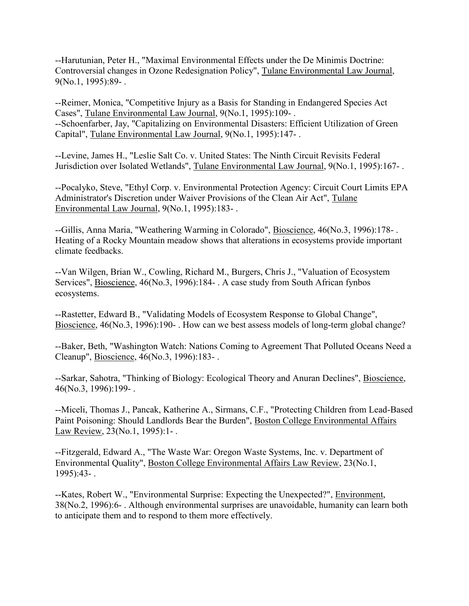--Harutunian, Peter H., "Maximal Environmental Effects under the De Minimis Doctrine: Controversial changes in Ozone Redesignation Policy", Tulane Environmental Law Journal, 9(No.1, 1995):89- .

--Reimer, Monica, "Competitive Injury as a Basis for Standing in Endangered Species Act Cases", Tulane Environmental Law Journal, 9(No.1, 1995):109- . --Schoenfarber, Jay, "Capitalizing on Environmental Disasters: Efficient Utilization of Green Capital", Tulane Environmental Law Journal, 9(No.1, 1995):147- .

--Levine, James H., "Leslie Salt Co. v. United States: The Ninth Circuit Revisits Federal Jurisdiction over Isolated Wetlands", Tulane Environmental Law Journal, 9(No.1, 1995):167- .

--Pocalyko, Steve, "Ethyl Corp. v. Environmental Protection Agency: Circuit Court Limits EPA Administrator's Discretion under Waiver Provisions of the Clean Air Act", Tulane Environmental Law Journal, 9(No.1, 1995):183- .

--Gillis, Anna Maria, "Weathering Warming in Colorado", Bioscience, 46(No.3, 1996):178- . Heating of a Rocky Mountain meadow shows that alterations in ecosystems provide important climate feedbacks.

--Van Wilgen, Brian W., Cowling, Richard M., Burgers, Chris J., "Valuation of Ecosystem Services", Bioscience, 46(No.3, 1996):184- . A case study from South African fynbos ecosystems.

--Rastetter, Edward B., "Validating Models of Ecosystem Response to Global Change", Bioscience, 46(No.3, 1996):190- . How can we best assess models of long-term global change?

--Baker, Beth, "Washington Watch: Nations Coming to Agreement That Polluted Oceans Need a Cleanup", Bioscience, 46(No.3, 1996):183- .

--Sarkar, Sahotra, "Thinking of Biology: Ecological Theory and Anuran Declines", Bioscience, 46(No.3, 1996):199- .

--Miceli, Thomas J., Pancak, Katherine A., Sirmans, C.F., "Protecting Children from Lead-Based Paint Poisoning: Should Landlords Bear the Burden", Boston College Environmental Affairs Law Review, 23(No.1, 1995):1- .

--Fitzgerald, Edward A., "The Waste War: Oregon Waste Systems, Inc. v. Department of Environmental Quality", Boston College Environmental Affairs Law Review, 23(No.1, 1995):43- .

--Kates, Robert W., "Environmental Surprise: Expecting the Unexpected?", Environment, 38(No.2, 1996):6- . Although environmental surprises are unavoidable, humanity can learn both to anticipate them and to respond to them more effectively.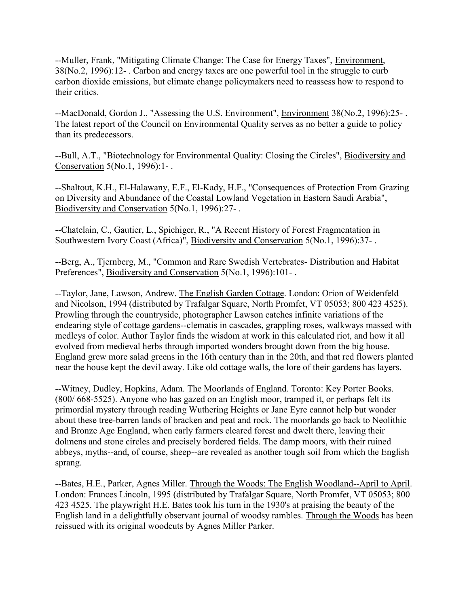--Muller, Frank, "Mitigating Climate Change: The Case for Energy Taxes", Environment, 38(No.2, 1996):12- . Carbon and energy taxes are one powerful tool in the struggle to curb carbon dioxide emissions, but climate change policymakers need to reassess how to respond to their critics.

--MacDonald, Gordon J., "Assessing the U.S. Environment", Environment 38(No.2, 1996):25- . The latest report of the Council on Environmental Quality serves as no better a guide to policy than its predecessors.

--Bull, A.T., "Biotechnology for Environmental Quality: Closing the Circles", Biodiversity and Conservation 5(No.1, 1996):1- .

--Shaltout, K.H., El-Halawany, E.F., El-Kady, H.F., "Consequences of Protection From Grazing on Diversity and Abundance of the Coastal Lowland Vegetation in Eastern Saudi Arabia", Biodiversity and Conservation 5(No.1, 1996):27- .

--Chatelain, C., Gautier, L., Spichiger, R., "A Recent History of Forest Fragmentation in Southwestern Ivory Coast (Africa)", Biodiversity and Conservation 5(No.1, 1996):37- .

--Berg, A., Tjernberg, M., "Common and Rare Swedish Vertebrates- Distribution and Habitat Preferences", Biodiversity and Conservation 5(No.1, 1996):101-.

--Taylor, Jane, Lawson, Andrew. The English Garden Cottage. London: Orion of Weidenfeld and Nicolson, 1994 (distributed by Trafalgar Square, North Promfet, VT 05053; 800 423 4525). Prowling through the countryside, photographer Lawson catches infinite variations of the endearing style of cottage gardens--clematis in cascades, grappling roses, walkways massed with medleys of color. Author Taylor finds the wisdom at work in this calculated riot, and how it all evolved from medieval herbs through imported wonders brought down from the big house. England grew more salad greens in the 16th century than in the 20th, and that red flowers planted near the house kept the devil away. Like old cottage walls, the lore of their gardens has layers.

--Witney, Dudley, Hopkins, Adam. The Moorlands of England. Toronto: Key Porter Books. (800/ 668-5525). Anyone who has gazed on an English moor, tramped it, or perhaps felt its primordial mystery through reading Wuthering Heights or Jane Eyre cannot help but wonder about these tree-barren lands of bracken and peat and rock. The moorlands go back to Neolithic and Bronze Age England, when early farmers cleared forest and dwelt there, leaving their dolmens and stone circles and precisely bordered fields. The damp moors, with their ruined abbeys, myths--and, of course, sheep--are revealed as another tough soil from which the English sprang.

--Bates, H.E., Parker, Agnes Miller. Through the Woods: The English Woodland--April to April. London: Frances Lincoln, 1995 (distributed by Trafalgar Square, North Promfet, VT 05053; 800 423 4525. The playwright H.E. Bates took his turn in the 1930's at praising the beauty of the English land in a delightfully observant journal of woodsy rambles. Through the Woods has been reissued with its original woodcuts by Agnes Miller Parker.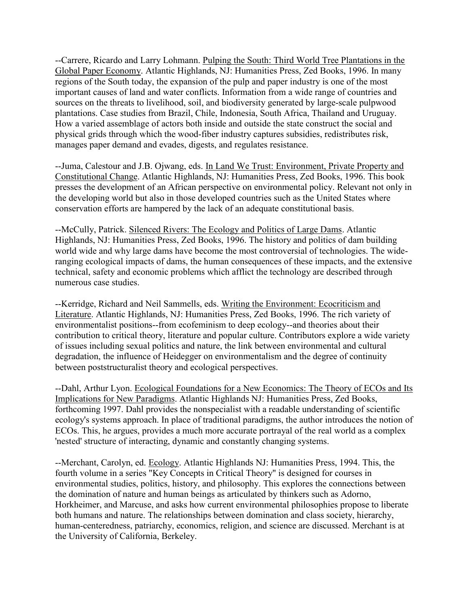--Carrere, Ricardo and Larry Lohmann. Pulping the South: Third World Tree Plantations in the Global Paper Economy. Atlantic Highlands, NJ: Humanities Press, Zed Books, 1996. In many regions of the South today, the expansion of the pulp and paper industry is one of the most important causes of land and water conflicts. Information from a wide range of countries and sources on the threats to livelihood, soil, and biodiversity generated by large-scale pulpwood plantations. Case studies from Brazil, Chile, Indonesia, South Africa, Thailand and Uruguay. How a varied assemblage of actors both inside and outside the state construct the social and physical grids through which the wood-fiber industry captures subsidies, redistributes risk, manages paper demand and evades, digests, and regulates resistance.

--Juma, Calestour and J.B. Ojwang, eds. In Land We Trust: Environment, Private Property and Constitutional Change. Atlantic Highlands, NJ: Humanities Press, Zed Books, 1996. This book presses the development of an African perspective on environmental policy. Relevant not only in the developing world but also in those developed countries such as the United States where conservation efforts are hampered by the lack of an adequate constitutional basis.

--McCully, Patrick. Silenced Rivers: The Ecology and Politics of Large Dams. Atlantic Highlands, NJ: Humanities Press, Zed Books, 1996. The history and politics of dam building world wide and why large dams have become the most controversial of technologies. The wideranging ecological impacts of dams, the human consequences of these impacts, and the extensive technical, safety and economic problems which afflict the technology are described through numerous case studies.

--Kerridge, Richard and Neil Sammells, eds. Writing the Environment: Ecocriticism and Literature. Atlantic Highlands, NJ: Humanities Press, Zed Books, 1996. The rich variety of environmentalist positions--from ecofeminism to deep ecology--and theories about their contribution to critical theory, literature and popular culture. Contributors explore a wide variety of issues including sexual politics and nature, the link between environmental and cultural degradation, the influence of Heidegger on environmentalism and the degree of continuity between poststructuralist theory and ecological perspectives.

--Dahl, Arthur Lyon. Ecological Foundations for a New Economics: The Theory of ECOs and Its Implications for New Paradigms. Atlantic Highlands NJ: Humanities Press, Zed Books, forthcoming 1997. Dahl provides the nonspecialist with a readable understanding of scientific ecology's systems approach. In place of traditional paradigms, the author introduces the notion of ECOs. This, he argues, provides a much more accurate portrayal of the real world as a complex 'nested' structure of interacting, dynamic and constantly changing systems.

--Merchant, Carolyn, ed. Ecology. Atlantic Highlands NJ: Humanities Press, 1994. This, the fourth volume in a series "Key Concepts in Critical Theory" is designed for courses in environmental studies, politics, history, and philosophy. This explores the connections between the domination of nature and human beings as articulated by thinkers such as Adorno, Horkheimer, and Marcuse, and asks how current environmental philosophies propose to liberate both humans and nature. The relationships between domination and class society, hierarchy, human-centeredness, patriarchy, economics, religion, and science are discussed. Merchant is at the University of California, Berkeley.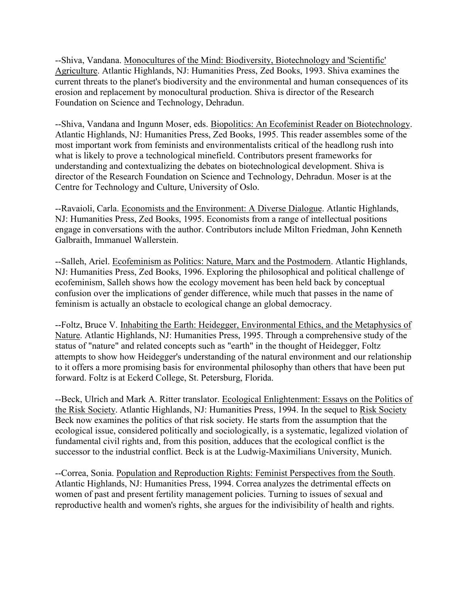--Shiva, Vandana. Monocultures of the Mind: Biodiversity, Biotechnology and 'Scientific' Agriculture. Atlantic Highlands, NJ: Humanities Press, Zed Books, 1993. Shiva examines the current threats to the planet's biodiversity and the environmental and human consequences of its erosion and replacement by monocultural production. Shiva is director of the Research Foundation on Science and Technology, Dehradun.

--Shiva, Vandana and Ingunn Moser, eds. Biopolitics: An Ecofeminist Reader on Biotechnology. Atlantic Highlands, NJ: Humanities Press, Zed Books, 1995. This reader assembles some of the most important work from feminists and environmentalists critical of the headlong rush into what is likely to prove a technological minefield. Contributors present frameworks for understanding and contextualizing the debates on biotechnological development. Shiva is director of the Research Foundation on Science and Technology, Dehradun. Moser is at the Centre for Technology and Culture, University of Oslo.

--Ravaioli, Carla. Economists and the Environment: A Diverse Dialogue. Atlantic Highlands, NJ: Humanities Press, Zed Books, 1995. Economists from a range of intellectual positions engage in conversations with the author. Contributors include Milton Friedman, John Kenneth Galbraith, Immanuel Wallerstein.

--Salleh, Ariel. Ecofeminism as Politics: Nature, Marx and the Postmodern. Atlantic Highlands, NJ: Humanities Press, Zed Books, 1996. Exploring the philosophical and political challenge of ecofeminism, Salleh shows how the ecology movement has been held back by conceptual confusion over the implications of gender difference, while much that passes in the name of feminism is actually an obstacle to ecological change an global democracy.

--Foltz, Bruce V. Inhabiting the Earth: Heidegger, Environmental Ethics, and the Metaphysics of Nature. Atlantic Highlands, NJ: Humanities Press, 1995. Through a comprehensive study of the status of "nature" and related concepts such as "earth" in the thought of Heidegger, Foltz attempts to show how Heidegger's understanding of the natural environment and our relationship to it offers a more promising basis for environmental philosophy than others that have been put forward. Foltz is at Eckerd College, St. Petersburg, Florida.

--Beck, Ulrich and Mark A. Ritter translator. Ecological Enlightenment: Essays on the Politics of the Risk Society. Atlantic Highlands, NJ: Humanities Press, 1994. In the sequel to Risk Society Beck now examines the politics of that risk society. He starts from the assumption that the ecological issue, considered politically and sociologically, is a systematic, legalized violation of fundamental civil rights and, from this position, adduces that the ecological conflict is the successor to the industrial conflict. Beck is at the Ludwig-Maximilians University, Munich.

--Correa, Sonia. Population and Reproduction Rights: Feminist Perspectives from the South. Atlantic Highlands, NJ: Humanities Press, 1994. Correa analyzes the detrimental effects on women of past and present fertility management policies. Turning to issues of sexual and reproductive health and women's rights, she argues for the indivisibility of health and rights.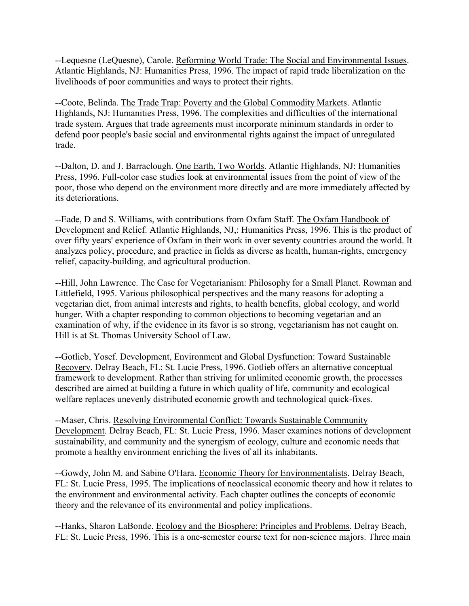--Lequesne (LeQuesne), Carole. Reforming World Trade: The Social and Environmental Issues. Atlantic Highlands, NJ: Humanities Press, 1996. The impact of rapid trade liberalization on the livelihoods of poor communities and ways to protect their rights.

--Coote, Belinda. The Trade Trap: Poverty and the Global Commodity Markets. Atlantic Highlands, NJ: Humanities Press, 1996. The complexities and difficulties of the international trade system. Argues that trade agreements must incorporate minimum standards in order to defend poor people's basic social and environmental rights against the impact of unregulated trade.

--Dalton, D. and J. Barraclough. One Earth, Two Worlds. Atlantic Highlands, NJ: Humanities Press, 1996. Full-color case studies look at environmental issues from the point of view of the poor, those who depend on the environment more directly and are more immediately affected by its deteriorations.

--Eade, D and S. Williams, with contributions from Oxfam Staff. The Oxfam Handbook of Development and Relief. Atlantic Highlands, NJ,: Humanities Press, 1996. This is the product of over fifty years' experience of Oxfam in their work in over seventy countries around the world. It analyzes policy, procedure, and practice in fields as diverse as health, human-rights, emergency relief, capacity-building, and agricultural production.

--Hill, John Lawrence. The Case for Vegetarianism: Philosophy for a Small Planet. Rowman and Littlefield, 1995. Various philosophical perspectives and the many reasons for adopting a vegetarian diet, from animal interests and rights, to health benefits, global ecology, and world hunger. With a chapter responding to common objections to becoming vegetarian and an examination of why, if the evidence in its favor is so strong, vegetarianism has not caught on. Hill is at St. Thomas University School of Law.

--Gotlieb, Yosef. Development, Environment and Global Dysfunction: Toward Sustainable Recovery. Delray Beach, FL: St. Lucie Press, 1996. Gotlieb offers an alternative conceptual framework to development. Rather than striving for unlimited economic growth, the processes described are aimed at building a future in which quality of life, community and ecological welfare replaces unevenly distributed economic growth and technological quick-fixes.

--Maser, Chris. Resolving Environmental Conflict: Towards Sustainable Community Development. Delray Beach, FL: St. Lucie Press, 1996. Maser examines notions of development sustainability, and community and the synergism of ecology, culture and economic needs that promote a healthy environment enriching the lives of all its inhabitants.

--Gowdy, John M. and Sabine O'Hara. Economic Theory for Environmentalists. Delray Beach, FL: St. Lucie Press, 1995. The implications of neoclassical economic theory and how it relates to the environment and environmental activity. Each chapter outlines the concepts of economic theory and the relevance of its environmental and policy implications.

--Hanks, Sharon LaBonde. Ecology and the Biosphere: Principles and Problems. Delray Beach, FL: St. Lucie Press, 1996. This is a one-semester course text for non-science majors. Three main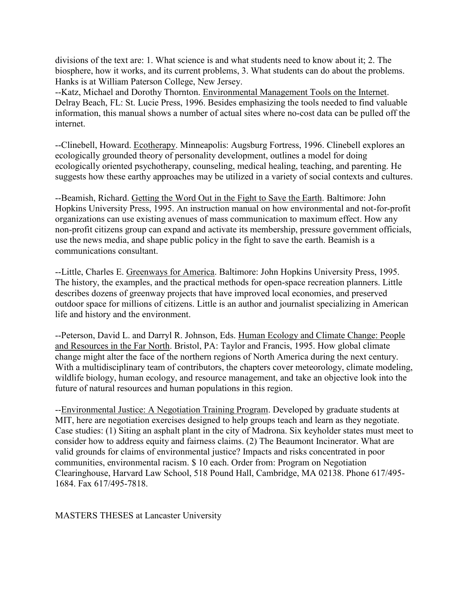divisions of the text are: 1. What science is and what students need to know about it; 2. The biosphere, how it works, and its current problems, 3. What students can do about the problems. Hanks is at William Paterson College, New Jersey.

--Katz, Michael and Dorothy Thornton. Environmental Management Tools on the Internet. Delray Beach, FL: St. Lucie Press, 1996. Besides emphasizing the tools needed to find valuable information, this manual shows a number of actual sites where no-cost data can be pulled off the internet.

--Clinebell, Howard. Ecotherapy. Minneapolis: Augsburg Fortress, 1996. Clinebell explores an ecologically grounded theory of personality development, outlines a model for doing ecologically oriented psychotherapy, counseling, medical healing, teaching, and parenting. He suggests how these earthy approaches may be utilized in a variety of social contexts and cultures.

--Beamish, Richard. Getting the Word Out in the Fight to Save the Earth. Baltimore: John Hopkins University Press, 1995. An instruction manual on how environmental and not-for-profit organizations can use existing avenues of mass communication to maximum effect. How any non-profit citizens group can expand and activate its membership, pressure government officials, use the news media, and shape public policy in the fight to save the earth. Beamish is a communications consultant.

--Little, Charles E. Greenways for America. Baltimore: John Hopkins University Press, 1995. The history, the examples, and the practical methods for open-space recreation planners. Little describes dozens of greenway projects that have improved local economies, and preserved outdoor space for millions of citizens. Little is an author and journalist specializing in American life and history and the environment.

--Peterson, David L. and Darryl R. Johnson, Eds. Human Ecology and Climate Change: People and Resources in the Far North. Bristol, PA: Taylor and Francis, 1995. How global climate change might alter the face of the northern regions of North America during the next century. With a multidisciplinary team of contributors, the chapters cover meteorology, climate modeling, wildlife biology, human ecology, and resource management, and take an objective look into the future of natural resources and human populations in this region.

--Environmental Justice: A Negotiation Training Program. Developed by graduate students at MIT, here are negotiation exercises designed to help groups teach and learn as they negotiate. Case studies: (1) Siting an asphalt plant in the city of Madrona. Six keyholder states must meet to consider how to address equity and fairness claims. (2) The Beaumont Incinerator. What are valid grounds for claims of environmental justice? Impacts and risks concentrated in poor communities, environmental racism. \$ 10 each. Order from: Program on Negotiation Clearinghouse, Harvard Law School, 518 Pound Hall, Cambridge, MA 02138. Phone 617/495- 1684. Fax 617/495-7818.

MASTERS THESES at Lancaster University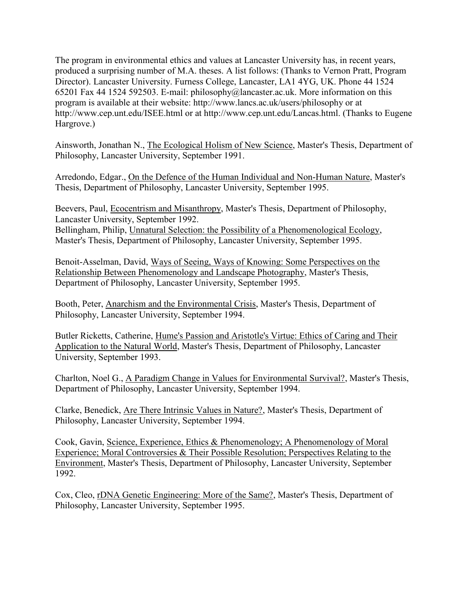The program in environmental ethics and values at Lancaster University has, in recent years, produced a surprising number of M.A. theses. A list follows: (Thanks to Vernon Pratt, Program Director). Lancaster University. Furness College, Lancaster, LA1 4YG, UK. Phone 44 1524 65201 Fax 44 1524 592503. E-mail: philosophy@lancaster.ac.uk. More information on this program is available at their website: http://www.lancs.ac.uk/users/philosophy or at http://www.cep.unt.edu/ISEE.html or at http://www.cep.unt.edu/Lancas.html. (Thanks to Eugene Hargrove.)

Ainsworth, Jonathan N., The Ecological Holism of New Science, Master's Thesis, Department of Philosophy, Lancaster University, September 1991.

Arredondo, Edgar., On the Defence of the Human Individual and Non-Human Nature, Master's Thesis, Department of Philosophy, Lancaster University, September 1995.

Beevers, Paul, Ecocentrism and Misanthropy, Master's Thesis, Department of Philosophy, Lancaster University, September 1992. Bellingham, Philip, Unnatural Selection: the Possibility of a Phenomenological Ecology, Master's Thesis, Department of Philosophy, Lancaster University, September 1995.

Benoit-Asselman, David, Ways of Seeing, Ways of Knowing: Some Perspectives on the Relationship Between Phenomenology and Landscape Photography, Master's Thesis, Department of Philosophy, Lancaster University, September 1995.

Booth, Peter, Anarchism and the Environmental Crisis, Master's Thesis, Department of Philosophy, Lancaster University, September 1994.

Butler Ricketts, Catherine, Hume's Passion and Aristotle's Virtue: Ethics of Caring and Their Application to the Natural World, Master's Thesis, Department of Philosophy, Lancaster University, September 1993.

Charlton, Noel G., A Paradigm Change in Values for Environmental Survival?, Master's Thesis, Department of Philosophy, Lancaster University, September 1994.

Clarke, Benedick, Are There Intrinsic Values in Nature?, Master's Thesis, Department of Philosophy, Lancaster University, September 1994.

Cook, Gavin, Science, Experience, Ethics & Phenomenology; A Phenomenology of Moral Experience; Moral Controversies & Their Possible Resolution; Perspectives Relating to the Environment, Master's Thesis, Department of Philosophy, Lancaster University, September 1992.

Cox, Cleo, rDNA Genetic Engineering: More of the Same?, Master's Thesis, Department of Philosophy, Lancaster University, September 1995.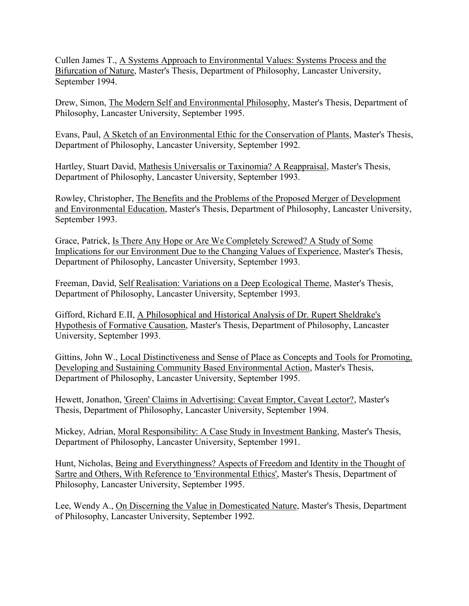Cullen James T., A Systems Approach to Environmental Values: Systems Process and the Bifurcation of Nature, Master's Thesis, Department of Philosophy, Lancaster University, September 1994.

Drew, Simon, The Modern Self and Environmental Philosophy, Master's Thesis, Department of Philosophy, Lancaster University, September 1995.

Evans, Paul, A Sketch of an Environmental Ethic for the Conservation of Plants, Master's Thesis, Department of Philosophy, Lancaster University, September 1992.

Hartley, Stuart David, Mathesis Universalis or Taxinomia? A Reappraisal, Master's Thesis, Department of Philosophy, Lancaster University, September 1993.

Rowley, Christopher, The Benefits and the Problems of the Proposed Merger of Development and Environmental Education, Master's Thesis, Department of Philosophy, Lancaster University, September 1993.

Grace, Patrick, Is There Any Hope or Are We Completely Screwed? A Study of Some Implications for our Environment Due to the Changing Values of Experience, Master's Thesis, Department of Philosophy, Lancaster University, September 1993.

Freeman, David, Self Realisation: Variations on a Deep Ecological Theme, Master's Thesis, Department of Philosophy, Lancaster University, September 1993.

Gifford, Richard E.II, A Philosophical and Historical Analysis of Dr. Rupert Sheldrake's Hypothesis of Formative Causation, Master's Thesis, Department of Philosophy, Lancaster University, September 1993.

Gittins, John W., Local Distinctiveness and Sense of Place as Concepts and Tools for Promoting, Developing and Sustaining Community Based Environmental Action, Master's Thesis, Department of Philosophy, Lancaster University, September 1995.

Hewett, Jonathon, 'Green' Claims in Advertising: Caveat Emptor, Caveat Lector?, Master's Thesis, Department of Philosophy, Lancaster University, September 1994.

Mickey, Adrian, Moral Responsibility: A Case Study in Investment Banking, Master's Thesis, Department of Philosophy, Lancaster University, September 1991.

Hunt, Nicholas, Being and Everythingness? Aspects of Freedom and Identity in the Thought of Sartre and Others, With Reference to 'Environmental Ethics', Master's Thesis, Department of Philosophy, Lancaster University, September 1995.

Lee, Wendy A., On Discerning the Value in Domesticated Nature, Master's Thesis, Department of Philosophy, Lancaster University, September 1992.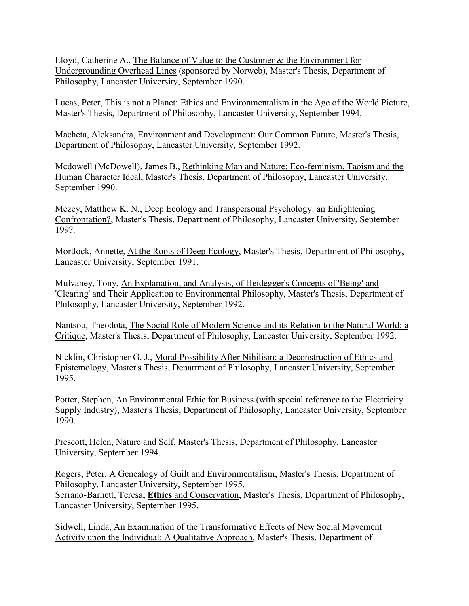Lloyd, Catherine A., The Balance of Value to the Customer & the Environment for Undergrounding Overhead Lines (sponsored by Norweb), Master's Thesis, Department of Philosophy, Lancaster University, September 1990.

Lucas, Peter, This is not a Planet: Ethics and Environmentalism in the Age of the World Picture, Master's Thesis, Department of Philosophy, Lancaster University, September 1994.

Macheta, Aleksandra, Environment and Development: Our Common Future, Master's Thesis, Department of Philosophy, Lancaster University, September 1992.

Mcdowell (McDowell), James B., Rethinking Man and Nature: Eco-feminism, Taoism and the Human Character Ideal, Master's Thesis, Department of Philosophy, Lancaster University, September 1990.

Mezey, Matthew K. N., Deep Ecology and Transpersonal Psychology: an Enlightening Confrontation?, Master's Thesis, Department of Philosophy, Lancaster University, September 199?.

Mortlock, Annette, At the Roots of Deep Ecology, Master's Thesis, Department of Philosophy, Lancaster University, September 1991.

Mulvaney, Tony, An Explanation, and Analysis, of Heidegger's Concepts of 'Being' and 'Clearing' and Their Application to Environmental Philosophy, Master's Thesis, Department of Philosophy, Lancaster University, September 1992.

Nantsou, Theodota, The Social Role of Modern Science and its Relation to the Natural World: a Critique, Master's Thesis, Department of Philosophy, Lancaster University, September 1992.

Nicklin, Christopher G. J., Moral Possibility After Nihilism: a Deconstruction of Ethics and Epistemology, Master's Thesis, Department of Philosophy, Lancaster University, September 1995.

Potter, Stephen, An Environmental Ethic for Business (with special reference to the Electricity Supply Industry), Master's Thesis, Department of Philosophy, Lancaster University, September 1990.

Prescott, Helen, Nature and Self, Master's Thesis, Department of Philosophy, Lancaster University, September 1994.

Rogers, Peter, A Genealogy of Guilt and Environmentalism, Master's Thesis, Department of Philosophy, Lancaster University, September 1995. Serrano-Barnett, Teresa**, Ethics** and Conservation, Master's Thesis, Department of Philosophy, Lancaster University, September 1995.

Sidwell, Linda, An Examination of the Transformative Effects of New Social Movement Activity upon the Individual: A Qualitative Approach, Master's Thesis, Department of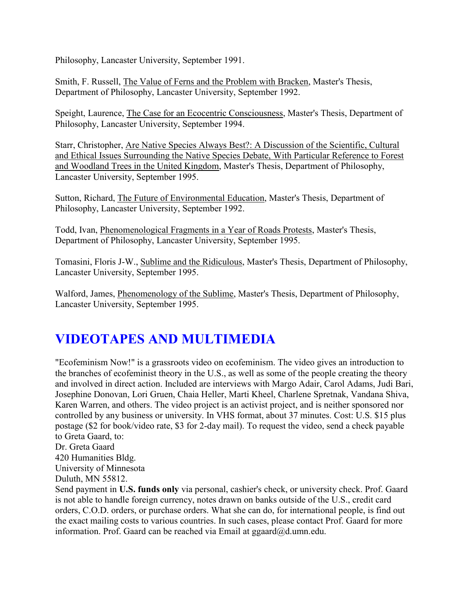Philosophy, Lancaster University, September 1991.

Smith, F. Russell, The Value of Ferns and the Problem with Bracken, Master's Thesis, Department of Philosophy, Lancaster University, September 1992.

Speight, Laurence, The Case for an Ecocentric Consciousness, Master's Thesis, Department of Philosophy, Lancaster University, September 1994.

Starr, Christopher, Are Native Species Always Best?: A Discussion of the Scientific, Cultural and Ethical Issues Surrounding the Native Species Debate, With Particular Reference to Forest and Woodland Trees in the United Kingdom, Master's Thesis, Department of Philosophy, Lancaster University, September 1995.

Sutton, Richard, The Future of Environmental Education, Master's Thesis, Department of Philosophy, Lancaster University, September 1992.

Todd, Ivan, Phenomenological Fragments in a Year of Roads Protests, Master's Thesis, Department of Philosophy, Lancaster University, September 1995.

Tomasini, Floris J-W., Sublime and the Ridiculous, Master's Thesis, Department of Philosophy, Lancaster University, September 1995.

Walford, James, Phenomenology of the Sublime, Master's Thesis, Department of Philosophy, Lancaster University, September 1995.

# **VIDEOTAPES AND MULTIMEDIA**

"Ecofeminism Now!" is a grassroots video on ecofeminism. The video gives an introduction to the branches of ecofeminist theory in the U.S., as well as some of the people creating the theory and involved in direct action. Included are interviews with Margo Adair, Carol Adams, Judi Bari, Josephine Donovan, Lori Gruen, Chaia Heller, Marti Kheel, Charlene Spretnak, Vandana Shiva, Karen Warren, and others. The video project is an activist project, and is neither sponsored nor controlled by any business or university. In VHS format, about 37 minutes. Cost: U.S. \$15 plus postage (\$2 for book/video rate, \$3 for 2-day mail). To request the video, send a check payable to Greta Gaard, to: Dr. Greta Gaard

420 Humanities Bldg. University of Minnesota Duluth, MN 55812.

Send payment in **U.S. funds only** via personal, cashier's check, or university check. Prof. Gaard is not able to handle foreign currency, notes drawn on banks outside of the U.S., credit card orders, C.O.D. orders, or purchase orders. What she can do, for international people, is find out the exact mailing costs to various countries. In such cases, please contact Prof. Gaard for more information. Prof. Gaard can be reached via Email at ggaard@d.umn.edu.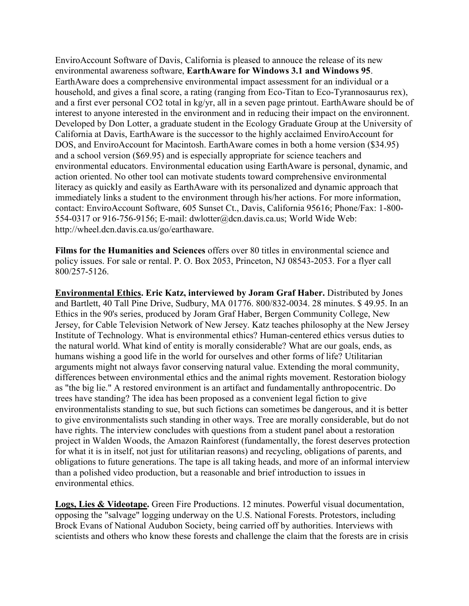EnviroAccount Software of Davis, California is pleased to annouce the release of its new environmental awareness software, **EarthAware for Windows 3.1 and Windows 95**. EarthAware does a comprehensive environmental impact assessment for an individual or a household, and gives a final score, a rating (ranging from Eco-Titan to Eco-Tyrannosaurus rex), and a first ever personal CO2 total in kg/yr, all in a seven page printout. EarthAware should be of interest to anyone interested in the environment and in reducing their impact on the environnent. Developed by Don Lotter, a graduate student in the Ecology Graduate Group at the University of California at Davis, EarthAware is the successor to the highly acclaimed EnviroAccount for DOS, and EnviroAccount for Macintosh. EarthAware comes in both a home version (\$34.95) and a school version (\$69.95) and is especially appropriate for science teachers and environmental educators. Environmental education using EarthAware is personal, dynamic, and action oriented. No other tool can motivate students toward comprehensive environmental literacy as quickly and easily as EarthAware with its personalized and dynamic approach that immediately links a student to the environment through his/her actions. For more information, contact: EnviroAccount Software, 605 Sunset Ct., Davis, California 95616; Phone/Fax: 1-800- 554-0317 or 916-756-9156; E-mail: dwlotter@dcn.davis.ca.us; World Wide Web: http://wheel.dcn.davis.ca.us/go/earthaware.

**Films for the Humanities and Sciences** offers over 80 titles in environmental science and policy issues. For sale or rental. P. O. Box 2053, Princeton, NJ 08543-2053. For a flyer call 800/257-5126.

**Environmental Ethics. Eric Katz, interviewed by Joram Graf Haber.** Distributed by Jones and Bartlett, 40 Tall Pine Drive, Sudbury, MA 01776. 800/832-0034. 28 minutes. \$ 49.95. In an Ethics in the 90's series, produced by Joram Graf Haber, Bergen Community College, New Jersey, for Cable Television Network of New Jersey. Katz teaches philosophy at the New Jersey Institute of Technology. What is environmental ethics? Human-centered ethics versus duties to the natural world. What kind of entity is morally considerable? What are our goals, ends, as humans wishing a good life in the world for ourselves and other forms of life? Utilitarian arguments might not always favor conserving natural value. Extending the moral community, differences between environmental ethics and the animal rights movement. Restoration biology as "the big lie." A restored environment is an artifact and fundamentally anthropocentric. Do trees have standing? The idea has been proposed as a convenient legal fiction to give environmentalists standing to sue, but such fictions can sometimes be dangerous, and it is better to give environmentalists such standing in other ways. Tree are morally considerable, but do not have rights. The interview concludes with questions from a student panel about a restoration project in Walden Woods, the Amazon Rainforest (fundamentally, the forest deserves protection for what it is in itself, not just for utilitarian reasons) and recycling, obligations of parents, and obligations to future generations. The tape is all taking heads, and more of an informal interview than a polished video production, but a reasonable and brief introduction to issues in environmental ethics.

**Logs, Lies & Videotape.** Green Fire Productions. 12 minutes. Powerful visual documentation, opposing the "salvage" logging underway on the U.S. National Forests. Protestors, including Brock Evans of National Audubon Society, being carried off by authorities. Interviews with scientists and others who know these forests and challenge the claim that the forests are in crisis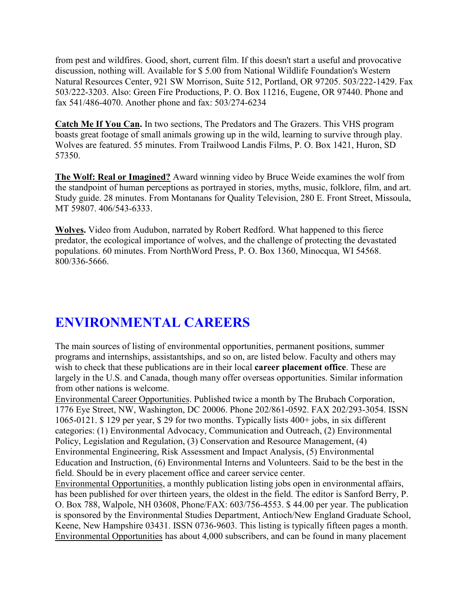from pest and wildfires. Good, short, current film. If this doesn't start a useful and provocative discussion, nothing will. Available for \$ 5.00 from National Wildlife Foundation's Western Natural Resources Center, 921 SW Morrison, Suite 512, Portland, OR 97205. 503/222-1429. Fax 503/222-3203. Also: Green Fire Productions, P. O. Box 11216, Eugene, OR 97440. Phone and fax 541/486-4070. Another phone and fax: 503/274-6234

**Catch Me If You Can.** In two sections, The Predators and The Grazers. This VHS program boasts great footage of small animals growing up in the wild, learning to survive through play. Wolves are featured. 55 minutes. From Trailwood Landis Films, P. O. Box 1421, Huron, SD 57350.

**The Wolf: Real or Imagined?** Award winning video by Bruce Weide examines the wolf from the standpoint of human perceptions as portrayed in stories, myths, music, folklore, film, and art. Study guide. 28 minutes. From Montanans for Quality Television, 280 E. Front Street, Missoula, MT 59807. 406/543-6333.

**Wolves.** Video from Audubon, narrated by Robert Redford. What happened to this fierce predator, the ecological importance of wolves, and the challenge of protecting the devastated populations. 60 minutes. From NorthWord Press, P. O. Box 1360, Minocqua, WI 54568. 800/336-5666.

# **ENVIRONMENTAL CAREERS**

The main sources of listing of environmental opportunities, permanent positions, summer programs and internships, assistantships, and so on, are listed below. Faculty and others may wish to check that these publications are in their local **career placement office**. These are largely in the U.S. and Canada, though many offer overseas opportunities. Similar information from other nations is welcome.

Environmental Career Opportunities. Published twice a month by The Brubach Corporation, 1776 Eye Street, NW, Washington, DC 20006. Phone 202/861-0592. FAX 202/293-3054. ISSN 1065-0121. \$ 129 per year, \$ 29 for two months. Typically lists 400+ jobs, in six different categories: (1) Environmental Advocacy, Communication and Outreach, (2) Environmental Policy, Legislation and Regulation, (3) Conservation and Resource Management, (4) Environmental Engineering, Risk Assessment and Impact Analysis, (5) Environmental Education and Instruction, (6) Environmental Interns and Volunteers. Said to be the best in the field. Should be in every placement office and career service center.

Environmental Opportunities, a monthly publication listing jobs open in environmental affairs, has been published for over thirteen years, the oldest in the field. The editor is Sanford Berry, P. O. Box 788, Walpole, NH 03608, Phone/FAX: 603/756-4553. \$ 44.00 per year. The publication is sponsored by the Environmental Studies Department, Antioch/New England Graduate School, Keene, New Hampshire 03431. ISSN 0736-9603. This listing is typically fifteen pages a month. Environmental Opportunities has about 4,000 subscribers, and can be found in many placement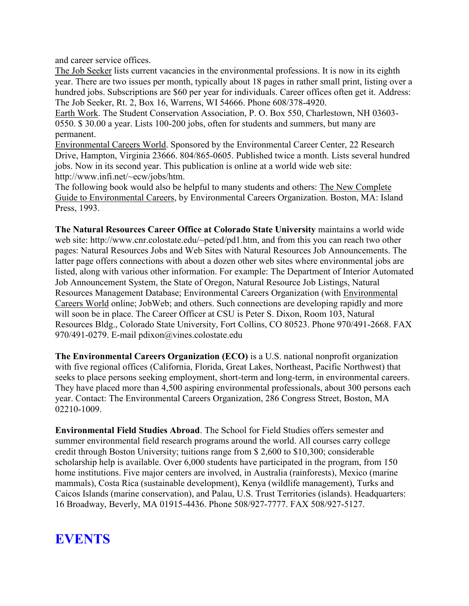and career service offices.

The Job Seeker lists current vacancies in the environmental professions. It is now in its eighth year. There are two issues per month, typically about 18 pages in rather small print, listing over a hundred jobs. Subscriptions are \$60 per year for individuals. Career offices often get it. Address: The Job Seeker, Rt. 2, Box 16, Warrens, WI 54666. Phone 608/378-4920.

Earth Work. The Student Conservation Association, P. O. Box 550, Charlestown, NH 03603- 0550. \$ 30.00 a year. Lists 100-200 jobs, often for students and summers, but many are permanent.

Environmental Careers World. Sponsored by the Environmental Career Center, 22 Research Drive, Hampton, Virginia 23666. 804/865-0605. Published twice a month. Lists several hundred jobs. Now in its second year. This publication is online at a world wide web site: http://www.infi.net/~ecw/jobs/htm.

The following book would also be helpful to many students and others: The New Complete Guide to Environmental Careers, by Environmental Careers Organization. Boston, MA: Island Press, 1993.

**The Natural Resources Career Office at Colorado State University** maintains a world wide web site: http://www.cnr.colostate.edu/~peted/pd1.htm, and from this you can reach two other pages: Natural Resources Jobs and Web Sites with Natural Resources Job Announcements. The latter page offers connections with about a dozen other web sites where environmental jobs are listed, along with various other information. For example: The Department of Interior Automated Job Announcement System, the State of Oregon, Natural Resource Job Listings, Natural Resources Management Database; Environmental Careers Organization (with Environmental Careers World online; JobWeb; and others. Such connections are developing rapidly and more will soon be in place. The Career Officer at CSU is Peter S. Dixon, Room 103, Natural Resources Bldg., Colorado State University, Fort Collins, CO 80523. Phone 970/491-2668. FAX 970/491-0279. E-mail pdixon@vines.colostate.edu

**The Environmental Careers Organization (ECO)** is a U.S. national nonprofit organization with five regional offices (California, Florida, Great Lakes, Northeast, Pacific Northwest) that seeks to place persons seeking employment, short-term and long-term, in environmental careers. They have placed more than 4,500 aspiring environmental professionals, about 300 persons each year. Contact: The Environmental Careers Organization, 286 Congress Street, Boston, MA 02210-1009.

**Environmental Field Studies Abroad**. The School for Field Studies offers semester and summer environmental field research programs around the world. All courses carry college credit through Boston University; tuitions range from \$ 2,600 to \$10,300; considerable scholarship help is available. Over 6,000 students have participated in the program, from 150 home institutions. Five major centers are involved, in Australia (rainforests), Mexico (marine mammals), Costa Rica (sustainable development), Kenya (wildlife management), Turks and Caicos Islands (marine conservation), and Palau, U.S. Trust Territories (islands). Headquarters: 16 Broadway, Beverly, MA 01915-4436. Phone 508/927-7777. FAX 508/927-5127.

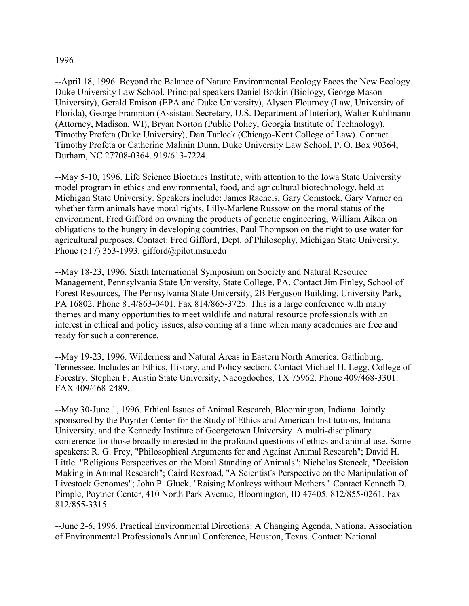#### 1996

--April 18, 1996. Beyond the Balance of Nature Environmental Ecology Faces the New Ecology. Duke University Law School. Principal speakers Daniel Botkin (Biology, George Mason University), Gerald Emison (EPA and Duke University), Alyson Flournoy (Law, University of Florida), George Frampton (Assistant Secretary, U.S. Department of Interior), Walter Kuhlmann (Attorney, Madison, WI), Bryan Norton (Public Policy, Georgia Institute of Technology), Timothy Profeta (Duke University), Dan Tarlock (Chicago-Kent College of Law). Contact Timothy Profeta or Catherine Malinin Dunn, Duke University Law School, P. O. Box 90364, Durham, NC 27708-0364. 919/613-7224.

--May 5-10, 1996. Life Science Bioethics Institute, with attention to the Iowa State University model program in ethics and environmental, food, and agricultural biotechnology, held at Michigan State University. Speakers include: James Rachels, Gary Comstock, Gary Varner on whether farm animals have moral rights, Lilly-Marlene Russow on the moral status of the environment, Fred Gifford on owning the products of genetic engineering, William Aiken on obligations to the hungry in developing countries, Paul Thompson on the right to use water for agricultural purposes. Contact: Fred Gifford, Dept. of Philosophy, Michigan State University. Phone (517) 353-1993. gifford@pilot.msu.edu

--May 18-23, 1996. Sixth International Symposium on Society and Natural Resource Management, Pennsylvania State University, State College, PA. Contact Jim Finley, School of Forest Resources, The Pennsylvania State University, 2B Ferguson Building, University Park, PA 16802. Phone 814/863-0401. Fax 814/865-3725. This is a large conference with many themes and many opportunities to meet wildlife and natural resource professionals with an interest in ethical and policy issues, also coming at a time when many academics are free and ready for such a conference.

--May 19-23, 1996. Wilderness and Natural Areas in Eastern North America, Gatlinburg, Tennessee. Includes an Ethics, History, and Policy section. Contact Michael H. Legg, College of Forestry, Stephen F. Austin State University, Nacogdoches, TX 75962. Phone 409/468-3301. FAX 409/468-2489.

--May 30-June 1, 1996. Ethical Issues of Animal Research, Bloomington, Indiana. Jointly sponsored by the Poynter Center for the Study of Ethics and American Institutions, Indiana University, and the Kennedy Institute of Georgetown University. A multi-disciplinary conference for those broadly interested in the profound questions of ethics and animal use. Some speakers: R. G. Frey, "Philosophical Arguments for and Against Animal Research"; David H. Little. "Religious Perspectives on the Moral Standing of Animals"; Nicholas Steneck, "Decision Making in Animal Research"; Caird Rexroad, "A Scientist's Perspective on the Manipulation of Livestock Genomes"; John P. Gluck, "Raising Monkeys without Mothers." Contact Kenneth D. Pimple, Poytner Center, 410 North Park Avenue, Bloomington, ID 47405. 812/855-0261. Fax 812/855-3315.

--June 2-6, 1996. Practical Environmental Directions: A Changing Agenda, National Association of Environmental Professionals Annual Conference, Houston, Texas. Contact: National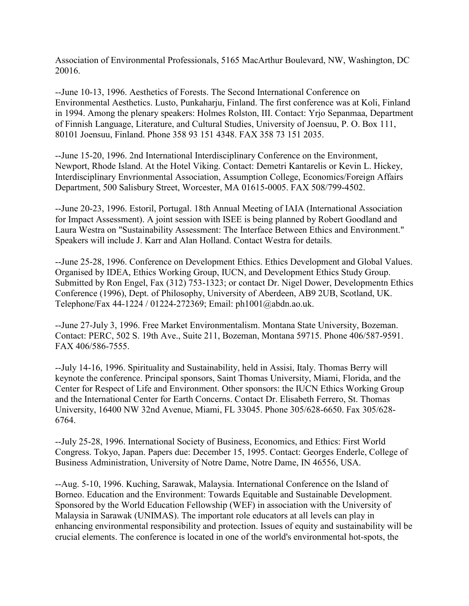Association of Environmental Professionals, 5165 MacArthur Boulevard, NW, Washington, DC 20016.

--June 10-13, 1996. Aesthetics of Forests. The Second International Conference on Environmental Aesthetics. Lusto, Punkaharju, Finland. The first conference was at Koli, Finland in 1994. Among the plenary speakers: Holmes Rolston, III. Contact: Yrjo Sepanmaa, Department of Finnish Language, Literature, and Cultural Studies, University of Joensuu, P. O. Box 111, 80101 Joensuu, Finland. Phone 358 93 151 4348. FAX 358 73 151 2035.

--June 15-20, 1996. 2nd International Interdisciplinary Conference on the Environment, Newport, Rhode Island. At the Hotel Viking. Contact: Demetri Kantarelis or Kevin L. Hickey, Interdisciplinary Envrionmental Association, Assumption College, Economics/Foreign Affairs Department, 500 Salisbury Street, Worcester, MA 01615-0005. FAX 508/799-4502.

--June 20-23, 1996. Estoril, Portugal. 18th Annual Meeting of IAIA (International Association for Impact Assessment). A joint session with ISEE is being planned by Robert Goodland and Laura Westra on "Sustainability Assessment: The Interface Between Ethics and Environment." Speakers will include J. Karr and Alan Holland. Contact Westra for details.

--June 25-28, 1996. Conference on Development Ethics. Ethics Development and Global Values. Organised by IDEA, Ethics Working Group, IUCN, and Development Ethics Study Group. Submitted by Ron Engel, Fax (312) 753-1323; or contact Dr. Nigel Dower, Developmentn Ethics Conference (1996), Dept. of Philosophy, University of Aberdeen, AB9 2UB, Scotland, UK. Telephone/Fax 44-1224 / 01224-272369; Email: ph1001@abdn.ao.uk.

--June 27-July 3, 1996. Free Market Environmentalism. Montana State University, Bozeman. Contact: PERC, 502 S. 19th Ave., Suite 211, Bozeman, Montana 59715. Phone 406/587-9591. FAX 406/586-7555.

--July 14-16, 1996. Spirituality and Sustainability, held in Assisi, Italy. Thomas Berry will keynote the conference. Principal sponsors, Saint Thomas University, Miami, Florida, and the Center for Respect of Life and Environment. Other sponsors: the IUCN Ethics Working Group and the International Center for Earth Concerns. Contact Dr. Elisabeth Ferrero, St. Thomas University, 16400 NW 32nd Avenue, Miami, FL 33045. Phone 305/628-6650. Fax 305/628- 6764.

--July 25-28, 1996. International Society of Business, Economics, and Ethics: First World Congress. Tokyo, Japan. Papers due: December 15, 1995. Contact: Georges Enderle, College of Business Administration, University of Notre Dame, Notre Dame, IN 46556, USA.

--Aug. 5-10, 1996. Kuching, Sarawak, Malaysia. International Conference on the Island of Borneo. Education and the Environment: Towards Equitable and Sustainable Development. Sponsored by the World Education Fellowship (WEF) in association with the University of Malaysia in Sarawak (UNIMAS). The important role educators at all levels can play in enhancing environmental responsibility and protection. Issues of equity and sustainability will be crucial elements. The conference is located in one of the world's environmental hot-spots, the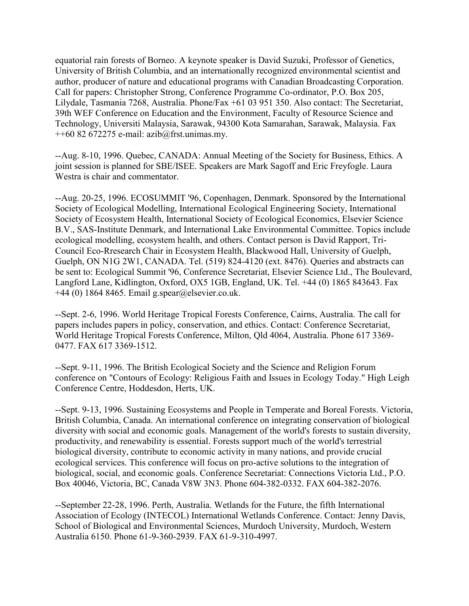equatorial rain forests of Borneo. A keynote speaker is David Suzuki, Professor of Genetics, University of British Columbia, and an internationally recognized environmental scientist and author, producer of nature and educational programs with Canadian Broadcasting Corporation. Call for papers: Christopher Strong, Conference Programme Co-ordinator, P.O. Box 205, Lilydale, Tasmania 7268, Australia. Phone/Fax +61 03 951 350. Also contact: The Secretariat, 39th WEF Conference on Education and the Environment, Faculty of Resource Science and Technology, Universiti Malaysia, Sarawak, 94300 Kota Samarahan, Sarawak, Malaysia. Fax  $+60$  82 672275 e-mail: azib $@$ frst.unimas.my.

--Aug. 8-10, 1996. Quebec, CANADA: Annual Meeting of the Society for Business, Ethics. A joint session is planned for SBE/ISEE. Speakers are Mark Sagoff and Eric Freyfogle. Laura Westra is chair and commentator.

--Aug. 20-25, 1996. ECOSUMMIT '96, Copenhagen, Denmark. Sponsored by the International Society of Ecological Modelling, International Ecological Engineering Society, International Society of Ecosystem Health, International Society of Ecological Economics, Elsevier Science B.V., SAS-Institute Denmark, and International Lake Environmental Committee. Topics include ecological modelling, ecosystem health, and others. Contact person is David Rapport, Tri-Council Eco-Rresearch Chair in Ecosystem Health, Blackwood Hall, University of Guelph, Guelph, ON N1G 2W1, CANADA. Tel. (519) 824-4120 (ext. 8476). Queries and abstracts can be sent to: Ecological Summit '96, Conference Secretariat, Elsevier Science Ltd., The Boulevard, Langford Lane, Kidlington, Oxford, OX5 1GB, England, UK. Tel. +44 (0) 1865 843643. Fax  $+44$  (0) 1864 8465. Email g.spear@elsevier.co.uk.

--Sept. 2-6, 1996. World Heritage Tropical Forests Conference, Cairns, Australia. The call for papers includes papers in policy, conservation, and ethics. Contact: Conference Secretariat, World Heritage Tropical Forests Conference, Milton, Qld 4064, Australia. Phone 617 3369- 0477. FAX 617 3369-1512.

--Sept. 9-11, 1996. The British Ecological Society and the Science and Religion Forum conference on "Contours of Ecology: Religious Faith and Issues in Ecology Today." High Leigh Conference Centre, Hoddesdon, Herts, UK.

--Sept. 9-13, 1996. Sustaining Ecosystems and People in Temperate and Boreal Forests. Victoria, British Columbia, Canada. An international conference on integrating conservation of biological diversity with social and economic goals. Management of the world's forests to sustain diversity, productivity, and renewability is essential. Forests support much of the world's terrestrial biological diversity, contribute to economic activity in many nations, and provide crucial ecological services. This conference will focus on pro-active solutions to the integration of biological, social, and economic goals. Conference Secretariat: Connections Victoria Ltd., P.O. Box 40046, Victoria, BC, Canada V8W 3N3. Phone 604-382-0332. FAX 604-382-2076.

--September 22-28, 1996. Perth, Australia. Wetlands for the Future, the fifth International Association of Ecology (INTECOL) International Wetlands Conference. Contact: Jenny Davis, School of Biological and Environmental Sciences, Murdoch University, Murdoch, Western Australia 6150. Phone 61-9-360-2939. FAX 61-9-310-4997.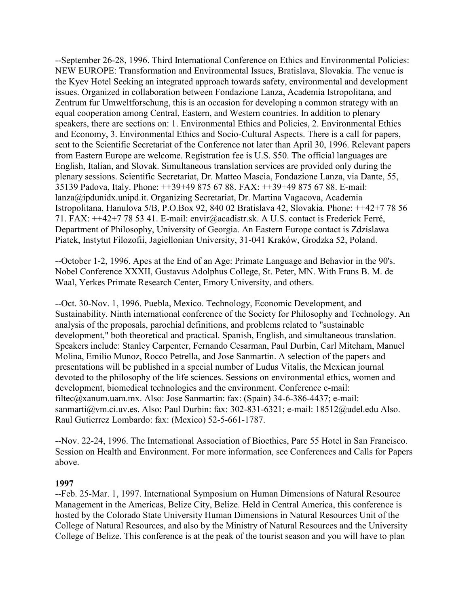--September 26-28, 1996. Third International Conference on Ethics and Environmental Policies: NEW EUROPE: Transformation and Environmental Issues, Bratislava, Slovakia. The venue is the Kyev Hotel Seeking an integrated approach towards safety, environmental and development issues. Organized in collaboration between Fondazione Lanza, Academia Istropolitana, and Zentrum fur Umweltforschung, this is an occasion for developing a common strategy with an equal cooperation among Central, Eastern, and Western countries. In addition to plenary speakers, there are sections on: 1. Environmental Ethics and Policies, 2. Environmental Ethics and Economy, 3. Environmental Ethics and Socio-Cultural Aspects. There is a call for papers, sent to the Scientific Secretariat of the Conference not later than April 30, 1996. Relevant papers from Eastern Europe are welcome. Registration fee is U.S. \$50. The official languages are English, Italian, and Slovak. Simultaneous translation services are provided only during the plenary sessions. Scientific Secretariat, Dr. Matteo Mascia, Fondazione Lanza, via Dante, 55, 35139 Padova, Italy. Phone: ++39+49 875 67 88. FAX: ++39+49 875 67 88. E-mail: lanza@ipdunidx.unipd.it. Organizing Secretariat, Dr. Martina Vagacova, Academia Istropolitana, Hanulova 5/B, P.O.Box 92, 840 02 Bratislava 42, Slovakia. Phone: ++42+7 78 56 71. FAX: ++42+7 78 53 41. E-mail: envir@acadistr.sk. A U.S. contact is Frederick Ferré, Department of Philosophy, University of Georgia. An Eastern Europe contact is Zdzislawa Piatek, Instytut Filozofii, Jagiellonian University, 31-041 Kraków, Grodzka 52, Poland.

--October 1-2, 1996. Apes at the End of an Age: Primate Language and Behavior in the 90's. Nobel Conference XXXII, Gustavus Adolphus College, St. Peter, MN. With Frans B. M. de Waal, Yerkes Primate Research Center, Emory University, and others.

--Oct. 30-Nov. 1, 1996. Puebla, Mexico. Technology, Economic Development, and Sustainability. Ninth international conference of the Society for Philosophy and Technology. An analysis of the proposals, parochial definitions, and problems related to "sustainable development," both theoretical and practical. Spanish, English, and simultaneous translation. Speakers include: Stanley Carpenter, Fernando Cesarman, Paul Durbin, Carl Mitcham, Manuel Molina, Emilio Munoz, Rocco Petrella, and Jose Sanmartin. A selection of the papers and presentations will be published in a special number of Ludus Vitalis, the Mexican journal devoted to the philosophy of the life sciences. Sessions on environmental ethics, women and development, biomedical technologies and the environment. Conference e-mail: filtec@xanum.uam.mx. Also: Jose Sanmartin: fax: (Spain) 34-6-386-4437; e-mail: sanmarti@vm.ci.uv.es. Also: Paul Durbin: fax: 302-831-6321; e-mail: 18512@udel.edu Also. Raul Gutierrez Lombardo: fax: (Mexico) 52-5-661-1787.

--Nov. 22-24, 1996. The International Association of Bioethics, Parc 55 Hotel in San Francisco. Session on Health and Environment. For more information, see Conferences and Calls for Papers above.

#### **1997**

--Feb. 25-Mar. 1, 1997. International Symposium on Human Dimensions of Natural Resource Management in the Americas, Belize City, Belize. Held in Central America, this conference is hosted by the Colorado State University Human Dimensions in Natural Resources Unit of the College of Natural Resources, and also by the Ministry of Natural Resources and the University College of Belize. This conference is at the peak of the tourist season and you will have to plan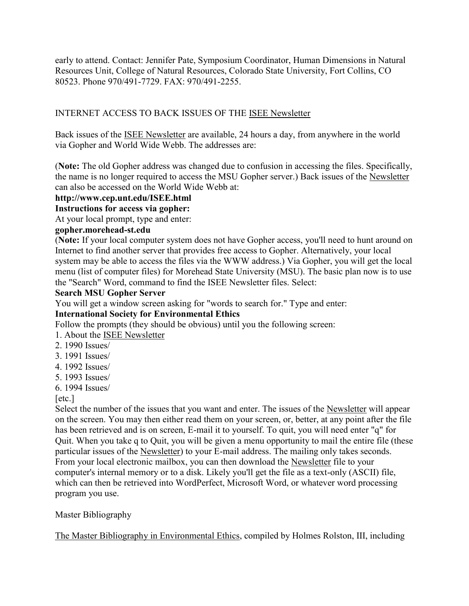early to attend. Contact: Jennifer Pate, Symposium Coordinator, Human Dimensions in Natural Resources Unit, College of Natural Resources, Colorado State University, Fort Collins, CO 80523. Phone 970/491-7729. FAX: 970/491-2255.

## INTERNET ACCESS TO BACK ISSUES OF THE ISEE Newsletter

Back issues of the ISEE Newsletter are available, 24 hours a day, from anywhere in the world via Gopher and World Wide Webb. The addresses are:

(**Note:** The old Gopher address was changed due to confusion in accessing the files. Specifically, the name is no longer required to access the MSU Gopher server.) Back issues of the Newsletter can also be accessed on the World Wide Webb at:

#### **http://www.cep.unt.edu/ISEE.html**

#### **Instructions for access via gopher:**

At your local prompt, type and enter:

#### **gopher.morehead-st.edu**

(**Note:** If your local computer system does not have Gopher access, you'll need to hunt around on Internet to find another server that provides free access to Gopher. Alternatively, your local system may be able to access the files via the WWW address.) Via Gopher, you will get the local menu (list of computer files) for Morehead State University (MSU). The basic plan now is to use the "Search" Word, command to find the ISEE Newsletter files. Select:

#### **Search MSU Gopher Server**

You will get a window screen asking for "words to search for." Type and enter:

#### **International Society for Environmental Ethics**

Follow the prompts (they should be obvious) until you the following screen:

- 1. About the ISEE Newsletter
- 2. 1990 Issues/
- 3. 1991 Issues/
- 4. 1992 Issues/
- 5. 1993 Issues/
- 6. 1994 Issues/

#### [etc.]

Select the number of the issues that you want and enter. The issues of the Newsletter will appear on the screen. You may then either read them on your screen, or, better, at any point after the file has been retrieved and is on screen, E-mail it to yourself. To quit, you will need enter "q" for Quit. When you take q to Quit, you will be given a menu opportunity to mail the entire file (these particular issues of the Newsletter) to your E-mail address. The mailing only takes seconds. From your local electronic mailbox, you can then download the Newsletter file to your computer's internal memory or to a disk. Likely you'll get the file as a text-only (ASCII) file, which can then be retrieved into WordPerfect, Microsoft Word, or whatever word processing program you use.

#### Master Bibliography

The Master Bibliography in Environmental Ethics, compiled by Holmes Rolston, III, including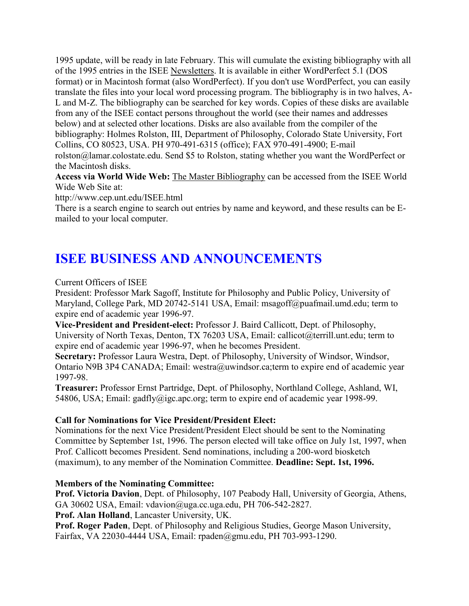1995 update, will be ready in late February. This will cumulate the existing bibliography with all of the 1995 entries in the ISEE Newsletters. It is available in either WordPerfect 5.1 (DOS format) or in Macintosh format (also WordPerfect). If you don't use WordPerfect, you can easily translate the files into your local word processing program. The bibliography is in two halves, A-L and M-Z. The bibliography can be searched for key words. Copies of these disks are available from any of the ISEE contact persons throughout the world (see their names and addresses below) and at selected other locations. Disks are also available from the compiler of the bibliography: Holmes Rolston, III, Department of Philosophy, Colorado State University, Fort Collins, CO 80523, USA. PH 970-491-6315 (office); FAX 970-491-4900; E-mail rolston@lamar.colostate.edu. Send \$5 to Rolston, stating whether you want the WordPerfect or the Macintosh disks.

**Access via World Wide Web:** The Master Bibliography can be accessed from the ISEE World Wide Web Site at:

http://www.cep.unt.edu/ISEE.html

There is a search engine to search out entries by name and keyword, and these results can be Emailed to your local computer.

# **ISEE BUSINESS AND ANNOUNCEMENTS**

Current Officers of ISEE

President: Professor Mark Sagoff, Institute for Philosophy and Public Policy, University of Maryland, College Park, MD 20742-5141 USA, Email: msagoff@puafmail.umd.edu; term to expire end of academic year 1996-97.

**Vice-President and President-elect:** Professor J. Baird Callicott, Dept. of Philosophy, University of North Texas, Denton, TX 76203 USA, Email: callicot@terrill.unt.edu; term to expire end of academic year 1996-97, when he becomes President.

**Secretary:** Professor Laura Westra, Dept. of Philosophy, University of Windsor, Windsor, Ontario N9B 3P4 CANADA; Email: westra@uwindsor.ca;term to expire end of academic year 1997-98.

**Treasurer:** Professor Ernst Partridge, Dept. of Philosophy, Northland College, Ashland, WI, 54806, USA; Email: gadfly@igc.apc.org; term to expire end of academic year 1998-99.

#### **Call for Nominations for Vice President/President Elect:**

Nominations for the next Vice President/President Elect should be sent to the Nominating Committee by September 1st, 1996. The person elected will take office on July 1st, 1997, when Prof. Callicott becomes President. Send nominations, including a 200-word biosketch (maximum), to any member of the Nomination Committee. **Deadline: Sept. 1st, 1996.**

#### **Members of the Nominating Committee:**

**Prof. Victoria Davion**, Dept. of Philosophy, 107 Peabody Hall, University of Georgia, Athens, GA 30602 USA, Email: vdavion@uga.cc.uga.edu, PH 706-542-2827.

**Prof. Alan Holland**, Lancaster University, UK.

**Prof. Roger Paden**, Dept. of Philosophy and Religious Studies, George Mason University, Fairfax, VA 22030-4444 USA, Email: rpaden@gmu.edu, PH 703-993-1290.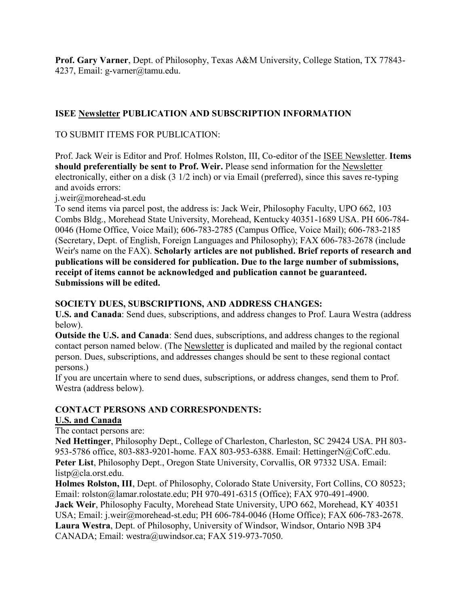**Prof. Gary Varner**, Dept. of Philosophy, Texas A&M University, College Station, TX 77843- 4237, Email: g-varner@tamu.edu.

# **ISEE Newsletter PUBLICATION AND SUBSCRIPTION INFORMATION**

### TO SUBMIT ITEMS FOR PUBLICATION:

Prof. Jack Weir is Editor and Prof. Holmes Rolston, III, Co-editor of the ISEE Newsletter. **Items should preferentially be sent to Prof. Weir.** Please send information for the Newsletter electronically, either on a disk (3 1/2 inch) or via Email (preferred), since this saves re-typing and avoids errors:

j.weir@morehead-st.edu

To send items via parcel post, the address is: Jack Weir, Philosophy Faculty, UPO 662, 103 Combs Bldg., Morehead State University, Morehead, Kentucky 40351-1689 USA. PH 606-784- 0046 (Home Office, Voice Mail); 606-783-2785 (Campus Office, Voice Mail); 606-783-2185 (Secretary, Dept. of English, Foreign Languages and Philosophy); FAX 606-783-2678 (include Weir's name on the FAX). **Scholarly articles are not published. Brief reports of research and publications will be considered for publication. Due to the large number of submissions, receipt of items cannot be acknowledged and publication cannot be guaranteed. Submissions will be edited.**

#### **SOCIETY DUES, SUBSCRIPTIONS, AND ADDRESS CHANGES:**

**U.S. and Canada**: Send dues, subscriptions, and address changes to Prof. Laura Westra (address below).

**Outside the U.S. and Canada**: Send dues, subscriptions, and address changes to the regional contact person named below. (The Newsletter is duplicated and mailed by the regional contact person. Dues, subscriptions, and addresses changes should be sent to these regional contact persons.)

If you are uncertain where to send dues, subscriptions, or address changes, send them to Prof. Westra (address below).

## **CONTACT PERSONS AND CORRESPONDENTS:**

#### **U.S. and Canada**

The contact persons are:

**Ned Hettinger**, Philosophy Dept., College of Charleston, Charleston, SC 29424 USA. PH 803- 953-5786 office, 803-883-9201-home. FAX 803-953-6388. Email: HettingerN@CofC.edu. **Peter List**, Philosophy Dept., Oregon State University, Corvallis, OR 97332 USA. Email: listp@cla.orst.edu.

**Holmes Rolston, III**, Dept. of Philosophy, Colorado State University, Fort Collins, CO 80523; Email: rolston@lamar.rolostate.edu; PH 970-491-6315 (Office); FAX 970-491-4900. **Jack Weir**, Philosophy Faculty, Morehead State University, UPO 662, Morehead, KY 40351 USA; Email: j.weir@morehead-st.edu; PH 606-784-0046 (Home Office); FAX 606-783-2678. **Laura Westra**, Dept. of Philosophy, University of Windsor, Windsor, Ontario N9B 3P4 CANADA; Email: westra@uwindsor.ca; FAX 519-973-7050.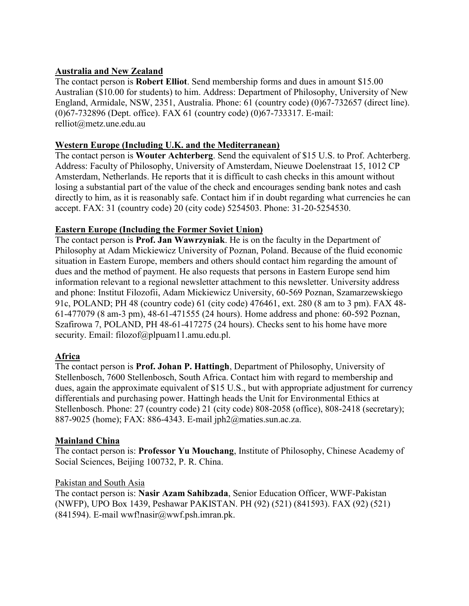### **Australia and New Zealand**

The contact person is **Robert Elliot**. Send membership forms and dues in amount \$15.00 Australian (\$10.00 for students) to him. Address: Department of Philosophy, University of New England, Armidale, NSW, 2351, Australia. Phone: 61 (country code) (0)67-732657 (direct line). (0)67-732896 (Dept. office). FAX 61 (country code) (0)67-733317. E-mail: relliot@metz.une.edu.au

#### **Western Europe (Including U.K. and the Mediterranean)**

The contact person is **Wouter Achterberg**. Send the equivalent of \$15 U.S. to Prof. Achterberg. Address: Faculty of Philosophy, University of Amsterdam, Nieuwe Doelenstraat 15, 1012 CP Amsterdam, Netherlands. He reports that it is difficult to cash checks in this amount without losing a substantial part of the value of the check and encourages sending bank notes and cash directly to him, as it is reasonably safe. Contact him if in doubt regarding what currencies he can accept. FAX: 31 (country code) 20 (city code) 5254503. Phone: 31-20-5254530.

### **Eastern Europe (Including the Former Soviet Union)**

The contact person is **Prof. Jan Wawrzyniak**. He is on the faculty in the Department of Philosophy at Adam Mickiewicz University of Poznan, Poland. Because of the fluid economic situation in Eastern Europe, members and others should contact him regarding the amount of dues and the method of payment. He also requests that persons in Eastern Europe send him information relevant to a regional newsletter attachment to this newsletter. University address and phone: Institut Filozofii, Adam Mickiewicz University, 60-569 Poznan, Szamarzewskiego 91c, POLAND; PH 48 (country code) 61 (city code) 476461, ext. 280 (8 am to 3 pm). FAX 48- 61-477079 (8 am-3 pm), 48-61-471555 (24 hours). Home address and phone: 60-592 Poznan, Szafirowa 7, POLAND, PH 48-61-417275 (24 hours). Checks sent to his home have more security. Email: filozof@plpuam11.amu.edu.pl.

## **Africa**

The contact person is **Prof. Johan P. Hattingh**, Department of Philosophy, University of Stellenbosch, 7600 Stellenbosch, South Africa. Contact him with regard to membership and dues, again the approximate equivalent of \$15 U.S., but with appropriate adjustment for currency differentials and purchasing power. Hattingh heads the Unit for Environmental Ethics at Stellenbosch. Phone: 27 (country code) 21 (city code) 808-2058 (office), 808-2418 (secretary); 887-9025 (home); FAX: 886-4343. E-mail jph2@maties.sun.ac.za.

#### **Mainland China**

The contact person is: **Professor Yu Mouchang**, Institute of Philosophy, Chinese Academy of Social Sciences, Beijing 100732, P. R. China.

#### Pakistan and South Asia

The contact person is: **Nasir Azam Sahibzada**, Senior Education Officer, WWF-Pakistan (NWFP), UPO Box 1439, Peshawar PAKISTAN. PH (92) (521) (841593). FAX (92) (521) (841594). E-mail wwf!nasir@wwf.psh.imran.pk.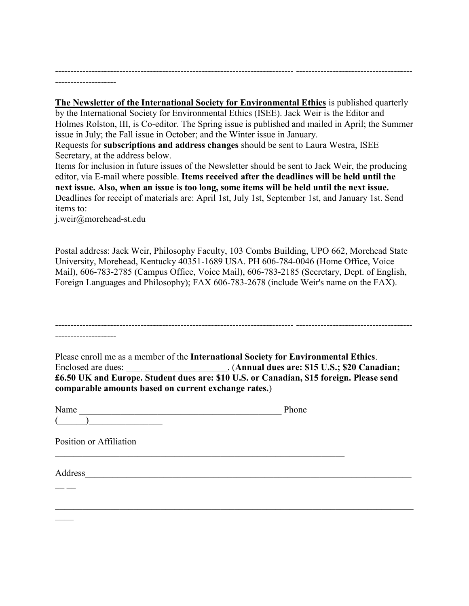------------------------------------------------------------------------------ -------------------------------------- --------------------

**The Newsletter of the International Society for Environmental Ethics** is published quarterly by the International Society for Environmental Ethics (ISEE). Jack Weir is the Editor and Holmes Rolston, III, is Co-editor. The Spring issue is published and mailed in April; the Summer issue in July; the Fall issue in October; and the Winter issue in January.

Requests for **subscriptions and address changes** should be sent to Laura Westra, ISEE Secretary, at the address below.

Items for inclusion in future issues of the Newsletter should be sent to Jack Weir, the producing editor, via E-mail where possible. **Items received after the deadlines will be held until the next issue. Also, when an issue is too long, some items will be held until the next issue.**  Deadlines for receipt of materials are: April 1st, July 1st, September 1st, and January 1st. Send items to:

j.weir@morehead-st.edu

Postal address: Jack Weir, Philosophy Faculty, 103 Combs Building, UPO 662, Morehead State University, Morehead, Kentucky 40351-1689 USA. PH 606-784-0046 (Home Office, Voice Mail), 606-783-2785 (Campus Office, Voice Mail), 606-783-2185 (Secretary, Dept. of English, Foreign Languages and Philosophy); FAX 606-783-2678 (include Weir's name on the FAX).

| Please enroll me as a member of the International Society for Environmental Ethics.<br>Enclosed are dues: ______________________. (Annual dues are: \$15 U.S.; \$20 Canadian;<br>£6.50 UK and Europe. Student dues are: \$10 U.S. or Canadian, \$15 foreign. Please send<br>comparable amounts based on current exchange rates.) |       |
|----------------------------------------------------------------------------------------------------------------------------------------------------------------------------------------------------------------------------------------------------------------------------------------------------------------------------------|-------|
| Name                                                                                                                                                                                                                                                                                                                             | Phone |
|                                                                                                                                                                                                                                                                                                                                  |       |
| Position or Affiliation                                                                                                                                                                                                                                                                                                          |       |
| Address                                                                                                                                                                                                                                                                                                                          |       |
|                                                                                                                                                                                                                                                                                                                                  |       |
|                                                                                                                                                                                                                                                                                                                                  |       |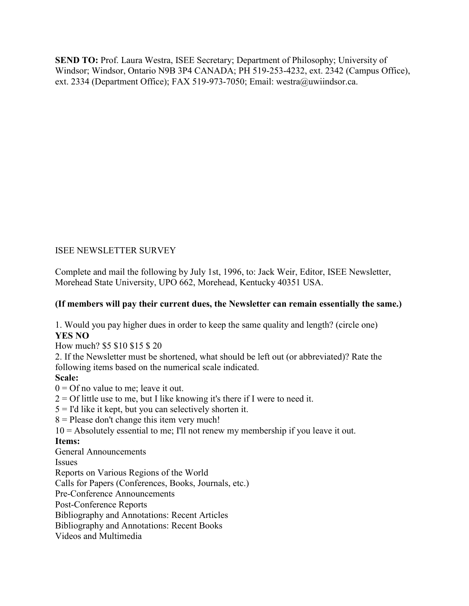**SEND TO:** Prof. Laura Westra, ISEE Secretary; Department of Philosophy; University of Windsor; Windsor, Ontario N9B 3P4 CANADA; PH 519-253-4232, ext. 2342 (Campus Office), ext. 2334 (Department Office); FAX 519-973-7050; Email: westra@uwiindsor.ca.

## ISEE NEWSLETTER SURVEY

Complete and mail the following by July 1st, 1996, to: Jack Weir, Editor, ISEE Newsletter, Morehead State University, UPO 662, Morehead, Kentucky 40351 USA.

#### **(If members will pay their current dues, the Newsletter can remain essentially the same.)**

1. Would you pay higher dues in order to keep the same quality and length? (circle one) **YES NO**

How much? \$5 \$10 \$15 \$ 20

2. If the Newsletter must be shortened, what should be left out (or abbreviated)? Rate the following items based on the numerical scale indicated.

#### **Scale:**

 $0 = \text{Of no value to me}$ ; leave it out.

 $2 =$  Of little use to me, but I like knowing it's there if I were to need it.

 $5 =$  I'd like it kept, but you can selectively shorten it.

 $8$  = Please don't change this item very much!

10 = Absolutely essential to me; I'll not renew my membership if you leave it out.

#### **Items:**

General Announcements

Issues

Reports on Various Regions of the World Calls for Papers (Conferences, Books, Journals, etc.) Pre-Conference Announcements Post-Conference Reports Bibliography and Annotations: Recent Articles Bibliography and Annotations: Recent Books Videos and Multimedia